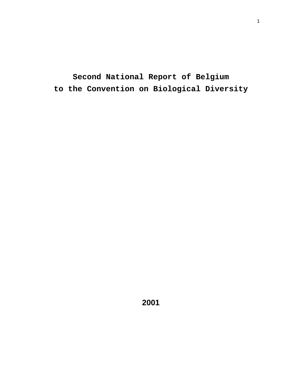**Second National Report of Belgium to the Convention on Biological Diversity**

**2001**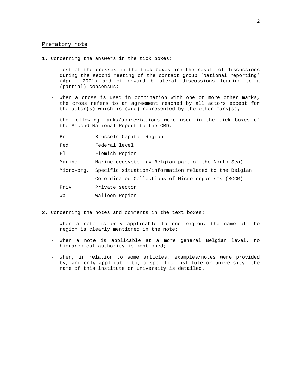#### Prefatory note

- 1. Concerning the answers in the tick boxes:
	- most of the crosses in the tick boxes are the result of discussions during the second meeting of the contact group 'National reporting' (April 2001) and of onward bilateral discussions leading to a (partial) consensus;
	- when a cross is used in combination with one or more other marks, the cross refers to an agreement reached by all actors except for the actor(s) which is (are) represented by the other  $mark(s)$ ;
	- the following marks/abbreviations were used in the tick boxes of the Second National Report to the CBD:

| Br.        | Brussels Capital Region                               |
|------------|-------------------------------------------------------|
| Fed.       | Federal level                                         |
| F1.        | Flemish Region                                        |
| Marine     | Marine ecosystem (= Belgian part of the North Sea)    |
| Micro-org. | Specific situation/information related to the Belgian |
|            | Co-ordinated Collections of Micro-organisms (BCCM)    |
| Priv.      | Private sector                                        |
| Wa.        | Walloon Region                                        |

- 2. Concerning the notes and comments in the text boxes:
	- when a note is only applicable to one region, the name of the region is clearly mentioned in the note;
	- when a note is applicable at a more general Belgian level, no hierarchical authority is mentioned;
	- when, in relation to some articles, examples/notes were provided by, and only applicable to, a specific institute or university, the name of this institute or university is detailed.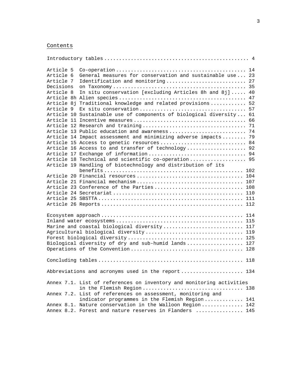# Contents

| Article 5 |                                                                      | 14  |
|-----------|----------------------------------------------------------------------|-----|
| Article 6 | General measures for conservation and sustainable use                | 23  |
| Article 7 | Identification and monitoring                                        | 27  |
| Decisions |                                                                      | 35  |
| Article 8 | In situ conservation [excluding Articles 8h and 8j]                  | 40  |
|           |                                                                      | 47  |
|           | Article 8j Traditional knowledge and related provisions              | 52  |
| Article 9 |                                                                      | 57  |
|           | Article 10 Sustainable use of components of biological diversity     | 61  |
|           |                                                                      | 66  |
|           |                                                                      | 71  |
|           | Article 13 Public education and awareness                            | 74  |
|           | Article 14 Impact assessment and minimizing adverse impacts 79       |     |
|           | Article 15 Access to genetic resources  84                           |     |
|           | Article 16 Access to and transfer of technology 92                   |     |
|           |                                                                      |     |
|           | Article 18 Technical and scientific co-operation 95                  |     |
|           | Article 19 Handling of biotechnology and distribution of its         |     |
|           |                                                                      |     |
|           |                                                                      | 104 |
|           |                                                                      | 107 |
|           | Article 23 Conference of the Parties                                 | 108 |
|           |                                                                      |     |
|           |                                                                      | 111 |
|           |                                                                      | 112 |
|           |                                                                      | 114 |
|           |                                                                      | 115 |
|           | Marine and coastal biological diversity 117                          |     |
|           | Agricultural biological diversity 119                                |     |
|           |                                                                      |     |
|           | Biological diversity of dry and sub-humid lands 127                  |     |
|           |                                                                      |     |
|           |                                                                      |     |
|           | Abbreviations and acronyms used in the report 134                    |     |
|           | Annex 7.1. List of references on inventory and monitoring activities |     |
|           |                                                                      |     |
|           | Annex 7.2. List of references on assessment, monitoring and          |     |
|           | indicator programmes in the Flemish Region 141                       |     |
|           | Annex 8.1. Nature conservation in the Walloon Region  142            |     |
|           | Annex 8.2. Forest and nature reserves in Flanders  145               |     |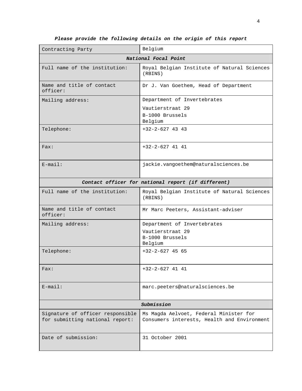| Contracting Party                                                                       | Belgium                                                                               |  |  |  |  |  |  |
|-----------------------------------------------------------------------------------------|---------------------------------------------------------------------------------------|--|--|--|--|--|--|
| National Focal Point                                                                    |                                                                                       |  |  |  |  |  |  |
| Full name of the institution:<br>Royal Belgian Institute of Natural Sciences<br>(RBINS) |                                                                                       |  |  |  |  |  |  |
| Name and title of contact<br>officer:                                                   | Dr J. Van Goethem, Head of Department                                                 |  |  |  |  |  |  |
| Mailing address:                                                                        | Department of Invertebrates                                                           |  |  |  |  |  |  |
|                                                                                         | Vautierstraat 29                                                                      |  |  |  |  |  |  |
|                                                                                         | B-1000 Brussels<br>Belgium                                                            |  |  |  |  |  |  |
| Telephone:                                                                              | $+32-2-627$ 43 43                                                                     |  |  |  |  |  |  |
| Fast:                                                                                   | $+32-2-627$ 41 41                                                                     |  |  |  |  |  |  |
| $E$ -mail:                                                                              | jackie.vangoethem@naturalsciences.be                                                  |  |  |  |  |  |  |
|                                                                                         | Contact officer for national report (if different)                                    |  |  |  |  |  |  |
| Full name of the institution:                                                           | Royal Belgian Institute of Natural Sciences<br>(RBINS)                                |  |  |  |  |  |  |
| Name and title of contact<br>officer:                                                   | Mr Marc Peeters, Assistant-adviser                                                    |  |  |  |  |  |  |
| Mailing address:                                                                        | Department of Invertebrates                                                           |  |  |  |  |  |  |
|                                                                                         | Vautierstraat 29                                                                      |  |  |  |  |  |  |
|                                                                                         | B-1000 Brussels<br>Belgium                                                            |  |  |  |  |  |  |
| Telephone:                                                                              | $+32-2-627$ 45 65                                                                     |  |  |  |  |  |  |
| Fast:                                                                                   | +32-2-627 41 41                                                                       |  |  |  |  |  |  |
| $E$ -mail:                                                                              | marc.peeters@naturalsciences.be                                                       |  |  |  |  |  |  |
| Submission                                                                              |                                                                                       |  |  |  |  |  |  |
| Signature of officer responsible<br>for submitting national report:                     | Ms Magda Aelvoet, Federal Minister for<br>Consumers interests, Health and Environment |  |  |  |  |  |  |
| Date of submission:                                                                     | 31 October 2001                                                                       |  |  |  |  |  |  |

**Please provide the following details on the origin of this report**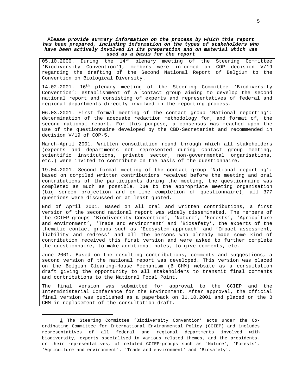**Please provide summary information on the process by which this report has been prepared, including information on the types of stakeholders who have been actively involved in its preparation and on material which was used as a basis for the report**

 $05.10.2000$ . During the  $14<sup>th</sup>$  plenary meeting of the Steering Committee 'Biodiversity Convention'1, members were informed on COP decision V/19 regarding the drafting of the Second National Report of Belgium to the Convention on Biological Diversity.

14.02.2001. 16<sup>th</sup> plenary meeting of the Steering Committee 'Biodiversity Convention': establishment of a contact group aiming to develop the second national report and consisting of experts and representatives of federal and regional departments directly involved in the reporting process.

06.03.2001. First formal meeting of the contact group 'National reporting': determination of the adequate redaction methodology for, and format of, the second national report. For this purpose, a consensus was reached upon the use of the questionnaire developed by the CBD-Secretariat and recommended in decision V/19 of COP-5.

March-April 2001. Written consultation round through which all stakeholders (experts and departments not represented during contact group meeting, scientific institutions, private sector, non-governmental organisations, etc.) were invited to contribute on the basis of the questionnaire.

19.04.2001. Second formal meeting of the contact group 'National reporting': based on compiled written contributions received before the meeting and oral contributions of the participants during the meeting, the questionnaire was completed as much as possible. Due to the appropriate meeting organisation (big screen projection and on-line completion of questionnaire), all 377 questions were discussed or at least quoted.

End of April 2001. Based on all oral and written contributions, a first version of the second national report was widely disseminated. The members of the CCIEP-groups 'Biodiversity Convention', 'Nature', 'Forests', 'Agriculture and environment', 'Trade and environment' and 'Biosafety', the experts of the thematic contact groups such as 'Ecosystem approach' and 'Impact assessment, liability and redress' and all the persons who already made some kind of contribution received this first version and were asked to further complete the questionnaire, to make additional notes, to give comments, etc.

June 2001. Based on the resulting contributions, comments and suggestions, a second version of the national report was developed. This version was placed on the Belgian Clearing-House Mechanism (B CHM) website as a consultation draft giving the opportunity to all stakeholders to transmit final comments and contributions to the National Focal Point.

The final version was submitted for approval to the CCIEP and the Interministerial Conference for the Environment. After approval, the official final version was published as a paperback on 31.10.2001 and placed on the B CHM in replacement of the consultation draft.

<sup>1</sup> The Steering Committee 'Biodiversity Convention' acts under the Coordinating Committee for International Environmental Policy (CCIEP) and includes representatives of all federal and regional departments involved with biodiversity, experts specialised in various related themes, and the presidents, or their representatives, of related CCIEP-groups such as 'Nature', 'Forests', 'Agriculture and environment', 'Trade and environment' and 'Biosafety'.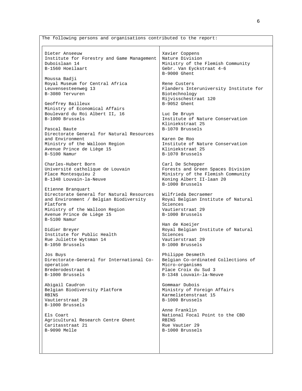The following persons and organisations contributed to the report: Dieter Anseeuw Institute for Forestry and Game Management Duboislaan 14 B-1560 Hoeilaart Moussa Badji Royal Museum for Central Africa Leuvensesteenweg 13 B-3080 Tervuren Geoffrey Bailleux Ministry of Economical Affairs Boulevard du Roi Albert II, 16 B-1000 Brussels Pascal Baute Directorate General for Natural Resources and Environment Ministry of the Walloon Region Avenue Prince de Liège 15 B-5100 Namur Charles-Hubert Born Université catholique de Louvain Place Montesquieu 2 B-1348 Louvain-la-Neuve Etienne Branquart Directorate General for Natural Resources and Environment / Belgian Biodiversity Platform Ministry of the Walloon Region Avenue Prince de Liège 15 B-5100 Namur Didier Breyer Institute for Public Health Rue Juliette Wytsman 14 B-1050 Brussels Jos Buys Directorate-General for International Cooperation Brederodestraat 6 B-1000 Brussels Abigail Caudron Belgian Biodiversity Platform **RRINS** Vautierstraat 29 B-1000 Brussels Els Coart Agricultural Research Centre Ghent Caritasstraat 21 B-9090 Melle Xavier Coppens Nature Division Ministry of the Flemish Community Gebr. Van Eyckstraat 4-6 B-9000 Ghent Rene Custers Flanders Interuniversity Institute for Biotechnology Rijvisschestraat 120 B-9052 Ghent Luc De Bruyn Institute of Nature Conservation Kliniekstraat 25 B-1070 Brussels Karen De Roo Institute of Nature Conservation Kliniekstraat 25 B-1070 Brussels Carl De Schepper Forests and Green Spaces Division Ministry of the Flemish Community Koning Albert II-laan 20 B-1000 Brussels Wilfrieda Decraemer Royal Belgian Institute of Natural Sciences Vautierstraat 29 B-1000 Brussels Han de Koeijer Royal Belgian Institute of Natural Sciences Vautierstraat 29 B-1000 Brussels Philippe Desmeth Belgian Co-ordinated Collections of Micro-organisms Place Croix du Sud 3 B-1348 Louvain-la-Neuve Gommaar Dubois Ministry of Foreign Affairs Karmelietenstraat 15 B-1000 Brussels Anne Franklin National Focal Point to the CBD RBINS Rue Vautier 29 B-1000 Brussels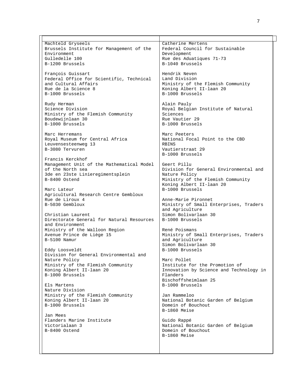| Machteld Gryseels                                 | Catherine Mertens                       |
|---------------------------------------------------|-----------------------------------------|
| Brussels Institute for Management of the          | Federal Council for Sustainable         |
| Environment                                       | Development                             |
| Gulledelle 100                                    | Rue des Aduatiques 71-73                |
| B-1200 Brussels                                   | B-1040 Brussels                         |
|                                                   |                                         |
| François Guissart                                 | Hendrik Neven                           |
|                                                   |                                         |
| Federal Office for Scientific, Technical          | Land Division                           |
| and Cultural Affairs                              | Ministry of the Flemish Community       |
| Rue de la Science 8                               | Koning Albert II-laan 20                |
| B-1000 Brussels                                   | B-1000 Brussels                         |
|                                                   |                                         |
| Rudy Herman                                       | Alain Pauly                             |
| Science Division                                  | Royal Belgian Institute of Natural      |
| Ministry of the Flemish Community                 | Sciences                                |
| Boudewijnlaan 30                                  | Rue Vautier 29                          |
| B-1000 Brussels                                   | B-1000 Brussels                         |
|                                                   |                                         |
| Marc Herremans                                    | Marc Peeters                            |
| Royal Museum for Central Africa                   | National Focal Point to the CBD         |
| Leuvensesteenweg 13                               | RBINS                                   |
| B-3080 Tervuren                                   | Vautierstraat 29                        |
|                                                   | B-1000 Brussels                         |
| Francis Kerckhof                                  |                                         |
| Management Unit of the Mathematical Model         | Geert Pillu                             |
| of the North sea                                  | Division for General Environmental and  |
|                                                   | Nature Policy                           |
| 3de en 23ste Linieregimentsplein<br>B-8400 Ostend |                                         |
|                                                   | Ministry of the Flemish Community       |
|                                                   | Koning Albert II-laan 20                |
| Marc Lateur                                       | B-1000 Brussels                         |
| Agricultural Research Centre Gembloux             |                                         |
| Rue de Liroux 4                                   | Anne-Marie Pironnet                     |
| B-5030 Gembloux                                   | Ministry of Small Enterprises, Traders  |
|                                                   | and Agriculture                         |
| Christian Laurent                                 | Simon Bolivarlaan 30                    |
| Directorate General for Natural Resources         | B-1000 Brussels                         |
| and Environment                                   |                                         |
| Ministry of the Walloon Region                    | René Poismans                           |
| Avenue Prince de Liège 15                         | Ministry of Small Enterprises, Traders  |
| $B-5100$ Namur                                    | and Agriculture                         |
|                                                   | Simon Bolivarlaan 30                    |
| Eddy Loosveldt                                    | B-1000 Brussels                         |
| Division for General Environmental and            |                                         |
| Nature Policy                                     | Marc Pollet                             |
| Ministry of the Flemish Community                 | Institute for the Promotion of          |
| Koning Albert II-laan 20                          | Innovation by Science and Technology in |
| B-1000 Brussels                                   | Flanders                                |
|                                                   | Bischoffsheimlaan 25                    |
| Els Martens                                       | B-1000 Brussels                         |
| Nature Division                                   |                                         |
| Ministry of the Flemish Community                 | Jan Rammeloo                            |
| Koning Albert II-laan 20                          | National Botanic Garden of Belgium      |
| B-1000 Brussels                                   |                                         |
|                                                   | Domein of Bouchout<br>B-1860 Meise      |
| Jan Mees                                          |                                         |
| Flanders Marine Institute                         |                                         |
|                                                   | Guido Rappé                             |
| Victorialaan 3                                    | National Botanic Garden of Belgium      |
| B-8400 Ostend                                     | Domein of Bouchout                      |
|                                                   | B-1860 Meise                            |
|                                                   |                                         |
|                                                   |                                         |
|                                                   |                                         |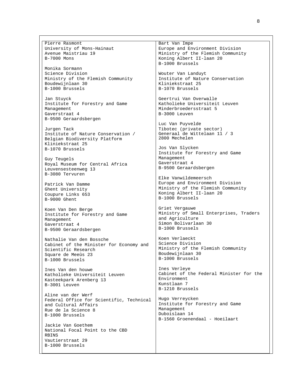Pierre Rasmont University of Mons-Hainaut Avenue Maistriau 19 B-7000 Mons

Monika Sormann Science Division Ministry of the Flemish Community Boudewijnlaan 30 B-1000 Brussels

Jan Stuyck Institute for Forestry and Game Management Gaverstraat 4 B-9500 Geraardsbergen

Jurgen Tack Institute of Nature Conservation / Belgian Biodiversity Platform Kliniekstraat 25 B-1070 Brussels

Guy Teugels Royal Museum for Central Africa Leuvensesteenweg 13 B-3080 Tervuren

Patrick Van Damme Ghent University Coupure Links 653 B-9000 Ghent

Koen Van Den Berge Institute for Forestry and Game Management Gaverstraat 4 B-9500 Geraardsbergen

Nathalie Van den Bossche Cabinet of the Minister for Economy and Scientific Research Square de Meeûs 23 B-1000 Brussels

Ines Van den houwe Katholieke Universiteit Leuven Kasteekpark Arenberg 13 B-3001 Leuven

Aline van der Werf Federal Office for Scientific, Technical and Cultural Affairs Rue de la Science 8 B-1000 Brussels

Jackie Van Goethem National Focal Point to the CBD RBINS Vautierstraat 29 B-1000 Brussels

Bart Van Impe Europe and Environment Division Ministry of the Flemish Community Koning Albert II-laan 20 B-1000 Brussels

Wouter Van Landuyt Institute of Nature Conservation Kliniekstraat 25 B-1070 Brussels

Geertrui Van Overwalle Katholieke Universiteit Leuven Minderbroedersstraat 5 B-3000 Leuven

Luc Van Puyvelde Tibotec (private sector) Generaal de Wittelaan 11 / 3 2800 Mechelen

Jos Van Slycken Institute for Forestry and Game Management Gaverstraat 4 B-9500 Geraardsbergen

Elke Vanwildemeersch Europe and Environment Division Ministry of the Flemish Community Koning Albert II-laan 20 B-1000 Brussels

Griet Vergauwe Ministry of Small Enterprises, Traders and Agriculture Simon Bolivarlaan 30 B-1000 Brussels

Koen Verlaeckt Science Division Ministry of the Flemish Community Boudewijnlaan 30 B-1000 Brussels

Ines Verleye Cabinet of the Federal Minister for the Environment Kunstlaan 7 B-1210 Brussels

Hugo Verreycken Institute for Forestry and Game Management Duboislaan 14 B-1560 Groenendaal - Hoeilaart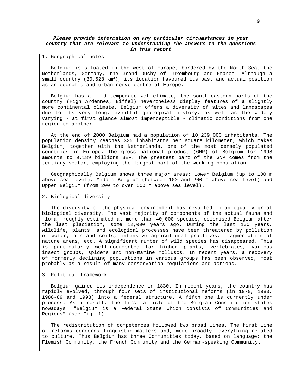### **Please provide information on any particular circumstances in your country that are relevant to understanding the answers to the questions in this report**

#### 1. Geographical notes

Belgium is situated in the west of Europe, bordered by the North Sea, the Netherlands, Germany, the Grand Duchy of Luxembourg and France. Although a small country (30,528  $km^2$ ), its location favoured its past and actual position as an economic and urban nerve centre of Europe.

Belgium has a mild temperate wet climate, the south-eastern parts of the country (High Ardennes, Eiffel) nevertheless display features of a slightly more continental climate. Belgium offers a diversity of sites and landscapes due to its very long, eventful geological history, as well as the widely varying - at first glance almost imperceptible - climatic conditions from one region to another.

At the end of 2000 Belgium had a population of 10,239,000 inhabitants. The population density reaches 335 inhabitants per square kilometer, which makes Belgium, together with the Netherlands, one of the most densely populated countries in Europe. The gross national product (GNP) of Belgium for 1998 amounts to 9,189 billions BEF. The greatest part of the GNP comes from the tertiary sector, employing the largest part of the working population.

Geographically Belgium shows three major areas: Lower Belgium (up to 100 m above sea level), Middle Belgium (between 100 and 200 m above sea level) and Upper Belgium (from 200 to over 500 m above sea level).

#### 2. Biological diversity

The diversity of the physical environment has resulted in an equally great biological diversity. The vast majority of components of the actual fauna and flora, roughly estimated at more than 40,000 species, colonised Belgium after the last glaciation, some 12,000 years ago. During the last 100 years, wildlife, plants, and ecological processes have been threatened by pollution of water, air and soils, intensive agricultural practices, fragmentation of nature areas, etc. A significant number of wild species has disappeared. This is particularly well-documented for higher plants, vertebrates, various insect groups, spiders and non-marine molluscs. In recent years, a recovery of formerly declining populations in various groups has been observed, most probably as a result of many conservation regulations and actions.

#### 3. Political framework

Belgium gained its independence in 1830. In recent years, the country has rapidly evolved, through four sets of institutional reforms (in 1970, 1980, 1988-89 and 1993) into a federal structure. A fifth one is currently under process. As a result, the first article of the Belgian Constitution states nowadays: "Belgium is a Federal State which consists of Communities and Regions" (see Fig. 1).

The redistribution of competences followed two broad lines. The first line of reforms concerns linguistic matters and, more broadly, everything related to culture. Thus Belgium has three Communities today, based on language: the Flemish Community, the French Community and the German-speaking Community.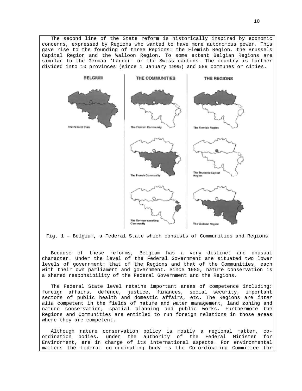The second line of the State reform is historically inspired by economic concerns, expressed by Regions who wanted to have more autonomous power. This gave rise to the founding of three Regions: the Flemish Region, the Brussels Capital Region and the Walloon Region. To some extent Belgian Regions are similar to the German 'Länder' or the Swiss cantons. The country is further divided into 10 provinces (since 1 January 1995) and 589 communes or cities.



Fig. 1 – Belgium, a Federal State which consists of Communities and Regions

Because of these reforms, Belgium has a very distinct and unusual character. Under the level of the Federal Government are situated two lower levels of government: that of the Regions and that of the Communities, each with their own parliament and government. Since 1980, nature conservation is a shared responsibility of the Federal Government and the Regions.

The Federal State level retains important areas of competence including: foreign affairs, defence, justice, finances, social security, important sectors of public health and domestic affairs, etc. The Regions are inter alia competent in the fields of nature and water management, land zoning and nature conservation, spatial planning and public works. Furthermore the Regions and Communities are entitled to run foreign relations in those areas where they are competent.

Although nature conservation policy is mostly a regional matter, coordination bodies, under the authority of the Federal Minister for Environment, are in charge of its international aspects. For environmental matters the federal co-ordinating body is the Co-ordinating Committee for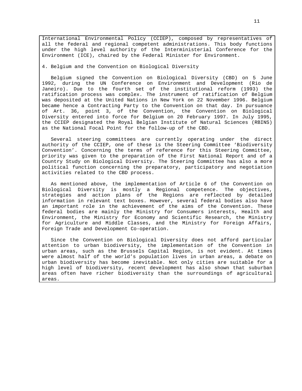International Environmental Policy (CCIEP), composed by representatives of all the federal and regional competent administrations. This body functions under the high level authority of the Interministerial Conference for the Environment (ICE), chaired by the Federal Minister for Environment.

4. Belgium and the Convention on Biological Diversity

Belgium signed the Convention on Biological Diversity (CBD) on 5 June 1992, during the UN Conference on Environment and Development (Rio de Janeiro). Due to the fourth set of the institutional reform (1993) the ratification process was complex. The instrument of ratification of Belgium was deposited at the United Nations in New York on 22 November 1996. Belgium became hence a Contracting Party to the Convention on that day. In pursuance of Art. 36, point 3, of the Convention, the Convention on Biological Diversity entered into force for Belgium on 20 February 1997. In July 1995, the CCIEP designated the Royal Belgian Institute of Natural Sciences (RBINS) as the National Focal Point for the follow-up of the CBD.

Several steering committees are currently operating under the direct authority of the CCIEP, one of these is the Steering Committee 'Biodiversity Convention'. Concerning the terms of reference for this Steering Committee, priority was given to the preparation of the First National Report and of a Country Study on Biological Diversity. The Steering Committee has also a more political function concerning the preparatory, participatory and negotiation activities related to the CBD process.

As mentioned above, the implementation of Article 6 of the Convention on Biological Diversity is mostly a Regional competence. The objectives, strategies and action plans of the Regions are reflected by detailed information in relevant text boxes. However, several federal bodies also have an important role in the achievement of the aims of the Convention. These federal bodies are mainly the Ministry for Consumers interests, Health and Environment, the Ministry for Economy and Scientific Research, the Ministry for Agriculture and Middle Classes, and the Ministry for Foreign Affairs, Foreign Trade and Development Co-operation.

Since the Convention on Biological Diversity does not afford particular attention to urban biodiversity, the implementation of the Convention in urban areas, such as the Brussels Capital Region, is not evident. At times were almost half of the world's population lives in urban areas, a debate on urban biodiversity has become inevitable. Not only cities are suitable for a high level of biodiversity, recent development has also shown that suburban areas often have richer biodiversity than the surroundings of agricultural areas.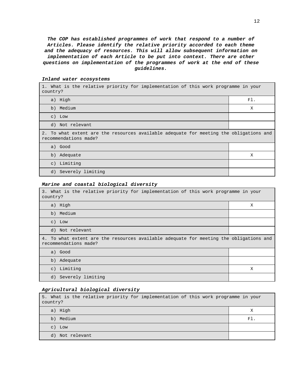**The COP has established programmes of work that respond to a number of Articles. Please identify the relative priority accorded to each theme and the adequacy of resources. This will allow subsequent information on implementation of each Article to be put into context. There are other questions on implementation of the programmes of work at the end of these guidelines.**

| 1. What is the relative priority for implementation of this work programme in your<br>country?                  |     |  |  |  |
|-----------------------------------------------------------------------------------------------------------------|-----|--|--|--|
| a) High                                                                                                         | F1. |  |  |  |
| b) Medium                                                                                                       | X   |  |  |  |
| $c)$ Low                                                                                                        |     |  |  |  |
| d) Not relevant                                                                                                 |     |  |  |  |
| 2. To what extent are the resources available adequate for meeting the obligations and<br>recommendations made? |     |  |  |  |
| a) Good                                                                                                         |     |  |  |  |
| b) Adequate                                                                                                     | X   |  |  |  |
| c) Limiting                                                                                                     |     |  |  |  |
| d) Severely limiting                                                                                            |     |  |  |  |

# **Inland water ecosystems**

#### **Marine and coastal biological diversity**

| 3. What is the relative priority for implementation of this work programme in your<br>country?                  |   |  |  |  |
|-----------------------------------------------------------------------------------------------------------------|---|--|--|--|
| a) High                                                                                                         | X |  |  |  |
| b) Medium                                                                                                       |   |  |  |  |
| $c)$ Low                                                                                                        |   |  |  |  |
| d) Not relevant                                                                                                 |   |  |  |  |
| 4. To what extent are the resources available adequate for meeting the obligations and<br>recommendations made? |   |  |  |  |
| a) Good                                                                                                         |   |  |  |  |
| b) Adequate                                                                                                     |   |  |  |  |
| c) Limiting                                                                                                     | X |  |  |  |
| d) Severely limiting                                                                                            |   |  |  |  |

#### **Agricultural biological diversity**

5. What is the relative priority for implementation of this work programme in your country? a) High X and X and X and X and X and X and X and X and X and X and X and X and X and X and X and X and X and b) Medium Fl. Solution of the contract of the contract of the contract of the contract of the contract of the contract of the contract of the contract of the contract of the contract of the contract of the contract of the c) Low d) Not relevant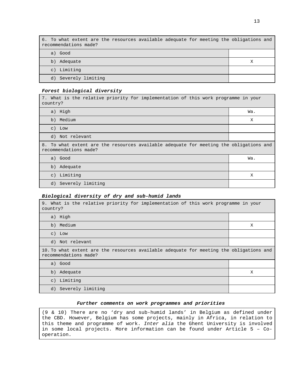| 6. To what extent are the resources available adequate for meeting the obligations and<br>recommendations made? |   |
|-----------------------------------------------------------------------------------------------------------------|---|
| a) Good                                                                                                         |   |
| Adequate<br>b)                                                                                                  | х |
| c) Limiting                                                                                                     |   |
| d) Severely limiting                                                                                            |   |

#### **Forest biological diversity**

7. What is the relative priority for implementation of this work programme in your country?

| a) High                                                                                                         | Wa. |
|-----------------------------------------------------------------------------------------------------------------|-----|
| b) Medium                                                                                                       | X   |
| $c)$ Low                                                                                                        |     |
| d) Not relevant                                                                                                 |     |
| 8. To what extent are the resources available adequate for meeting the obligations and<br>recommendations made? |     |
| a) Good                                                                                                         | Wa. |
| b) Adequate                                                                                                     |     |
| c) Limiting                                                                                                     | X   |
| d) Severely limiting                                                                                            |     |

### **Biological diversity of dry and sub-humid lands**

| 9. What is the relative priority for implementation of this work programme in your<br>country?                   |   |  |  |  |
|------------------------------------------------------------------------------------------------------------------|---|--|--|--|
| a) High                                                                                                          |   |  |  |  |
| b) Medium                                                                                                        | X |  |  |  |
| $c)$ Low                                                                                                         |   |  |  |  |
| d) Not relevant                                                                                                  |   |  |  |  |
| 10. To what extent are the resources available adequate for meeting the obligations and<br>recommendations made? |   |  |  |  |
| a) Good                                                                                                          |   |  |  |  |
| b) Adequate                                                                                                      | X |  |  |  |
| Limiting<br>$\circ$ )                                                                                            |   |  |  |  |
| d) Severely limiting                                                                                             |   |  |  |  |

#### **Further comments on work programmes and priorities**

(9 & 10) There are no 'dry and sub-humid lands' in Belgium as defined under the CBD. However, Belgium has some projects, mainly in Africa, in relation to this theme and programme of work. Inter alia the Ghent University is involved in some local projects. More information can be found under Article 5 – Cooperation.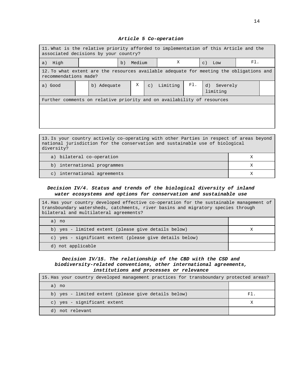#### **Article 5 Co-operation**

| 11. What is the relative priority afforded to implementation of this Article and the<br>associated decisions by your country? |  |             |    |        |                |                            |     |  |                         |  |  |
|-------------------------------------------------------------------------------------------------------------------------------|--|-------------|----|--------|----------------|----------------------------|-----|--|-------------------------|--|--|
| High<br>a)                                                                                                                    |  |             | b) | Medium |                | X<br>Low<br>$\mathsf{C}$ ) |     |  | F1.                     |  |  |
| 12. To what extent are the resources available adequate for meeting the obligations and<br>recommendations made?              |  |             |    |        |                |                            |     |  |                         |  |  |
| a) Good                                                                                                                       |  | b) Adequate |    | X      | $\mathsf{C}$ ) | Limiting                   | FI. |  | d) Severely<br>limiting |  |  |
| Further comments on relative priority and on availability of resources                                                        |  |             |    |        |                |                            |     |  |                         |  |  |
|                                                                                                                               |  |             |    |        |                |                            |     |  |                         |  |  |
|                                                                                                                               |  |             |    |        |                |                            |     |  |                         |  |  |

13. Is your country actively co-operating with other Parties in respect of areas beyond national jurisdiction for the conservation and sustainable use of biological diversity?

| a) bilateral co-operation   |  |
|-----------------------------|--|
| b) international programmes |  |
| c) international agreements |  |

# **Decision IV/4. Status and trends of the biological diversity of inland water ecosystems and options for conservation and sustainable use**

| 14. Has your country developed effective co-operation for the sustainable management of<br>transboundary watersheds, catchments, river basins and migratory species through<br>bilateral and multilateral agreements? |  |  |  |
|-----------------------------------------------------------------------------------------------------------------------------------------------------------------------------------------------------------------------|--|--|--|
| a) no                                                                                                                                                                                                                 |  |  |  |
| b) yes - limited extent (please give details below)                                                                                                                                                                   |  |  |  |
| c) yes - significant extent (please give details below)                                                                                                                                                               |  |  |  |
| d) not applicable                                                                                                                                                                                                     |  |  |  |

# **Decision IV/15. The relationship of the CBD with the CSD and biodiversity-related conventions, other international agreements, institutions and processes or relevance**

| 15. Has your country developed management practices for transboundary protected areas? |     |
|----------------------------------------------------------------------------------------|-----|
| a) no                                                                                  |     |
| b) yes - limited extent (please give details below)                                    | Fl. |
| c) yes - significant extent                                                            |     |
| not relevant<br>d)                                                                     |     |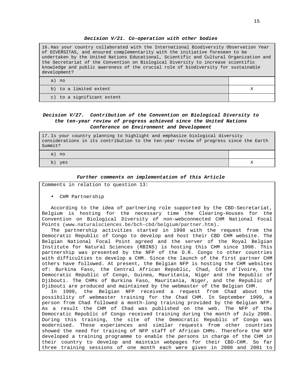#### **Decision V/21. Co-operation with other bodies**

16. Has your country collaborated with the International Biodiversity Observation Year of DIVERSITAS, and ensured complementarity with the initiative foreseen to be undertaken by the United Nations Educational, Scientific and Cultural Organization and the Secretariat of the Convention on Biological Diversity to increase scientific knowledge and public awareness of the crucial role of biodiversity for sustainable development?

a) no b) to a limited extent X c) to a significant extent

### **Decision V/27. Contribution of the Convention on Biological Diversity to the ten-year review of progress achieved since the United Nations Conference on Environment and Development**

17. Is your country planning to highlight and emphasize biological diversity considerations in its contribution to the ten-year review of progress since the Earth Summit?

a) no

b) yes  $X$ 

#### **Further comments on implementation of this Article**

Comments in relation to question 13:

• CHM Partnership

According to the idea of partnering role supported by the CBD-Secretariat, Belgium is hosting for the necessary time the Clearing-Houses for the Convention on Biological Diversity of non-webconnected CHM National Focal Points (www.naturalsciences.be/bch-cbd/belgium/partner.htm).

The partnership activities started in 1998 with the request from the Democratic Republic of Congo to develop and host their CBD CHM website. The Belgian National Focal Point agreed and the server of the Royal Belgian Institute for Natural Sciences (RBINS) is hosting this CHM since 1998. This partnership was presented by the NFP of the D.R. Congo to other countries with difficulties to develop a CHM. Since the launch of the first partner CHM others have followed. At present, the Belgian NFP is hosting the CHM websites of: Burkina Faso, the Central African Republic, Chad, Côte d'Ivoire, the Democratic Republic of Congo, Guinea, Mauritania, Niger and the Republic of Djibouti. The CHMs of Burkina Faso, Mauritania, Niger, and the Republic of Djibouti are produced and maintained by the webmaster of the Belgian CHM.

In 1999, the Belgian NFP received a request from Chad about the possibility of webmaster training for the Chad CHM. In September 1999, a person from Chad followed a month-long training provided by the Belgian NFP. As a result the CHM of Chad was published on the web. The NFP of the Democratic Republic of Congo received training during the month of July 2000. During this training, the site of the Democratic Republic of Congo was modernised. These experiences and similar requests from other countries showed the need for training of NFP staff of African CHMs. Therefore the NFP developed a training programme to enable the persons in charge of the CHM in their country to develop and maintain webpages for their CBD-CHM. So far three training sessions of one month each were given in 2000 and 2001 to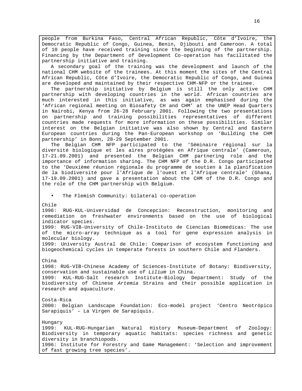people from Burkina Faso, Central African Republic, Côte d'Ivoire, the Democratic Republic of Congo, Guinea, Benin, Djibouti and Cameroon. A total of 10 people have received training since the beginning of the partnership. Financing by the Department of Development Co-operation has facilitated the partnership initiative and training.

A secondary goal of the training was the development and launch of the national CHM website of the trainees. At this moment the sites of the Central African Republic, Côte d'Ivoire, the Democratic Republic of Congo, and Guinea are developed and maintained by their respective CHM-NFP or the trainee.

The partnership initiative by Belgium is still the only active CHM partnership with developing countries in the world. African countries are much interested in this initiative, as was again emphasised during the 'African regional meeting on Biosafety CH and CHM' at the UNEP Head Quarters in Nairobi, Kenya from 26-28 February 2001. Following the two presentations on partnership and training possibilities representatives of different countries made requests for more information on these possibilities. Similar interest on the Belgian initiative was also shown by Central and Eastern European countries during the Pan-European workshop on 'Building the CHM partnership' in Bonn, 28-29 September 2001.

The Belgian CHM NFP participated to the 'Séminaire régional sur la diversité biologique et les aires protégées en Afrique centrale' (Cameroun, 17-21.09.2001) and presented the Belgian CHM partnering role and the importance of information sharing. The CHM NFP of the D.R. Congo participated to the 'Deuxième réunion régionale du programme de soutien à la planification de la biodiversité pour l'Afrique de l'ouest et l'Afrique centrale' (Ghana, 17-19.09.2001) and gave a presentation about the CHM of the D.R. Congo and the role of the CHM partnership with Belgium.

The Flemish Community: bilateral co-operation

Chile

1996: RUG-KUL-Universidad de Concepcion: Reconstruction, monitoring and remediation on freshwater environments based on the use of biological indicator species.

1999: RUG-VIB-University of Chile-Instituto de Ciencias Biomedicas: The use of the micro-array technique as a tool for gene expression analysis in molecular biology.

1999: University Austral de Chile: Comparison of ecosystem functioning and biogeochemical cycles in temperate forests in southern Chile and Flanders.

China

1998: RUG-VIB-Chinese Academy of Sciences-Institute of Botany: Biodiversity, conservation and sustainable use of Lilium in China.

1999: KUL-RUG-Salt research Institute-Biology Department: Study of the biodiversity of Chinese Artemia Strains and their possible application in research and aquaculture.

Costa-Rica 2000: Belgian Landscape Foundation: Eco-model project 'Centro Neotrópico Sarapiquis' – La Virgen de Sarapiquis.

Hungary 1999: KUL-RUG-Hungarian Natural History Museum-Department of Zoology: Biodiversity in temporary aquatic habitats: species richness and genetic diversity in branchiopods. 1996: Institute for Forestry and Game Management: 'Selection and improvement of fast growing tree species'.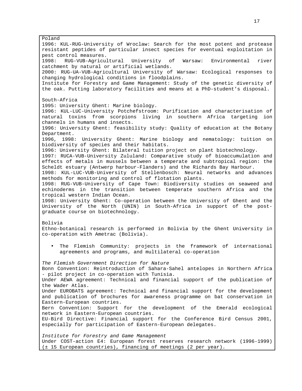Poland 1996: KUL-RUG-University of Wroclaw: Search for the most potent and protease resistant peptides of particular insect species for eventual exploitation in pest control measures. 1998: RUG-VUB-Agricultural University of Warsaw: Environmental river catchment by natural or artificial wetlands. 2000: RUG-UA-VUB-Agricultural University of Warsaw: Ecological responses to changing hydrological conditions in floodplains. Institute for Forestry and Game Management: Study of the genetic diversity of the oak. Putting laboratory facilities and means at a PhD-student's disposal. South-Africa 1995: University Ghent: Marine biology. 1996: KUL-LUC-University Potchefstroom: Purification and characterisation of natural toxins from scorpions living in southern Africa targeting ion channels in humans and insects. 1996: University Ghent: feasibility study: Quality of education at the Botany Department. 1996, 1998: University Ghent: Marine biology and nematology: tuition on biodiversity of species and their habitats. 1996: University Ghent: Bilateral tuition project on plant biotechnology. 1997: RUCA-VUB-University Zululand: Comparative study of bioaccumulation and effects of metals in mussels between a temperate and subtropical region: the Scheldt estuary (Antwerp harbour-Flanders) and the Richards Bay Harbour. 1998: KUL-LUC-VUB-University of Stellenbosch: Neural networks and advances methods for monitoring and control of flotation plants. 1998: RUG-VUB-University of Cape Town: Biodiversity studies on seaweed and echinoderms in the transition between temperate southern Africa and the tropical western Indian Ocean. 1998: University Ghent: Co-operation between the University of Ghent and the University of the North (UNIN) in South-Africa in support of the postgraduate course on biotechnology. Bolivia Ethno-botanical research is performed in Bolivia by the Ghent University in co-operation with Ametrac (Bolivia). • The Flemish Community: projects in the framework of international agreements and programs, and multilateral co-operation The Flemish Government Direction for Nature Bonn Convention: Reintroduction of Sahara-Sahel antelopes in Northern Africa - pilot project in co-operation with Tunisia. Under AEWA agreement: Technical and financial support of the publication of the Wader Atlas. Under EUROBATS agreement: Technical and financial support for the development and publication of brochures for awareness programme on bat conservation in Eastern-European countries. Bern Convention: Support for the development of the Emerald ecological network in Eastern-European countries. EU-Bird Directive: Financial support for the Conference Bird Census 2001, especially for participation of Eastern-European delegates. Institute for Forestry and Game Management Under COST-action E4: European forest reserves research network (1996-1999) (± 15 European countries), financing of meetings (2 per year).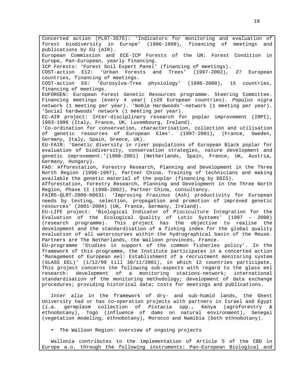Concerted action (PL97-3575): 'Indicators for monitoring and evaluation of forest biodiversity in Europe' (1996-1999), financing of meetings and publications by EU (AIR). European Commission and ECE-ICP Forests of the UN: Forest Condition in Europe, Pan-European, yearly financing. ICP Forests: 'Forest Soil Expert Panel' (financing of meetings). COST-action E12: 'Urban Forests and Trees' (1997-2002), 27 European countries, financing of meetings. COST-action E6: 'Eurosylva-Tree physiology' (1996-2000), 15 countries, financing of meetings. EUFORGEN: European Forest Genetic Resources programme. Steering Committee. Financing meetings (every 4 year) (±20 European countries). Populus nigra network (1 meeting per year). 'Noble Hardwoods'-network (1 meeting per year). 'Social hardwoods' network (1 meeting per year). EC-AIR project: Inter-disciplinary research for poplar improvement (IRPI), 1993-1996 (Italy, France, UK, Luxembourg, Ireland). 'Co-ordination for conservation, characterisation, collection and utilisation of genetic resources of European Elms'. (1997-2001), (France, Sweden, Germany, Italy, Spain, Greece, UK). EU-FAIR: 'Genetic diversity in river populations of European Black poplar for evaluation of biodiversity, conservation strategies, nature development and genetic improvement.'(1998-2001) (Netherlands, Spain, France, UK, Austria, Germany, Hungary). FAO: Afforestation, Forestry Research, Planning and Development in the Three North Region (1996-1997), Partner China. Training of technicians and making available the genetic material of the poplar (financing by DGIS). Afforestation, Forestry Research, Planning and Development in the Three North Region, Phase II (1998-2002), Partner China, consultancy. FAIR5-QLRT-2000-00631: 'Improving Fraxinus (Ash) productivity for European needs by testing, selection, propagation and promotion of improved genetic resources' (2001-2004) (UK, France, Germany, Ireland). EU-LIFE project: 'Biological Indicator of Pisciculture Integration for the Evaluation of the Ecological Quality of Lotic Systems' (1997 – 2000) (research programme). This project has the objective to realise the development and the standardisation of a fishing index for the global quality evaluation of all watercourses within the hydrographical basin of the Meuse. Partners are The Netherlands, the Walloon provinces, France. EU-programme 'Studies in support of the common fisheries policy'. In the framework of this programme, the Institute participates in a concerted action 'Management of European eel: Establishment of a recruitment monitoring system (GLASS EEL)' (1/12/99 till 30/11/2001), in which 12 countries participate. This project concerns the following sub-aspects with regard to the glass eel research: development of a monitoring stations-network; international standardisation of the monitoring methodology; development of data exchange procedures; providing historical data; costs for meetings and publications. Inter alia in the framework of dry- and sub-humid lands, the Ghent

University had or has co-operation projects with partners in Israel and Egypt (i.a. germplasm collection of Pistacia spp., Kenya (agroforestry & ethnobotany), Togo (influence of dams on natural environment), Senegal (vegetation modeling, ethnobotany), Morocco and Namibia (both ethnobotany).

• The Walloon Region: overview of ongoing projects

Wallonia contributes to the implementation of Article 5 of the CBD in Europe a.o. through the following instruments: Pan-European Biological and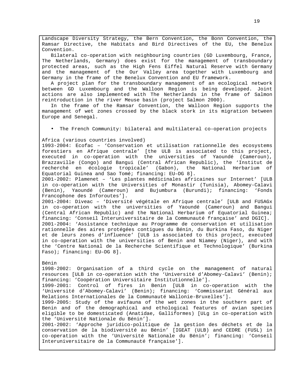Landscape Diversity Strategy, the Bern Convention, the Bonn Convention, the Ramsar Directive, the Habitats and Bird Directives of the EU, the Benelux Convention.

Bilateral co-operation with neighbouring countries (GD Luxembourg, France, The Netherlands, Germany) does exist for the management of transboundary protected areas, such as the High Fens Eiffel Natural Reserve with Germany and the management of the Our Valley area together with Luxembourg and Germany in the frame of the Benelux Convention and EU framework.

A project plan for the transboundary management of an ecological network between GD Luxembourg and the Walloon Region is being developed. Joint actions are also implemented with The Netherlands in the frame of Salmon reintroduction in the river Meuse basin (project Salmon 2000).

In the frame of the Ramsar Convention, the Walloon Region supports the management of wet zones crossed by the black stork in its migration between Europe and Senegal.

• The French Community: bilateral and multilateral co-operation projects

#### Africa (various countries involved)

1993-2004: Ecofac – 'Conservation et utilisation rationnelle des ecosystems forestiers en Afrique centrale' [the ULB is associated to this project, executed in co-operation with the universities of Yaoundé (Cameroun), Brazzaville (Congo) and Bangui (Central African Republic), the 'Institut de recherché en écologie tropicale' (Gabon), the National Herbarium of Equatorial Guinea and Sao Tomé; financing: EU–DG 8].

2001-2002: Plamenet – 'Les plantes médicinales africaines sur Internet' [ULB in co-operation with the Universities of Monastir (Tunisia), Abomey-Calavi (Benin), Yaoundé (Cameroun) and Bujumbura (Burundi); financing: 'Fonds Francophone des Inforoutes'].

2001-2004: Diveac – 'Diversité végétale en Afrique centrale' [ULB and FUSAGx in co-operation with the universities of Yaoundé (Cameroun) and Bangui (Central African Republic) and the National Herbarium of Equatorial Guinea; financing: 'Conseil Interuniversitaire de la Communauté française' and DGIC]. 2001-2004: 'Assistance technique au Programme de conservation et utilisation rationnelle des aires protégées contigues du Bénin, du Burkina Faso, du Niger et de leurs zones d'influence' [ULB is associated to this project, executed in co-operation with the universities of Benin and Niamey (Niger), and with the 'Centre National de la Recherche Scientifique et Technologique' (Burkina Faso); financing: EU–DG 8].

#### Bénin

1998-2002: Organisation of a third cycle on the management of natural resources [ULB in co-operation with the 'Université d'Abomey-Calavi' (Benin); financing: 'Coopération Universitaire Institutionnelle'].

1999-2001: Control of fires in Benin [ULB in co-operation with the 'Université d'Abomey-Calavi' (Benin); financing: 'Commissariat Général aux Relations Internationales de la Communauté Wallonie-Bruxelles'].

1999-2005: Study of the avifauna of the wet zones in the southern part of Benin and of the demographical and ethological features of avian species eligible to be domesticated (Anatidae, Galliformes) [ULg in co-operation with the 'Université Nationale du Bénin'].

2001-2002: 'Approche juridico-politique de la gestion des déchets et de la conservation de la biodiversité au Bénin' [IGEAT (ULB) and CEDRE (FUSL) in co-operation with the 'Université Nationale du Bénin'; financing: 'Conseil Interuniversitaire de la Communauté française'].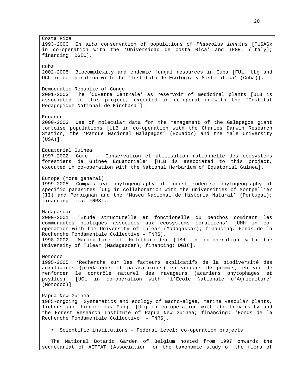Costa Rica 1993-2000: In situ conservation of populations of Phaseolus lunatus [FUSAGx in co-operation with the 'Universidad de Costa Rica' and IPGRI (Italy); financing: DGIC]. Cuba 2002-2005: Biocomplexity and endemic fungal resources in Cuba [FUL, ULg and UCL in co-operation with the 'Instituto de Ecologia y Sistematica' (Cuba)]. Democratic Republic of Congo 2001-2003: The 'Cuvette Centrale' as reservoir of medicinal plants [ULB is associated to this project, executed in co-operation with the 'Institut Pédagogique National de Kinshasa']. Ecuador 2000-2003: Use of molecular data for the management of the Galapagos giant tortoise populations [ULB in co-operation with the Charles Darwin Research Station, the 'Parque Nacional Galapagos' (Ecuador) and the Yale University (USA)]. Equatorial Guinea 1997-2002: Curef – 'Conservation et utilisation rationnelle des ecosystems forestiers de Guinée Equatoriale' [ULB is associated to this project, executed in co-operation with the National Herbarium of Equatorial Guinea]. Europe (more general) 1999-2005: Comparative phylogeography of forest rodents; phylogeography of specific parasites [ULg in collaboration with the universities of Montpellier (II) and Perpignan and the 'Museu Nacional de Historia Natural' (Portugal); financing: i.a. FNRS]. Madagascar 2000-2001: 'Etude structurelle et fonctionelle du benthos dominant les communautés biotiques associées aux ecosystems coralliens' [UMH in cooperation with the University of Tulear (Madagascar); financing: Fonds de la Recherche Fondamentale Collective – FNRS]. 1998-2002: Mariculture of Holothuroidea [UMH in co-operation with the University of Tulear (Madagascar); financing: DGIC]. Morocco 1995-2005: 'Recherche sur les facteurs explicatifs de la biodiversité des auxiliaires (prédateurs et parasitoïdes) en vergers de pommes, en vue de renforcer le contrôle naturel des ravageurs (acariens phytophages et psylles)' [UCL in co-operation with 'l'Ecole Nationale d'Agriculture' (Morocco)]. Papua New Guinea 1985-ongoing: Systematics and ecology of macro-algae, marine vascular plants, lichens and lignicolous Fungi [ULg in co-operation with the University and the Forest Research Institute of Papua New Guinea; financing: 'Fonds de la Recherche Fondamentale Collective' – FNRS]. • Scientific institutions - Federal level: co-operation projects The National Botanic Garden of Belgium hosted from 1997 onwards the

secretariat of AETFAT (Association for the taxonomic study of the flora of

20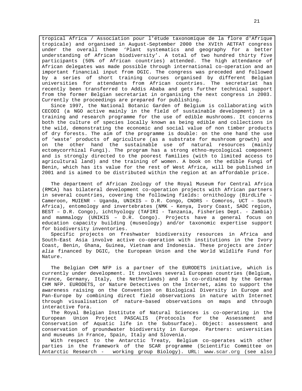tropical Africa / Association pour l'étude taxonomique de la flore d'Afrique tropicale) and organised in August-September 2000 the XVIth AETFAT congress under the overall theme 'Plant systematics and geography for a better understanding of African biodiversity'. A total of two hundred thirty five participants (50% of African countries) attended. The high attendance of African delegates was made possible through international co-operation and an important financial input from DGIC. The congress was preceded and followed by a series of short training courses organised by different Belgian universities for attendants from African countries. The secretariat has recently been transferred to Addis Ababa and gets further technical support from the former Belgian secretariat in organising the next congress in 2003. Currently the proceedings are prepared for publishing.

Since 1997, the National Botanic Garden of Belgium is collaborating with CECODI (a NGO active mainly in the field of sustainable development) in a training and research programme for the use of edible mushrooms. It concerns both the culture of species locally known as being edible and collections in the wild, demonstrating the economic and social value of non timber products of dry forests. The aim of the programme is double: on the one hand the use of 'waste' products of agriculture (as a substrate for mushroom growth) and on the other hand the sustainable use of natural resources (mainly ectomycorrhizal Fungi). The program has a strong ethno-mycological component and is strongly directed to the poorest families (with to limited access to agricultural land) and the training of women. A book on the edible Fungi of Benin, which has its value for the rest of West Africa, will be published in 2001 and is aimed to be distributed within the region at an affordable price.

The department of African Zoology of the Royal Museum for Central Africa (RMCA) has bilateral development co-operation projects with African partners in several countries, covering the following fields: ornithology (BirdLife - Cameroon, MUIENR - Uganda, UNIKIS – D.R. Congo, CNDRS - Comoros, UCT – South Africa), entomology and invertebrates (NMK - Kenya, Ivory Coast, SADC region, BEST – D.R. Congo), ichthyology (TAFIRI - Tanzania, Fisheries Dept. - Zambia) and mammalogy (UNIKIS – D.R. Congo). Projects have a general focus on education capacity building (museology) and/or taxonomic expertise support for biodiversity inventories.

Specific projects on freshwater biodiversity resources in Africa and South-East Asia involve active co-operation with institutions in the Ivory Coast, Benin, Ghana, Guinea, Vietnam and Indonesia. These projects are inter alia financed by DGIC, the European Union and the World Wildlife Fund for Nature.

The Belgian CHM NFP is a partner of the EURODETS initiative, which is currently under development. It involves several European countries (Belgium, France, Germany, Italy, the Netherlands) and is co-ordinated by the German CHM NFP. EURODETS, or Nature Detectives on the Internet, aims to support the awareness raising on the Convention on Biological Diversity in Europe and Pan-Europe by combining direct field observations in nature with Internet through visualisation of nature-based observations on maps and through interactive fora.

The Royal Belgian Institute of Natural Sciences is co-operating in the European Union Project PASCALIS (Protocols for the Assessment and Conservation of Aquatic life in the Subsurface). Object: assessment and conservation of groundwater biodiversity in Europe. Partners: universities and museums in France, Spain, Italy and Slovenia.

With respect to the Antarctic Treaty, Belgium co-operates with other parties in the framework of the SCAR programme (Scientific Committee on Antarctic Research - working group Biology). URL: www.scar.org (see also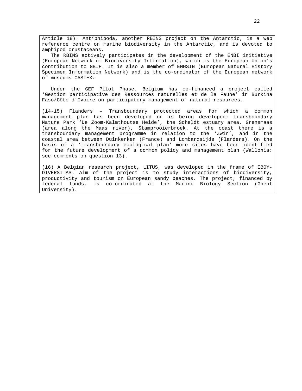Article 18). Ant'phipoda, another RBINS project on the Antarctic, is a web reference centre on marine biodiversity in the Antarctic, and is devoted to amphipod crustaceans.

The RBINS actively participates in the development of the ENBI initiative (European Network of Biodiversity Information), which is the European Union's contribution to GBIF. It is also a member of ENHSIN (European Natural History Specimen Information Network) and is the co-ordinator of the European network of museums CASTEX.

Under the GEF Pilot Phase, Belgium has co-financed a project called 'Gestion participative des Ressources naturelles et de la Faune' in Burkina Faso/Côte d'Ivoire on participatory management of natural resources.

(14-15) Flanders – Transboundary protected areas for which a common management plan has been developed or is being developed: transboundary Nature Park 'De Zoom-Kalmthoutse Heide', the Scheldt estuary area, Grensmaas (area along the Maas river), Stamprooierbroek. At the coast there is a transboundary management programme in relation to the 'Zwin', and in the coastal area between Duinkerken (France) and Lombardsijde (Flanders). On the basis of a 'transboundary ecological plan' more sites have been identified for the future development of a common policy and management plan (Wallonia: see comments on question 13).

(16) A Belgian research project, LITUS, was developed in the frame of IBOY-DIVERSITAS. Aim of the project is to study interactions of biodiversity, productivity and tourism on European sandy beaches. The project, financed by federal funds, is co-ordinated at the Marine Biology Section (Ghent University).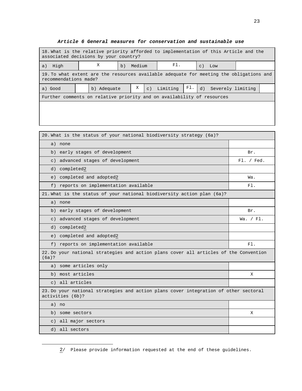| 18. What is the relative priority afforded to implementation of this Article and the<br>associated decisions by your country? |  |             |    |        |  |             |     |                 |                   |  |
|-------------------------------------------------------------------------------------------------------------------------------|--|-------------|----|--------|--|-------------|-----|-----------------|-------------------|--|
| High<br>a)                                                                                                                    |  | Χ           | b) | Medium |  | F1.         |     | $\mathcal{C}$ ) | Low               |  |
| 19. To what extent are the resources available adequate for meeting the obligations and<br>recommendations made?              |  |             |    |        |  |             |     |                 |                   |  |
| a) Good                                                                                                                       |  | b) Adequate |    | X      |  | c) Limiting | F1. | d)              | Severely limiting |  |
| Further comments on relative priority and on availability of resources                                                        |  |             |    |        |  |             |     |                 |                   |  |
|                                                                                                                               |  |             |    |        |  |             |     |                 |                   |  |
|                                                                                                                               |  |             |    |        |  |             |     |                 |                   |  |

### **Article 6 General measures for conservation and sustainable use**

| 20. What is the status of your national biodiversity strategy (6a)?                                      |            |
|----------------------------------------------------------------------------------------------------------|------------|
| a) none                                                                                                  |            |
| b) early stages of development                                                                           | Br.        |
| advanced stages of development<br>$\in$ )                                                                | Fl. / Fed. |
| completed2<br>d)                                                                                         |            |
| completed and adopted2<br>e)                                                                             | Wa.        |
| f) reports on implementation available                                                                   | F1.        |
| 21. What is the status of your national biodiversity action plan (6a)?                                   |            |
| a) none                                                                                                  |            |
| b) early stages of development                                                                           | Br.        |
| c) advanced stages of development                                                                        | Wa. / FI.  |
| d) completed2                                                                                            |            |
| e) completed and adopted2                                                                                |            |
| f) reports on implementation available                                                                   | $F1$ .     |
| 22. Do your national strategies and action plans cover all articles of the Convention<br>(6a)?           |            |
| a) some articles only                                                                                    |            |
| b) most articles                                                                                         | Χ          |
| c) all articles                                                                                          |            |
| 23. Do your national strategies and action plans cover integration of other sectoral<br>activities (6b)? |            |
| a) no                                                                                                    |            |
| b) some sectors                                                                                          | Χ          |
| all major sectors<br>$\circ$ )                                                                           |            |
| d) all sectors                                                                                           |            |

<sup>2/</sup> Please provide information requested at the end of these guidelines.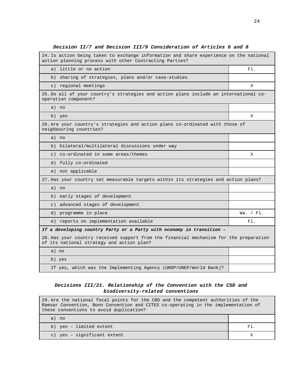| 24. Is action being taken to exchange information and share experience on the national<br>action planning process with other Contracting Parties? |             |
|---------------------------------------------------------------------------------------------------------------------------------------------------|-------------|
| little or no action<br>a)                                                                                                                         | $F1$ .      |
| b) sharing of strategies, plans and/or case-studies                                                                                               |             |
| c) regional meetings                                                                                                                              | X           |
| 25. Do all of your country's strategies and action plans include an international co-<br>operation component?                                     |             |
| a) no                                                                                                                                             |             |
| b) yes                                                                                                                                            | X           |
| 26. Are your country's strategies and action plans co-ordinated with those of<br>neighbouring countries?                                          |             |
| a) no                                                                                                                                             |             |
| bilateral/multilateral discussions under way<br>b)                                                                                                |             |
| c) co-ordinated in some areas/themes                                                                                                              | X           |
| d) fully co-ordinated                                                                                                                             |             |
| e) not applicable                                                                                                                                 |             |
| 27. Has your country set measurable targets within its strategies and action plans?                                                               |             |
| a) no                                                                                                                                             |             |
| b) early stages of development                                                                                                                    |             |
| c) advanced stages of development                                                                                                                 |             |
| d) programme in place                                                                                                                             | Wa. $/$ Fl. |
| e) reports on implementation available                                                                                                            | F1.         |
| If a developing country Party or a Party with economy in transition -                                                                             |             |
| 28. Has your country received support from the financial mechanism for the preparation<br>of its national strategy and action plan?               |             |
| a) no                                                                                                                                             |             |
| b) yes                                                                                                                                            |             |
| If yes, which was the Implementing Agency (UNDP/UNEP/World Bank)?                                                                                 |             |

# **Decision II/7 and Decision III/9 Consideration of Articles 6 and 8**

# **Decisions III/21. Relationship of the Convention with the CSD and biodiversity-related conventions**

| 29. Are the national focal points for the CBD and the competent authorities of the<br>Ramsar Convention, Bonn Convention and CITES co-operating in the implementation of<br>these conventions to avoid duplication? |        |  |  |  |
|---------------------------------------------------------------------------------------------------------------------------------------------------------------------------------------------------------------------|--------|--|--|--|
|                                                                                                                                                                                                                     |        |  |  |  |
| a) no                                                                                                                                                                                                               |        |  |  |  |
| b) yes - limited extent                                                                                                                                                                                             | $F1$ . |  |  |  |
| c) yes - significant extent                                                                                                                                                                                         |        |  |  |  |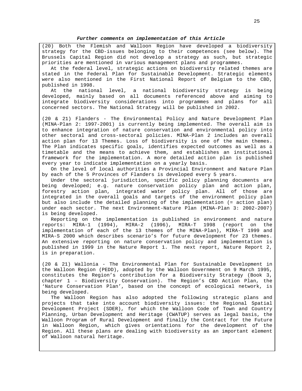#### **Further comments on implementation of this Article**

(20) Both the Flemish and Walloon Region have developed a biodiversity strategy for the CBD-issues belonging to their competences (see below). The Brussels Capital Region did not develop a strategy as such, but strategic priorities are mentioned in various management plans and programmes.

At the federal level, strategic actions on biodiversity related themes are stated in the Federal Plan for Sustainable Development. Strategic elements were also mentioned in the First National Report of Belgium to the CBD, published in 1998.

At the national level, a national biodiversity strategy is being developed, mainly based on all documents referenced above and aiming to integrate biodiversity considerations into programmes and plans for all concerned sectors. The National Strategy will be published in 2002.

(20 & 21) Flanders - The Environmental Policy and Nature Development Plan (MINA-Plan 2: 1997-2001) is currently being implemented. The overall aim is to enhance integration of nature conservation and environmental policy into other sectoral and cross-sectoral policies. MINA-Plan 2 includes an overall action plan for 13 Themes. Loss of biodiversity is one of the main themes. The Plan indicates specific goals, identifies expected outcomes as well as a timetable and the means to achieve them, and establishes an institutional framework for the implementation. A more detailed action plan is published every year to indicate implementation on a yearly basis.

On the level of local authorities a Provincial Environment and Nature Plan by each of the 5 Provinces of Flanders is developed every 5 years.

Under the sectoral jurisdiction, specific policy planning documents are being developed; e.g. nature conservation policy plan and action plan, forestry action plan, integrated water policy plan. All of those are integrated in the overall goals and targets of the environment policy plan but also include the detailed planning of the implementation (= action plan) under each sector. The next Environment-Nature Plan (MINA-Plan 3: 2002-2007) is being developed.

Reporting on the implementation is published in environment and nature reports: MIRA-1 (1994), MIRA-2 (1996), MIRA-T 1998 (report on the implementation of each of the 13 themes of the MINA-Plan), MIRA-T 1999 and MIRA-S 2000 which describes scenario's for future development for 23 themes. An extensive reporting on nature conservation policy and implementation is published in 1999 in the Nature Report 1. The next report, Nature Report 2, is in preparation.

(20 & 21) Wallonia - The Environmental Plan for Sustainable Development in the Walloon Region (PEDD), adopted by the Walloon Government on 9 March 1995, constitutes the Region's contribution for a Biodiversity Strategy (Book 3, chapter 1 – Biodiversity Conservation). The Region's CBD Action Plan, the 'Nature Conservation Plan', based on the concept of ecological network, is being developed.

The Walloon Region has also adopted the following strategic plans and projects that take into account biodiversity issues: the Regional Spatial Development Project (SDER), for which the Walloon Code of Town and Country Planning, Urban Development and Heritage (CWATUP) serves as legal basis, the Walloon Program of Rural Development and finally the Contract for the Future in Walloon Region, which gives orientations for the development of the Region. All these plans are dealing with biodiversity as an important element of Walloon natural heritage.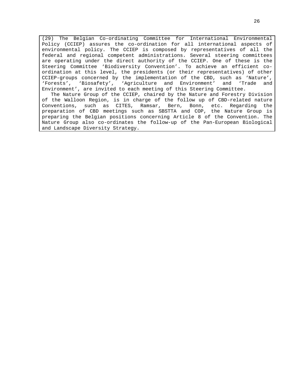(29) The Belgian Co-ordinating Committee for International Environmental Policy (CCIEP) assures the co-ordination for all international aspects of environmental policy. The CCIEP is composed by representatives of all the federal and regional competent administrations. Several steering committees are operating under the direct authority of the CCIEP. One of these is the Steering Committee 'Biodiversity Convention'. To achieve an efficient coordination at this level, the presidents (or their representatives) of other CCIEP-groups concerned by the implementation of the CBD, such as 'Nature', 'Forests', 'Biosafety', 'Agriculture and Environment' and 'Trade and Environment', are invited to each meeting of this Steering Committee.

The Nature Group of the CCIEP, chaired by the Nature and Forestry Division of the Walloon Region, is in charge of the follow up of CBD-related nature Conventions, such as CITES, Ramsar, Bern, Bonn, etc. Regarding the preparation of CBD meetings such as SBSTTA and COP, the Nature Group is preparing the Belgian positions concerning Article 8 of the Convention. The Nature Group also co-ordinates the follow-up of the Pan-European Biological and Landscape Diversity Strategy.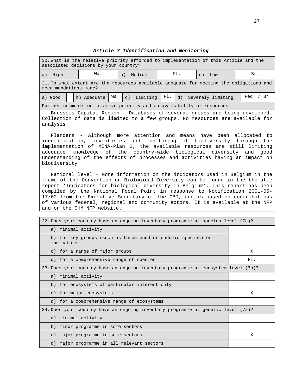**Article 7 Identification and monitoring**

| 30. What is the relative priority afforded to implementation of this Article and the<br>associated decisions by your country? |                                                             |  |  |  |  |                                                                                         |            |
|-------------------------------------------------------------------------------------------------------------------------------|-------------------------------------------------------------|--|--|--|--|-----------------------------------------------------------------------------------------|------------|
| High<br>a)                                                                                                                    | F1.<br>Wa.<br>Br.<br>Medium<br>b)<br>Low<br>$\mathcal{C}$ ) |  |  |  |  |                                                                                         |            |
| 31. To what extent are the resources available adequate for meeting the obligations and<br>recommendations made?              |                                                             |  |  |  |  |                                                                                         |            |
| a) Good                                                                                                                       | b) Adequate                                                 |  |  |  |  | Wa. c) Limiting $\begin{bmatrix} \text{Fl} \\ \text{d} \end{bmatrix}$ Severely limiting | Fed. / Br. |
| Further comments on relative priority and on availability of resources                                                        |                                                             |  |  |  |  |                                                                                         |            |

Brussels Capital Region – Databases of several groups are being developed. Collection of data is limited to a few groups. No resources are available for analysis.

Flanders - Although more attention and means have been allocated to identification, inventories and monitoring of biodiversity through the implementation of MINA-Plan 2, the available resources are still limiting adequate knowledge of the country-wide biological diversity and good understanding of the effects of processes and activities having an impact on biodiversity.

National level – More information on the indicators used in Belgium in the frame of the Convention on Biological Diversity can be found in the thematic report 'Indicators for biological diversity in Belgium'. This report has been compiled by the National Focal Point in response to Notification 2001-05- 17/02 from the Executive Secretary of the CBD, and is based on contributions of various federal, regional and community actors. It is available at the NFP and on the CHM NFP website.

| 32. Does your country have an ongoing inventory programme at species level (7a)?   |     |
|------------------------------------------------------------------------------------|-----|
| a) minimal activity                                                                |     |
| b) for key groups (such as threatened or endemic species) or<br>indicators         |     |
| c) for a range of major groups                                                     | X   |
| d) for a comprehensive range of species                                            | F1. |
| 33. Does your country have an ongoing inventory programme at ecosystem level (7a)? |     |
| a) minimal activity                                                                |     |
| b) for ecosystems of particular interest only                                      |     |
| c) for major ecosystems                                                            | X   |
| d) for a comprehensive range of ecosystems                                         |     |
| 34. Does your country have an ongoing inventory programme at genetic level (7a)?   |     |
| a) minimal activity                                                                |     |
| b) minor programme in some sectors                                                 |     |
| c) major programme in some sectors                                                 | X   |
| d) major programme in all relevant sectors                                         |     |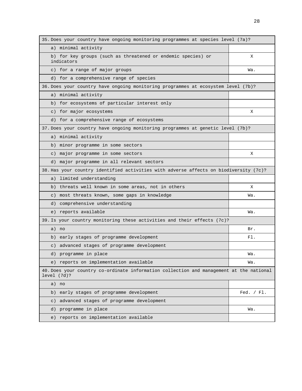| 35. Does your country have ongoing monitoring programmes at species level (7a)?                        |              |
|--------------------------------------------------------------------------------------------------------|--------------|
| a) minimal activity                                                                                    |              |
| b) for key groups (such as threatened or endemic species) or<br>indicators                             | X            |
| c) for a range of major groups                                                                         | Wa.          |
| d) for a comprehensive range of species                                                                |              |
| 36. Does your country have ongoing monitoring programmes at ecosystem level (7b)?                      |              |
| a) minimal activity                                                                                    |              |
| for ecosystems of particular interest only<br>b)                                                       |              |
| c) for major ecosystems                                                                                | X            |
| d) for a comprehensive range of ecosystems                                                             |              |
| 37. Does your country have ongoing monitoring programmes at genetic level (7b)?                        |              |
| a) minimal activity                                                                                    |              |
| minor programme in some sectors<br>b)                                                                  |              |
| major programme in some sectors<br>$\circ$ )                                                           | Χ            |
| d) major programme in all relevant sectors                                                             |              |
| 38. Has your country identified activities with adverse affects on biodiversity (7c)?                  |              |
| limited understanding<br>a)                                                                            |              |
| threats well known in some areas, not in others<br>b)                                                  | X            |
| most threats known, some gaps in knowledge<br>$\circ$ )                                                | Wa.          |
| comprehensive understanding<br>d)                                                                      |              |
| e) reports available                                                                                   | Wa.          |
| 39. Is your country monitoring these activities and their effects (7c)?                                |              |
| a) no                                                                                                  | Br.          |
| b) early stages of programme development                                                               | F1.          |
| advanced stages of programme development<br>$\circ$ )                                                  |              |
| d) programme in place                                                                                  | Wa.          |
| e) reports on implementation available                                                                 | Wa.          |
| 40. Does your country co-ordinate information collection and management at the national<br>level (7d)? |              |
| a)<br>no                                                                                               |              |
| early stages of programme development<br>b)                                                            | Fed. $/$ Fl. |
| advanced stages of programme development<br>$\circ$ )                                                  |              |
| programme in place<br>d)                                                                               | Wa.          |
| reports on implementation available<br>e)                                                              |              |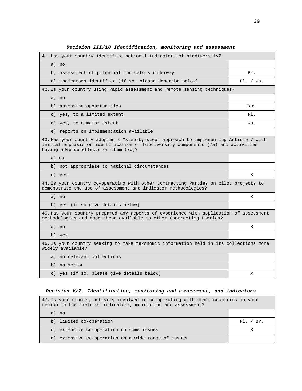| 41. Has your country identified national indicators of biodiversity?                                                                                                                                               |           |
|--------------------------------------------------------------------------------------------------------------------------------------------------------------------------------------------------------------------|-----------|
| a) no                                                                                                                                                                                                              |           |
| assessment of potential indicators underway<br>b)                                                                                                                                                                  | Br.       |
| indicators identified (if so, please describe below)<br>$\circ$ )                                                                                                                                                  | FL. / Wa. |
| 42. Is your country using rapid assessment and remote sensing techniques?                                                                                                                                          |           |
| a) no                                                                                                                                                                                                              |           |
| b) assessing opportunities                                                                                                                                                                                         | Fed.      |
| c) yes, to a limited extent                                                                                                                                                                                        | F1.       |
| d) yes, to a major extent                                                                                                                                                                                          | Wa.       |
| e) reports on implementation available                                                                                                                                                                             |           |
| 43. Has your country adopted a "step-by-step" approach to implementing Article 7 with<br>initial emphasis on identification of biodiversity components (7a) and activities<br>having adverse effects on them (7c)? |           |
| a) no                                                                                                                                                                                                              |           |
| b) not appropriate to national circumstances                                                                                                                                                                       |           |
| c) yes                                                                                                                                                                                                             | X         |
| 44. Is your country co-operating with other Contracting Parties on pilot projects to<br>demonstrate the use of assessment and indicator methodologies?                                                             |           |
| a) no                                                                                                                                                                                                              | Χ         |
| b) yes (if so give details below)                                                                                                                                                                                  |           |
| 45. Has your country prepared any reports of experience with application of assessment<br>methodologies and made these available to other Contracting Parties?                                                     |           |
| a) no                                                                                                                                                                                                              | Χ         |
| b) yes                                                                                                                                                                                                             |           |
| 46. Is your country seeking to make taxonomic information held in its collections more<br>widely available?                                                                                                        |           |
| a) no relevant collections                                                                                                                                                                                         |           |
| b) no action                                                                                                                                                                                                       |           |
| c) yes (if so, please give details below)                                                                                                                                                                          | Χ         |

# **Decision III/10 Identification, monitoring and assessment**

# **Decision V/7. Identification, monitoring and assessment, and indicators**

| 47. Is your country actively involved in co-operating with other countries in your<br>region in the field of indicators, monitoring and assessment? |           |  |  |  |
|-----------------------------------------------------------------------------------------------------------------------------------------------------|-----------|--|--|--|
| a) no                                                                                                                                               |           |  |  |  |
| b) limited co-operation                                                                                                                             | Fl. / Br. |  |  |  |
| c) extensive co-operation on some issues                                                                                                            | Х         |  |  |  |
| d) extensive co-operation on a wide range of issues                                                                                                 |           |  |  |  |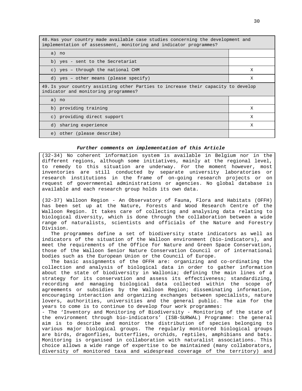| 48. Has your country made available case studies concerning the development and<br>implementation of assessment, monitoring and indicator programmes? |   |  |  |
|-------------------------------------------------------------------------------------------------------------------------------------------------------|---|--|--|
| a) no                                                                                                                                                 |   |  |  |
| b) yes - sent to the Secretariat                                                                                                                      |   |  |  |
| c) yes - through the national CHM                                                                                                                     | X |  |  |
| d) yes - other means (please specify)                                                                                                                 | X |  |  |
| 49. Is your country assisting other Parties to increase their capacity to develop<br>indicator and monitoring programmes?                             |   |  |  |
| a) no                                                                                                                                                 |   |  |  |
| b) providing training                                                                                                                                 | X |  |  |
| c) providing direct support                                                                                                                           | X |  |  |
| d) sharing experience                                                                                                                                 | X |  |  |
| e) other (please describe)                                                                                                                            |   |  |  |

#### **Further comments on implementation of this Article**

(32-34) No coherent information system is available in Belgium nor in the different regions, although some initiatives, mainly at the regional level, to remedy to this situation are underway. For the moment however, most inventories are still conducted by separate university laboratories or research institutions in the frame of on-going research projects or on request of governmental administrations or agencies. No global database is available and each research group holds its own data.

(32-37) Walloon Region - An Observatory of Fauna, Flora and Habitats (OFFH) has been set up at the Nature, Forests and Wood Research Centre of the Walloon Region. It takes care of collecting and analysing data relating to biological diversity, which is done through the collaboration between a wide range of naturalists, scientists and officials of the Nature and Forestry Division.

The programmes define a set of biodiversity state indicators as well as indicators of the situation of the Walloon environment (bio-indicators), and meet the requirements of the Office for Nature and Green Space Conservation, those of the Walloon Senior Nature Conservation Council or of international bodies such as the European Union or the Council of Europe.

The basic assignments of the OFFH are: organizing and co-ordinating the collection and analysis of biological data in order to gather information about the state of biodiversity in Wallonia; defining the main lines of a strategy for its conservation and assess its effectiveness; standardizing, recording and managing biological data collected within the scope of agreements or subsidies by the Walloon Region; disseminating information, encouraging interaction and organizing exchanges between specialists, nature lovers, authorities, universities and the general public. The aim for the years to come is to continue to develop four work programmes:

- The 'Inventory and Monitoring of Biodiversity - Monitoring of the state of the environment through bio-indicators' (ISB-SURWAL) Programme: the general aim is to describe and monitor the distribution of species belonging to various major biological groups. The regularly monitored biological groups are birds, dragonflies, butterflies, orchids, reptiles, amphibians and bats. Monitoring is organised in collaboration with naturalist associations. This choice allows a wide range of expertise to be maintained (many collaborators, diversity of monitored taxa and widespread coverage of the territory) and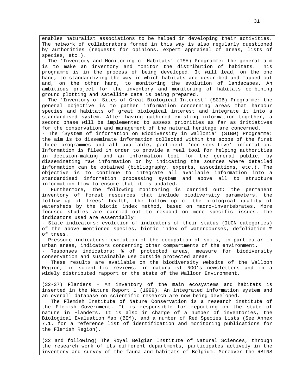enables naturalist associations to be helped in developing their activities. The network of collaborators formed in this way is also regularly questioned by authorities (requests for opinions, expert appraisal of areas, lists of species, etc.).

- The 'Inventory and Monitoring of Habitats' (ISH) Programme: the general aim is to make an inventory and monitor the distribution of habitats. This programme is in the process of being developed. It will lead, on the one hand, to standardizing the way in which habitats are described and mapped out and, on the other hand, to monitoring the evolution of landscapes. An ambitious project for the inventory and monitoring of habitats combining ground plotting and satellite data is being prepared.

- The 'Inventory of Sites of Great Biological Interest' (SGIB) Programme: the general objective is to gather information concerning areas that harbour species and habitats of great biological interest and integrate it into a standardised system. After having gathered existing information together, a second phase will be implemented to assess priorities as far as initiatives for the conservation and management of the natural heritage are concerned.

- The 'System of information on Biodiversity in Wallonia' (SIBW) Programme: the aim is to disseminate information collected within the scope of the first three programmes and all available, pertinent 'non-sensitive' information. Information is filed in order to provide a real tool for helping authorities in decision-making and an information tool for the general public, by disseminating raw information or by indicating the sources where detailed information can be obtained (bibliography, experts, associations, etc.). The objective is to continue to integrate all available information into a standardised information processing system and above all to structure information flow to ensure that it is updated.

Furthermore, the following monitoring is carried out: the permanent inventory of forest resources that include biodiversity parameters, the follow up of trees' health, the follow up of the biological quality of watersheds by the biotic index method, based on macro-invertebrates. More focused studies are carried out to respond on more specific issues. The indicators used are essentially:

- State indicators: evolution of indicators of their status (IUCN categories) of the above mentioned species, biotic index of watercourses, defoliation % of trees.

- Pressure indicators: evolution of the occupation of soils, in particular in urban areas, indicators concerning other compartments of the environment.

- Responses indicators: % of protected areas, measure for biodiversity conservation and sustainable use outside protected areas.

These results are available on the biodiversity website of the Walloon Region, in scientific reviews, in naturalist NGO's newsletters and in a widely distributed rapport on the state of the Walloon Environment.

(32-37) Flanders – An inventory of the main ecosystems and habitats is inserted in the Nature Report 1 (1999). An integrated information system and an overall database on scientific research are now being developed.

The Flemish Institute of Nature Conservation is a research institute of the Flemish Government. It is responsible for reporting on the state of nature in Flanders. It is also in charge of a number of inventories, the Biological Evaluation Map (BEM), and a number of Red Species Lists (See Annex 7.1. for a reference list of identification and monitoring publications for the Flemish Region).

(32 and following) The Royal Belgian Institute of Natural Sciences, through the research work of its different departments, participates actively in the inventory and survey of the fauna and habitats of Belgium. Moreover the RBINS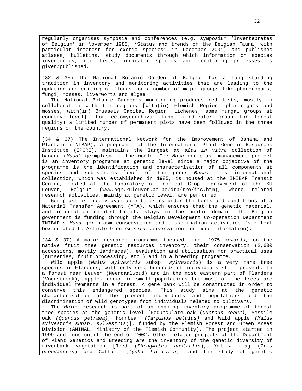regularly organises symposia and conferences (e.g. symposium 'Invertebrates of Belgium' in November 1988, 'Status and trends of the Belgian Fauna, with particular interest for exotic species' in December 2001) and publishes atlases, bulletins, study documents through which information on species inventories, red lists, indicator species and monitoring processes is given/published.

(32 & 35) The National Botanic Garden of Belgium has a long standing tradition in inventory and monitoring activities that are leading to the updating and editing of floras for a number of major groups like phanerogams, fungi, mosses, liverworts and algae.

The National Botanic Garden's monitoring produces red lists, mostly in collaboration with the regions [with(in) Flemish Region: phanerogams and mosses, with(in) Brussels Capital Region: Lichenes, some fungal groups at country level]. For ectomycorrhizal Fungi (indicator group for forest quality) a limited number of permanent plots have been followed in the three regions of the country.

(34 & 37) The International Network for the Improvement of Banana and Plantain (INIBAP), a programme of the International Plant Genetic Resources Institute (IPGRI), maintains the largest ex situ in vitro collection of banana (Musa) germplasm in the world. The Musa germplasm management project is an inventory programme at genetic level since a major objective of the programme is the identification and characterisation of all components at species and sub-species level of the genus Musa. This international collection, which was established in 1985, is housed at the INIBAP Transit Centre, hosted at the Laboratory of Tropical Crop Improvement of the KU Leuven, Belgium (www.agr.kuleuven.ac.be/dtp/tro/itc.htm), where related research activities, mainly at genetic level, are performed.

Germplasm is freely available to users under the terms and conditions of a Material Transfer Agreement (MTA), which ensures that the genetic material, and information related to it, stays in the public domain. The Belgian government is funding through the Belgian Development Co-operation Department INIBAP's Musa germplasm conservation and dissemination activities (see text box related to Article 9 on ex situ conservation for more information).

(34 & 37) A major research programme focused, from 1975 onwards, on the native fruit tree genetic resources inventory, their conservation (2,600 accessions, mostly landraces), evaluation and utilisation for practical uses (nurseries, fruit processing, etc.) and in a breeding programme.

Wild apple (Malus sylvestris subsp. sylvestris) is a very rare tree species in Flanders, with only some hundreds of individuals still present. In a forest near Leuven (Meerdaalwoud) and in the most eastern part of Flanders (Voerstreek), apples occur in small populations but most of the trees are individual remnants in a forest. A gene bank will be constructed in order to conserve this endangered species. This study aims at the genetic characterisation of the present individuals and populations and the discrimination of wild genotypes from individuals related to cultivars.

The Malus research is part of an ongoing inventory programme of forest tree species at the genetic level [Pedunculate oak (Quercus robur), Sessile oak (Quercus petraea), Hornbeam (Carpinus betulus) and Wild apple (Malus sylvestris subsp. sylvestris)], funded by the Flemish Forest and Green Areas Division (AMINAL, Ministry of the Flemish Community). The project started in 1999 and runs until the end of 2002. Other related projects at the Department of Plant Genetics and Breeding are the inventory of the genetic diversity of riverbank vegetation [Reed (Phragmites australis), Yellow flag (Iris pseudacoris) and Cattail (Typha latifolia)] and the study of genetic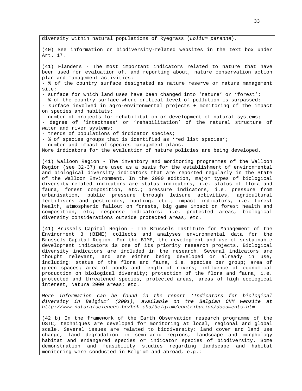diversity within natural populations of Ryegrass (Lolium perenne).

(40) See information on biodiversity-related websites in the text box under Art. 17.

(41) Flanders - The most important indicators related to nature that have been used for evaluation of, and reporting about, nature conservation action plan and management activities: - % of the country surface designated as nature reserve or nature management site;

- surface for which land uses have been changed into 'nature' or 'forest';

- % of the country surface where critical level of pollution is surpassed;

- surface involved in agro-environmental projects + monitoring of the impact on species and habitats;

- number of projects for rehabilitation or development of natural systems; - degree of 'intactness' or 'rehabilitation' of the natural structure of water and river systems;

- trends of populations of indicator species;

- % of species groups that is identified as 'red list species';

- number and impact of species management plans.

More indicators for the evaluation of nature policies are being developed.

(41) Walloon Region - The inventory and monitoring programmes of the Walloon Region (see 32-37) are used as a basis for the establishment of environmental and biological diversity indicators that are reported regularly in the State of the Walloon Environment. In the 2000 edition, major types of biological diversity-related indicators are status indicators, i.e. status of flora and fauna, forest composition, etc.; pressure indicators, i.e. pressure from urbanisation, public pressure through leisure activities, agricultural fertilisers and pesticides, hunting, etc.; impact indicators, i.e. forest health, atmospheric fallout on forests, big game impact on forest health and composition, etc; response indicators: i.e. protected areas, biological diversity considerations outside protected areas, etc.

(41) Brussels Capital Region - The Brussels Institute for Management of the Environment 3 (BIME) collects and analyses environmental data for the Brussels Capital Region. For the BIME, the development and use of sustainable development indicators is one of its priority research projects. Biological diversity indicators are included in the research. Several indicators are thought relevant, and are either being developed or already in use, including: status of the flora and fauna, i.e. species per group; area of green spaces; area of ponds and length of rivers; influence of economical production on biological diversity; protection of the flora and fauna, i.e. protected and threatened species, protected areas, areas of high ecological interest, Natura 2000 areas; etc.

More information can be found in the report 'Indicators for biological diversity in Belgium' (2001), available on the Belgian CHM website at http://www.naturalsciences.be/bch-cbd/belgium/contribution/documents.htm

(42 b) In the framework of the Earth Observation research programme of the OSTC, techniques are developed for monitoring at local, regional and global scale. Several issues are related to biodiversity: land cover and land use change, land degradation in semi-arid regions, landscape and morphology habitat and endangered species or indicator species of biodiversity. Some demonstration and feasibility studies regarding landscape and habitat monitoring were conducted in Belgium and abroad, e.g.: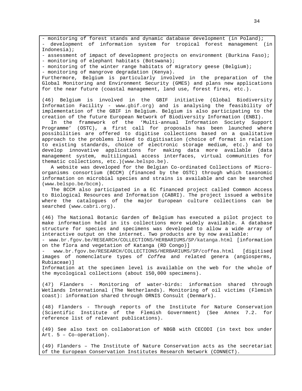- monitoring of forest stands and dynamic database development (in Poland); - development of information system for tropical forest management (in Indonesia);

- assessment of impact of development projects on environment (Burkina Faso); - monitoring of elephant habitats (Botswana);

- monitoring of the winter range habitats of migratory geese (Belgium);

- monitoring of mangrove degradation (Kenya).

Furthermore, Belgium is particularly involved in the preparation of the Global Monitoring and Environment Security (GMES) and plans new applications for the near future (coastal management, land use, forest fires, etc.).

(46) Belgium is involved in the GBIF initiative (Global Biodiversity Information Facility - www.gbif.org) and is analysing the feasibility of implementation of the GBIF in Belgium. Belgium is also participating to the creation of the future European Network of Biodiversity Information (ENBI).

In the framework of the 'Multi-annual Information Society Support Programme' (OSTC), a first call for proposals has been launched where possibilities are offered to digitise collections based on a qualitative approach to the problems linked to digitisation (choice of format in relation to existing standards, choice of electronic storage medium, etc.) and to develop innovative applications for making data more available (data management system, multilingual access interfaces, virtual communities for thematic collections, etc.)(www.belspo.be).

A website was developed for the Belgian Co-ordinated Collections of Microorganisms consortium (BCCM) (financed by the OSTC) through which taxonomic information on microbial species and strains is available and can be searched (www.belspo.be/bccm).

The BCCM also participated in a EC financed project called Common Access to Biological Resources and Information (CABRI). The project issued a website where the catalogues of the major European culture collections can be searched (www.cabri.org).

(46) The National Botanic Garden of Belgium has executed a pilot project to make information held in its collections more widely available. A database structure for species and specimens was developed to allow a wide array of interactive output on the internet. Two products are by now available:

- www.br.fgov.be/RESEARCH/COLLECTIONS/HERBARIUMS/SP/katanga.html [information on the flora and vegetation of Katanga (RD Congo)]

- www.br.fgov.be/RESEARCH/COLLECTIONS/HERBARIUMS/SP/coffea.html [digitised images of nomenclature types of Coffea and related genera (angiosperms, Rubiaceae)]

Information at the specimen level is available on the web for the whole of the mycological collections (about 150,000 specimens).

(47) Flanders - Monitoring of water-birds: information shared through Wetlands International (The Netherlands). Monitoring of oil victims (Flemish coast): information shared through ORNIS Consult (Denmark).

(48) Flanders - Through reports of the Institute for Nature Conservation (Scientific Institute of the Flemish Government) (See Annex 7.2. for reference list of relevant publications).

(49) See also text on collaboration of NBGB with CECODI (in text box under Art. 5 – Co-operation).

(49) Flanders – The Institute of Nature Conservation acts as the secretariat of the European Conservation Institutes Research Network (CONNECT).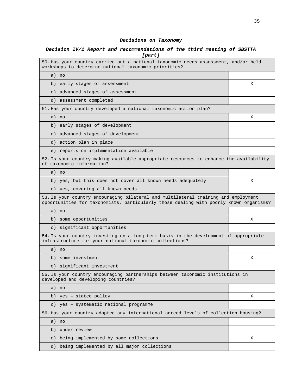# **Decisions on Taxonomy**

# **Decision IV/1 Report and recommendations of the third meeting of SBSTTA [part]**

| 50. Has your country carried out a national taxonomic needs assessment, and/or held<br>workshops to determine national taxonomic priorities?                                 |   |
|------------------------------------------------------------------------------------------------------------------------------------------------------------------------------|---|
| a) no                                                                                                                                                                        |   |
| early stages of assessment<br>b)                                                                                                                                             | Χ |
| advanced stages of assessment<br>$\in$ )                                                                                                                                     |   |
| d) assessment completed                                                                                                                                                      |   |
| 51. Has your country developed a national taxonomic action plan?                                                                                                             |   |
| a) no                                                                                                                                                                        | х |
| b) early stages of development                                                                                                                                               |   |
| c) advanced stages of development                                                                                                                                            |   |
| d) action plan in place                                                                                                                                                      |   |
| e) reports on implementation available                                                                                                                                       |   |
| 52. Is your country making available appropriate resources to enhance the availability<br>of taxonomic information?                                                          |   |
| a) no                                                                                                                                                                        |   |
| b) yes, but this does not cover all known needs adequately                                                                                                                   | X |
| c) yes, covering all known needs                                                                                                                                             |   |
| 53. Is your country encouraging bilateral and multilateral training and employment<br>opportunities for taxonomists, particularly those dealing with poorly known organisms? |   |
| a) no                                                                                                                                                                        |   |
| some opportunities<br>b)                                                                                                                                                     | Χ |
| c) significant opportunities                                                                                                                                                 |   |
| 54. Is your country investing on a long-term basis in the development of appropriate<br>infrastructure for your national taxonomic collections?                              |   |
| a) no                                                                                                                                                                        |   |
| b) some investment                                                                                                                                                           | X |
| c) significant investment                                                                                                                                                    |   |
| 55. Is your country encouraging partnerships between taxonomic institutions in<br>developed and developing countries?                                                        |   |
| a) no                                                                                                                                                                        |   |
| b) yes - stated policy                                                                                                                                                       | Χ |
| c) yes - systematic national programme                                                                                                                                       |   |
| 56. Has your country adopted any international agreed levels of collection housing?                                                                                          |   |
| a) no                                                                                                                                                                        |   |
| b) under review                                                                                                                                                              |   |
| being implemented by some collections<br>$\circ$ )                                                                                                                           | Χ |
| d) being implemented by all major collections                                                                                                                                |   |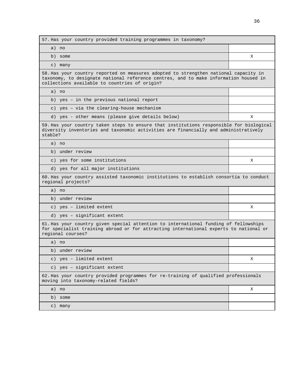| 57. Has your country provided training programmes in taxonomy?                                                                                                                                                                |   |
|-------------------------------------------------------------------------------------------------------------------------------------------------------------------------------------------------------------------------------|---|
| a) no                                                                                                                                                                                                                         |   |
| b) some                                                                                                                                                                                                                       | Χ |
| c) many                                                                                                                                                                                                                       |   |
| 58. Has your country reported on measures adopted to strengthen national capacity in<br>taxonomy, to designate national reference centres, and to make information housed in<br>collections available to countries of origin? |   |
| a) no                                                                                                                                                                                                                         |   |
| b) yes - in the previous national report                                                                                                                                                                                      |   |
| c) yes - via the clearing-house mechanism                                                                                                                                                                                     |   |
| d) yes - other means (please give details below)                                                                                                                                                                              | х |
| 59. Has your country taken steps to ensure that institutions responsible for biological<br>diversity inventories and taxonomic activities are financially and administratively<br>stable?                                     |   |
| a) no                                                                                                                                                                                                                         |   |
| b) under review                                                                                                                                                                                                               |   |
| c) yes for some institutions                                                                                                                                                                                                  | X |
| d) yes for all major institutions                                                                                                                                                                                             |   |
| 60. Has your country assisted taxonomic institutions to establish consortia to conduct<br>regional projects?                                                                                                                  |   |
| a) no                                                                                                                                                                                                                         |   |
| b) under review                                                                                                                                                                                                               |   |
| c) yes - limited extent                                                                                                                                                                                                       | Χ |
| d) yes - significant extent                                                                                                                                                                                                   |   |
| 61. Has your country given special attention to international funding of fellowships<br>for specialist training abroad or for attracting international experts to national or<br>regional courses?                            |   |
| a) no                                                                                                                                                                                                                         |   |
| b) under review                                                                                                                                                                                                               |   |
| c) yes - limited extent                                                                                                                                                                                                       | Χ |
| c) yes - significant extent                                                                                                                                                                                                   |   |
| 62. Has your country provided programmes for re-training of qualified professionals<br>moving into taxonomy-related fields?                                                                                                   |   |
| a) no                                                                                                                                                                                                                         | X |
| b) some                                                                                                                                                                                                                       |   |
| c) many                                                                                                                                                                                                                       |   |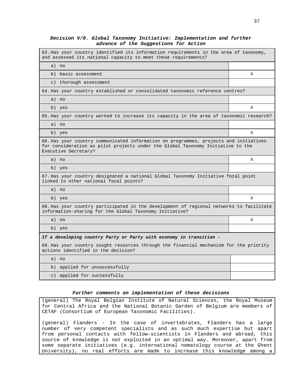### **Decision V/9. Global Taxonomy Initiative: Implementation and further advance of the Suggestions for Action**

| 63. Has your country identified its information requirements in the area of taxonomy,<br>and assessed its national capacity to meet these requirements?                                          |   |  |  |  |
|--------------------------------------------------------------------------------------------------------------------------------------------------------------------------------------------------|---|--|--|--|
| a) no                                                                                                                                                                                            |   |  |  |  |
| b) basic assessment                                                                                                                                                                              | X |  |  |  |
| c) thorough assessment                                                                                                                                                                           |   |  |  |  |
| 64.Has your country established or consolidated taxonomic reference centres?                                                                                                                     |   |  |  |  |
| a) no                                                                                                                                                                                            |   |  |  |  |
| b) yes                                                                                                                                                                                           | х |  |  |  |
| 65. Has your country worked to increase its capacity in the area of taxonomic research?                                                                                                          |   |  |  |  |
| a) no                                                                                                                                                                                            |   |  |  |  |
| b) yes                                                                                                                                                                                           | X |  |  |  |
| 66. Has your country communicated information on programmes, projects and initiatives<br>for consideration as pilot projects under the Global Taxonomy Initiative to the<br>Executive Secretary? |   |  |  |  |
| a) no                                                                                                                                                                                            | X |  |  |  |
| b) yes                                                                                                                                                                                           |   |  |  |  |
| 67. Has your country designated a national Global Taxonomy Initiative focal point<br>linked to other national focal points?                                                                      |   |  |  |  |
| a) no                                                                                                                                                                                            |   |  |  |  |
| b) yes                                                                                                                                                                                           | Χ |  |  |  |
| 68.Has your country participated in the development of regional networks to facilitate<br>information-sharing for the Global Taxonomy Initiative?                                                |   |  |  |  |
| a) no                                                                                                                                                                                            | X |  |  |  |
| b) yes                                                                                                                                                                                           |   |  |  |  |
| If a developing country Party or Party with economy in transition -                                                                                                                              |   |  |  |  |
| 69. Has your country sought resources through the financial mechanism for the priority<br>actions identified in the decision?                                                                    |   |  |  |  |
| a) no                                                                                                                                                                                            |   |  |  |  |
| b) applied for unsuccessfully                                                                                                                                                                    |   |  |  |  |
| c) applied for successfully                                                                                                                                                                      |   |  |  |  |

### **Further comments on implementation of these decisions**

(general) The Royal Belgian Institute of Natural Sciences, the Royal Museum for Central Africa and the National Botanic Garden of Belgium are members of CETAF (Consortium of European Taxonomic Facilities).

(general) Flanders - In the case of invertebrates, Flanders has a large number of very competent specialists and as such much expertise but apart from personal contacts with fellow-scientists in Flanders and abroad, this source of knowledge is not exploited in an optimal way. Moreover, apart from some separate initiatives (e.g. international nematology course at the Ghent University), no real efforts are made to increase this knowledge among a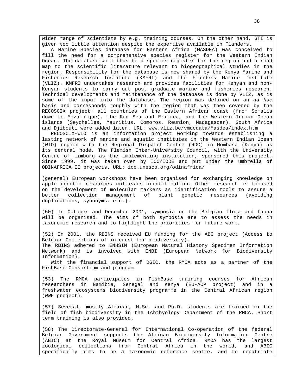wider range of scientists by e.g. training courses. On the other hand, GTI is given too little attention despite the expertise available in Flanders.

A Marine Species database for Eastern Africa (MASDEA) was conceived to fill the need for a comprehensive species register for the Western Indian Ocean. The database will thus be a species register for the region and a road map to the scientific literature relevant to biogeographical studies in the region. Responsibility for the database is now shared by the Kenya Marine and Fisheries Research Institute (KMFRI) and the Flanders Marine Institute (VLIZ). KMFRI undertakes research and provides facilities for Kenyan and non-Kenyan students to carry out post graduate marine and fisheries research. Technical developments and maintenance of the database is done by VLIZ, as is some of the input into the database. The region was defined on an ad hoc basis and corresponds roughly with the region that was then covered by the RECOSCIX project: all countries of the Eastern African coast (from Somalia down to Mozambique), the Red Sea and Eritrea, and the Western Indian Ocean islands (Seychelles, Mauritius, Comoros, Reunion, Madagascar). South Africa and Djibouti were added later. URL: www.vliz.be/vmdcdata/Masdea/index.htm

RECOSCIX-WIO is an information project working towards establishing a lasting network of marine and aquatic institutes in the Western Indian Ocean (WIO) region with the Regional Dispatch Centre (RDC) in Mombasa (Kenya) as its central node. The Flemish Inter-University Council, with the University Centre of Limburg as the implementing institution, sponsored this project. Since 1999, it was taken over by IOC/IODE and put under the umbrella of ODINAFRICA II projects. URL: ioc.unesco.org/odinafrica/

(general) European workshops have been organised for exchanging knowledge on apple genetic resources cultivars identification. Other research is focused on the development of molecular markers as identification tools to assure a better collection management of plant genetic resources (avoiding duplications, synonyms, etc.).

(50) In October and December 2001, symposia on the Belgian flora and fauna will be organised. The aims of both symposia are to assess the needs in taxonomic research and to highlight the priorities for future work.

(52) In 2001, the RBINS received EU funding for the ABC project (Access to Belgian Collections of interest for biodiversity). The RBINS adhered to ENHSIN (European Natural History Specimen Information Network) and is involved with ENBI (European Network for Biodiversity Information).

With the financial support of DGIC, the RMCA acts as a partner of the FishBase Consortium and program.

(53) The RMCA participates in FishBase training courses for African researchers in Namibia, Senegal and Kenya (EU-ACP project) and in a freshwater ecosystems biodiversity programme in the Central African region (WWF project).

(57) Several, mostly African, M.Sc. and Ph.D. students are trained in the field of fish biodiversity in the Ichthyology Department of the RMCA. Short term training is also provided.

(58) The Directorate-General for International Co-operation of the federal Belgian Government supports the African Biodiversity Information Centre (ABIC) at the Royal Museum for Central Africa. RMCA has the largest zoological collections from Central Africa in the world, and ABIC specifically aims to be a taxonomic reference centre, and to repatriate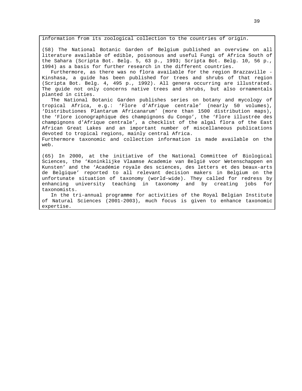information from its zoological collection to the countries of origin.

(58) The National Botanic Garden of Belgium published an overview on all literature available of edible, poisonous and useful Fungi of Africa South of the Sahara (Scripta Bot. Belg. 5, 63 p., 1993; Scripta Bot. Belg. 10, 56 p., 1994) as a basis for further research in the different countries.

Furthermore, as there was no flora available for the region Brazzaville - Kinshasa, a guide has been published for trees and shrubs of that region (Scripta Bot. Belg. 4, 495 p., 1992). All genera occurring are illustrated. The guide not only concerns native trees and shrubs, but also ornamentals planted in cities.

The National Botanic Garden publishes series on botany and mycology of tropical Africa, e.g.: 'Flore d'Afrique centrale' (nearly 50 volumes), 'Distributiones Plantarum Africanarum' (more than 1500 distribution maps), the 'Flore iconographique des champignons du Congo', the 'Flore illustrée des champignons d'Afrique centrale', a checklist of the algal flora of the East African Great Lakes and an important number of miscellaneous publications devoted to tropical regions, mainly central Africa.

Furthermore taxonomic and collection information is made available on the web.

(65) In 2000, at the initiative of the National Committee of Biological Sciences, the 'Koninklijke Vlaamse Academie van België voor Wetenschappen en Kunsten' and the 'Académie royale des sciences, des letters et des beaux-arts de Belgique' reported to all relevant decision makers in Belgium on the unfortunate situation of taxonomy (world-wide). They called for redress by enhancing university teaching in taxonomy and by creating jobs for taxonomists.

In the tri-annual programme for activities of the Royal Belgian Institute of Natural Sciences (2001-2003), much focus is given to enhance taxonomic expertise.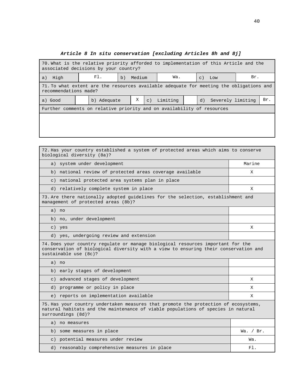# **Article 8 In situ conservation [excluding Articles 8h and 8j]**

| 70. What is the relative priority afforded to implementation of this Article and the<br>associated decisions by your country? |  |             |    |               |  |             |     |    |                   |  |     |
|-------------------------------------------------------------------------------------------------------------------------------|--|-------------|----|---------------|--|-------------|-----|----|-------------------|--|-----|
| High<br>a)                                                                                                                    |  | F1.         | b) | Wa.<br>Medium |  | $c)$ Low    | Br. |    |                   |  |     |
| 71. To what extent are the resources available adequate for meeting the obligations and<br>recommendations made?              |  |             |    |               |  |             |     |    |                   |  |     |
| a) Good                                                                                                                       |  | b) Adequate |    | Χ             |  | c) Limiting |     | d) | Severely limiting |  | Br. |
| Further comments on relative priority and on availability of resources                                                        |  |             |    |               |  |             |     |    |                   |  |     |
|                                                                                                                               |  |             |    |               |  |             |     |    |                   |  |     |
|                                                                                                                               |  |             |    |               |  |             |     |    |                   |  |     |
|                                                                                                                               |  |             |    |               |  |             |     |    |                   |  |     |

 $\blacksquare$ 

| 72. Has your country established a system of protected areas which aims to conserve<br>biological diversity (8a)?                                                                               |             |
|-------------------------------------------------------------------------------------------------------------------------------------------------------------------------------------------------|-------------|
| system under development<br>a)                                                                                                                                                                  | Marine      |
| b) national review of protected areas coverage available                                                                                                                                        | X           |
| c) national protected area systems plan in place                                                                                                                                                |             |
| d) relatively complete system in place                                                                                                                                                          | X           |
| 73. Are there nationally adopted quidelines for the selection, establishment and<br>management of protected areas (8b)?                                                                         |             |
| a) no                                                                                                                                                                                           |             |
| b) no, under development                                                                                                                                                                        |             |
| c) yes                                                                                                                                                                                          | X           |
| d) yes, undergoing review and extension                                                                                                                                                         |             |
| 74. Does your country regulate or manage biological resources important for the<br>conservation of biological diversity with a view to ensuring their conservation and<br>sustainable use (8c)? |             |
| a) no                                                                                                                                                                                           |             |
| b) early stages of development                                                                                                                                                                  |             |
| c) advanced stages of development                                                                                                                                                               | X           |
| d) programme or policy in place                                                                                                                                                                 | X           |
| e) reports on implementation available                                                                                                                                                          | X           |
| 75. Has your country undertaken measures that promote the protection of ecosystems,<br>natural habitats and the maintenance of viable populations of species in natural<br>surroundings (8d)?   |             |
| a) no measures                                                                                                                                                                                  |             |
| b) some measures in place                                                                                                                                                                       | Wa. $/$ Br. |
| c) potential measures under review                                                                                                                                                              | Wa.         |
| d) reasonably comprehensive measures in place                                                                                                                                                   | F1.         |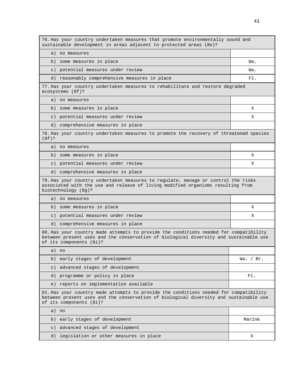| 76. Has your country undertaken measures that promote environmentally sound and<br>sustainable development in areas adjacent to protected areas (8e)?                                                     |             |
|-----------------------------------------------------------------------------------------------------------------------------------------------------------------------------------------------------------|-------------|
| a) no measures                                                                                                                                                                                            |             |
| b) some measures in place                                                                                                                                                                                 | Wa.         |
| c) potential measures under review                                                                                                                                                                        | Wa.         |
| d) reasonably comprehensive measures in place                                                                                                                                                             | F1.         |
| 77. Has your country undertaken measures to rehabilitate and restore degraded<br>ecosystems (8f)?                                                                                                         |             |
| a) no measures                                                                                                                                                                                            |             |
| b) some measures in place                                                                                                                                                                                 | X           |
| c) potential measures under review                                                                                                                                                                        | X           |
| d) comprehensive measures in place                                                                                                                                                                        |             |
| 78. Has your country undertaken measures to promote the recovery of threatened species<br>$(8f)$ ?                                                                                                        |             |
| a) no measures                                                                                                                                                                                            |             |
| b) some measures in place                                                                                                                                                                                 | X           |
| c) potential measures under review                                                                                                                                                                        | X           |
| d) comprehensive measures in place                                                                                                                                                                        |             |
| 79. Has your country undertaken measures to regulate, manage or control the risks<br>associated with the use and release of living modified organisms resulting from<br>biotechnology (8g)?               |             |
| a) no measures                                                                                                                                                                                            |             |
| b) some measures in place                                                                                                                                                                                 | X           |
| c) potential measures under review                                                                                                                                                                        | Χ           |
| d) comprehensive measures in place                                                                                                                                                                        |             |
| 80. Has your country made attempts to provide the conditions needed for compatibility<br>between present uses and the conservation of biological diversity and sustainable use<br>of its components (8i)? |             |
| a) no                                                                                                                                                                                                     |             |
| b) early stages of development                                                                                                                                                                            | Wa. $/$ Br. |
| advanced stages of development<br>$\in$ )                                                                                                                                                                 |             |
| d) programme or policy in place                                                                                                                                                                           | F1.         |
| e) reports on implementation available                                                                                                                                                                    |             |
| 81. Has your country made attempts to provide the conditions needed for compatibility<br>between present uses and the conservation of biological diversity and sustainable use<br>of its components (8i)? |             |
| a) no                                                                                                                                                                                                     |             |
| early stages of development<br>b)                                                                                                                                                                         | Marine      |
| c) advanced stages of development                                                                                                                                                                         |             |
| legislation or other measures in place<br>d)                                                                                                                                                              | Χ           |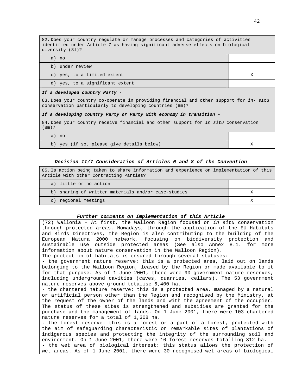82. Does your country regulate or manage processes and categories of activities identified under Article 7 as having significant adverse effects on biological diversity (8l)?

| a) no                           |   |
|---------------------------------|---|
| b) under review                 |   |
| c) yes, to a limited extent     | Х |
| d) yes, to a significant extent |   |
|                                 |   |

### **If a developed country Party -**

83. Does your country co-operate in providing financial and other support for in- situ conservation particularly to developing countries (8m)?

#### **If a developing country Party or Party with economy in transition -**

84. Does your country receive financial and other support for in situ conservation (8m)?

| $\sigma$ | no |
|----------|----|
|          |    |

b) yes (if so, please give details below)  $X$ 

### **Decision II/7 Consideration of Articles 6 and 8 of the Convention**

85. Is action being taken to share information and experience on implementation of this Article with other Contracting Parties?

- a) little or no action
- b) sharing of written materials and/or case-studies X
- c) regional meetings  $X$

#### **Further comments on implementation of this Article**

| (72) Wallonia - At first, the Walloon Region focused on in situ conservation   |
|--------------------------------------------------------------------------------|
| through protected areas. Nowadays, through the application of the EU Habitats  |
| and Birds Directives, the Region is also contributing to the building of the   |
| European Natura 2000 network, focusing on biodiversity protection and          |
| sustainable use outside protected areas (See also Annex 8.1. for more          |
| information about nature conservation in the Walloon Region).                  |
| The protection of habitats is ensured through several statuses:                |
| - the government nature reserve: this is a protected area, laid out on lands   |
| belonging to the Walloon Region, leased by the Region or made available to it  |
| for that purpose. As of 1 June 2001, there were 90 government nature reserves, |
| including underground cavities (caves, quarries, cellars). The 53 government   |
| nature reserves above ground totalise 6,400 ha.                                |
| - the chartered nature reserve: this is a protected area, managed by a natural |
| or artificial person other than the Region and recognised by the Ministry, at  |
| the request of the owner of the lands and with the agreement of the occupier.  |
| The status of these sites is strengthened and subsidies are granted for the    |
| purchase and the management of lands. On 1 June 2001, there were 103 chartered |
| nature reserves for a total of 1,308 ha.                                       |
| - the forest reserve: this is a forest or a part of a forest, protected with   |
| the aim of safequarding characteristic or remarkable sites of plantations of   |
| indigenous species and protecting the integrity of the surrounding soil and    |
| environment. On 1 June 2001, there were 10 forest reserves totalling 312 ha.   |
| - the wet area of biological interest: this status allows the protection of    |
| wet areas. As of 1 June 2001, there were 30 recognised wet areas of biological |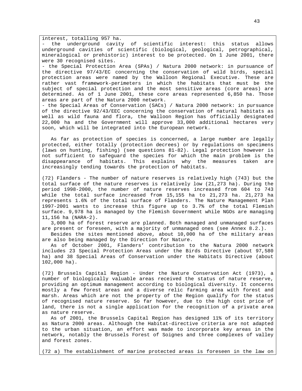interest, totalling 957 ha.

- the underground cavity of scientific interest: this status allows underground cavities of scientific (biological, geological, petrographical, mineralogical or prehistoric) interest to be protected. On 1 June 2001, there were 30 recognised sites.

- the Special Protection Area (SPAs) / Natura 2000 network: in pursuance of the directive 97/43/EC concerning the conservation of wild birds, special protection areas were named by the Walloon Regional Executive. These are rather vast framework-perimeters in which the habitats that must be the subject of special protection and the most sensitive areas (core areas) are determined. As of 1 June 2001, these core areas represented 6,850 ha. Those areas are part of the Natura 2000 network.

- the Special Areas of Conservation (SACs) / Natura 2000 network: in pursuance of the directive 92/43/EEC concerning the conservation of natural habitats as well as wild fauna and flora, the Walloon Region has officially designated 22,000 ha and the Government will approve 33,000 additional hectares very soon, which will be integrated into the European network.

As far as protection of species is concerned, a large number are legally protected, either totally (protection decrees) or by regulations on specimens (laws on hunting, fishing) (see questions 81-82). Legal protection however is not sufficient to safeguard the species for which the main problem is the disappearance of habitats. This explains why the measures taken are increasingly tending towards the protection of habitats.

(72) Flanders - The number of nature reserves is relatively high (743) but the total surface of the nature reserves is relatively low (21,273 ha). During the period 1998-2000, the number of nature reserves increased from 604 to 743 while the total surface increased from 15,155 ha to 21,273 ha. 21,273 ha represents 1.6% of the total surface of Flanders. The Nature Management Plan 1997-2001 wants to increase this figure up to 3.7% of the total Flemish surface. 9,978 ha is managed by the Flemish Government while NGOs are managing 11,156 ha (NARA-2).

3,000 ha of forest reserve are planned. Both managed and unmanaged surfaces are present or foreseen, with a majority of unmanaged ones (see Annex 8.2.).

Besides the sites mentioned above, about 10,000 ha of the military areas are also being managed by the Direction for Nature.

As of October 2001, Flanders' contribution to the Natura 2000 network includes 23 Special Protection Areas under the Birds Directive (about 97,580 ha) and 38 Special Areas of Conservation under the Habitats Directive (about 102,000 ha).

(72) Brussels Capital Region - Under the Nature Conservation Act (1973), a number of biologically valuable areas received the status of nature reserve, providing an optimum management according to biological diversity. It concerns mostly a few forest areas and a diverse relic farming area with forest and marsh. Areas which are not the property of the Region qualify for the status of recognised nature reserve. So far however, due to the high cost price of land, there is not a single application for the recognition of a private area as nature reserve.

As of 2001, the Brussels Capital Region has designed 11% of its territory as Natura 2000 areas. Although the Habitat-directive criteria are not adapted to the urban situation, an effort was made to incorporate key areas in the network, notably the Brussels Forest of Soignes and three complexes of valley and forest zones.

(72 a) The establishment of marine protected areas is foreseen in the law on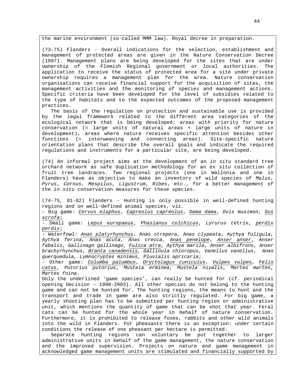the marine environment (so-called MMM law). Royal decree in preparation.

(73-75) Flanders - Overall indications for the selection, establishment and management of protected areas are given in the Nature Conservation Decree (1997). Management plans are being developed for the sites that are under ownership of the Flemish Regional government or local authorities. The application to receive the status of protected area for a site under private ownership requires a management plan for the area. Nature conservation organisations can receive financial support for the acquisition of sites, the management activities and the monitoring of species and management actions. Specific criteria have been developed for the level of subsidies related to the type of habitats and to the expected outcomes of the proposed management practices.

The basis of the regulation on protection and sustainable use is provided by the legal framework related to the different area categories of the ecological network that is being developed: areas with priority for nature conservation (= large units of natural areas + large units of nature in development), areas where nature receives specific attention besides other functions (= interweaving and connecting areas). Site-specific nature orientation plans that describe the overall goals and indicate the required regulations and instruments for a particular site, are being developed.

(74) An informal project aims at the development of an in situ standard tree orchard network as safe duplication methodology for an ex situ collection of fruit tree landraces. Two regional projects (one in Wallonia and one in Flanders) have as objective to make an inventory of wild species of Malus, Pyrus, Cornus, Mespilus, Ligustrum, Ribes, etc., for a better management of the in situ conservation measures for these species.

(74-75, 81-82) Flanders - Hunting is only possible in well-defined hunting regions and on well-defined animal species, viz.

- Big game: Cervus elaphus, Capreolus capreolus, Dama dama, Ovis musimon, Sus scrofa;

- Small game: Lepus europaeus, Phasianus colchicus, Lyrurus tetrix, perdix perdix;

- Waterfowl: Anas platyrhynchus, Anas strepera, Anas clypeata, Aythya fuligula, Aythya ferina, Anas acuta, Anas crecca, Anas penelope, Anser anser, Anser fabalis, Gallinago gallinago, Fulica atra, Aythya marila, Anser albifrons, Anser brachyrhynchus, Branta canadensis, Gallinula chloropus, Vanellus vanellus, Anas querquedula, Lymnocryptes minimus, Pluvialis apricaria;

- Other game: Columba palumbus, Oryctolagus cuniculus, Vulpes vulpes, Felis catus, Putorius putorius, Mustela erminea, Mustela nivalis, Martes martes, Martes foina.

Only the underlined 'game species', can really be hunted for (cf. periodical opening Decision – 1998-2003). All other species do not belong to the hunting game and can not be hunted for. The hunting regions, the means to hunt and the transport and trade in game are also strictly regulated. For big game, a yearly shooting plan has to be submitted per hunting region or administrative unit, which mentions the quantity of game that can be shot that year. Feral cats can be hunted for the whole year in behalf of nature conservation. Furthermore, it is prohibited to release foxes, rabbits and other wild animals into the wild in Flanders. For pheasants there is an exception: under certain conditions the release of one pheasant per hectare is permitted.

Separate hunting regions can voluntary be put together to larger administrative units in behalf of the game management, the nature conservation and the improved supervision. Projects on nature and game management in acknowledged game management units are stimulated and financially supported by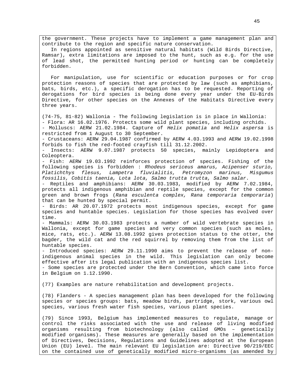the government. These projects have to implement a game management plan and contribute to the region and specific nature conservation.

In regions appointed as sensitive natural habitats (Wild Birds Directive, Ramsar), extra limitations are imposed to the hunt, such as e.g. for the use of lead shot, the permitted hunting period or hunting can be completely forbidden.

For manipulation, use for scientific or education purposes or for crop protection reasons of species that are protected by law (such as amphibians, bats, birds, etc.), a specific derogation has to be requested. Reporting of derogations for bird species is being done every year under the EU-Birds Directive, for other species on the Annexes of the Habitats Directive every three years.

(74-75, 81-82) Wallonia - The following legislation is in place in Wallonia: - Flora: AR 16.02.1976. Protects some wild plant species, including orchids. - Molluscs: AERW 21.02.1984. Capture of Helix pomatia and Helix aspersa is restricted from 1 August to 30 September.

- Crustaceans: AERW 29.04.1987 confirmed by AERW 4.03.1993 and AERW 19.02.1998 forbids to fish the red-footed crayfish till 31.12.2002.

- Insects: AERW 9.07.1987 protects 50 species, mainly Lepidoptera and Coleoptera.

- Fish: AERW 19.03.1992 reinforces protection of species. Fishing of the following species is forbidden : Rhodeus sericeus amarus, Acipenser sturio, Platichthys flesus, Lampetra fluvialitis, Petromyzon marinus, Misgumus fossilis, Cobitis taenia, Lota lota, Salmo trutta trutta, Salmo salar.

- Reptiles and amphibians: AERW 30.03.1983, modified by AERW 7.02.1984, protects all indigenous amphibian and reptile species, except for the common green and brown frogs (Rana esculenta complex, Rana temporaria temporaria) that can be hunted by special permit.

- Birds: AR 20.07.1972 protects most indigenous species, except for game species and huntable species. Legislation for those species has evolved over time.

- Mammals: AERW 30.03.1983 protects a number of wild vertebrate species in Wallonia, except for game species and very common species (such as moles, mice, rats, etc.). AERW 13.08.1992 gives protection status to the otter, the bagder, the wild cat and the red squirrel by removing them from the list of huntable species.

- Introduced species: AERW 29.11.1990 aims to prevent the release of nonindigenous animal species in the wild. This legislation can only become effective after its legal publication with an indigenous species list. - Some species are protected under the Bern Convention, which came into force

in Belgium on 1.12.1990.

(77) Examples are nature rehabilitation and development projects.

(78) Flanders - A species management plan has been developed for the following species or species groups: bats, meadow birds, partridge, stork, various owl species, various fresh water fish species, various plant species.

(79) Since 1993, Belgium has implemented measures to regulate, manage or control the risks associated with the use and release of living modified organisms resulting from biotechnology (also called GMOs – genetically modified organisms). These measures are generally based on the implementation of Directives, Decisions, Regulations and Guidelines adopted at the European Union (EU) level. The main relevant EU legislation are: Directive 90/219/EEC on the contained use of genetically modified micro-organisms (as amended by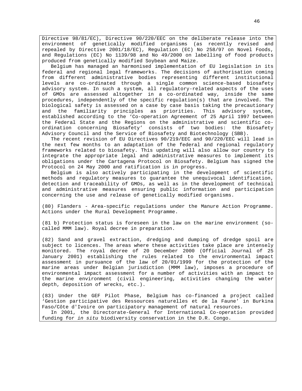Directive 98/81/EC), Directive 90/220/EEC on the deliberate release into the environment of genetically modified organisms (as recently revised and repealed by Directive 2001/18/EC), Regulation (EC) No 258/97 on Novel Foods, and Regulations (EC) No 1139/98 and No 49/2000 on labelling of food products produced from genetically modified Soybean and Maize.

Belgium has managed an harmonised implementation of EU legislation in its federal and regional legal frameworks. The decisions of authorisation coming from different administrative bodies representing different institutional levels are co-ordinated through a single common science-based biosafety advisory system. In such a system, all regulatory-related aspects of the uses of GMOs are assessed altogether in a co-ordinated way, inside the same procedures, independently of the specific regulation(s) that are involved. The biological safety is assessed on a case by case basis taking the precautionary and the familiarity principles as priorities. This advisory system, established according to the 'Co-operation Agreement of 25 April 1997 between the Federal State and the Regions on the administrative and scientific coordination concerning Biosafety' consists of two bodies: the Biosafety Advisory Council and the Service of Biosafety and Biotechnology (SBB).

The recent revision of EU Directives 90/219/EEC and 90/220/EEC will lead in the next few months to an adaptation of the federal and regional regulatory frameworks related to biosafety. This updating will also allow our country to integrate the appropriate legal and administrative measures to implement its obligations under the Cartagena Protocol on Biosafety. Belgium has signed the Protocol on 24 May 2000 and ratification is in progress.

Belgium is also actively participating in the development of scientific methods and regulatory measures to guarantee the unequivocal identification, detection and traceability of GMOs, as well as in the development of technical and administrative measures ensuring public information and participation concerning the use and release of genetically modified organisms.

(80) Flanders - Area-specific regulations under the Manure Action Programme. Actions under the Rural Development Programme.

(81 b) Protection status is foreseen in the law on the marine environment (socalled MMM law). Royal decree in preparation.

(82) Sand and gravel extraction, dredging and dumping of dredge spoil are subject to licences. The areas where these activities take place are intensely monitored. The royal decree of 20 December 2000 (Official Journal of 25 January 2001) establishing the rules related to the environmental impact assessment in pursuance of the law of 20/01/1999 for the protection of the marine areas under Belgian jurisdiction (MMM law), imposes a procedure of environmental impact assessment for a number of activities with an impact to the marine environment (civil engineering, activities changing the water depth, deposition of wrecks, etc.).

(83) Under the GEF Pilot Phase, Belgium has co-financed a project called 'Gestion participative des Ressources naturelles et de la Faune' in Burkina Faso/Côte d'Ivoire on participatory management of natural resources.

In 2001, the Directorate-General for International Co-operation provided funding for in situ biodiversity conservation in the D.R. Congo.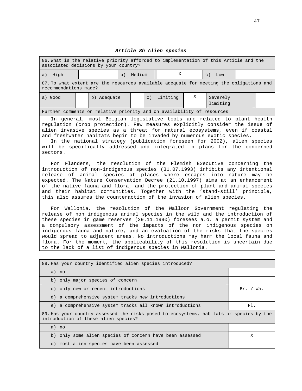| 86. What is the relative priority afforded to implementation of this Article and the<br>associated decisions by your country?                                                                                                                                                                                                                                                                                                                                                     |  |             |    |        |           |          |   |                                                                      |  |
|-----------------------------------------------------------------------------------------------------------------------------------------------------------------------------------------------------------------------------------------------------------------------------------------------------------------------------------------------------------------------------------------------------------------------------------------------------------------------------------|--|-------------|----|--------|-----------|----------|---|----------------------------------------------------------------------|--|
| a) High                                                                                                                                                                                                                                                                                                                                                                                                                                                                           |  |             | b) | Medium |           | X        |   | $c)$ Low                                                             |  |
| 87. To what extent are the resources available adequate for meeting the obligations and<br>recommendations made?                                                                                                                                                                                                                                                                                                                                                                  |  |             |    |        |           |          |   |                                                                      |  |
| a) Good                                                                                                                                                                                                                                                                                                                                                                                                                                                                           |  | b) Adequate |    |        | $\circ$ ) | Limiting | X | Severely<br>limiting                                                 |  |
| Further comments on relative priority and on availability of resources                                                                                                                                                                                                                                                                                                                                                                                                            |  |             |    |        |           |          |   |                                                                      |  |
| In general, most Belgian legislative tools are related to plant health<br>regulation (crop protection). Few measures explicitly consider the issue of<br>alien invasive species as a threat for natural ecosystems, even if coastal<br>and freshwater habitats begin to be invaded by numerous exotic species.<br>In the national strategy (publication foreseen for 2002), alien species<br>will be specifically addressed and integrated in plans for the concerned<br>sectors. |  |             |    |        |           |          |   |                                                                      |  |
| introduction of non-indigenous species (31.07.1993) inhibits any intentional<br>release of animal species at places where escapes into nature may be<br>expected. The Nature Conservation Decree (21.10.1997) aims at an enhancement<br>of the native fauna and flora, and the protection of plant and animal species<br>and their habitat communities. Together with the 'stand-still' principle,                                                                                |  |             |    |        |           |          |   | For Flanders, the resolution of the Flemish Executive concerning the |  |

#### **Article 8h Alien species**

For Wallonia, the resolution of the Walloon Government regulating the release of non indigenous animal species in the wild and the introduction of these species in game reserves (29.11.1990) foresees a.o. a permit system and a compulsory assessment of the impacts of the non indigenous species on indigenous fauna and nature, and an evaluation of the risks that the species would spread to adjacent areas. No introductions may harm the local fauna and flora. For the moment, the applicability of this resolution is uncertain due to the lack of a list of indigenous species in Wallonia.

this also assumes the counteraction of the invasion of alien species.

| 88. Has your country identified alien species introduced?                                                                       |           |
|---------------------------------------------------------------------------------------------------------------------------------|-----------|
| a) no                                                                                                                           |           |
| b) only major species of concern                                                                                                |           |
| c) only new or recent introductions                                                                                             | Br. / Wa. |
| d) a comprehensive system tracks new introductions                                                                              |           |
| e) a comprehensive system tracks all known introductions                                                                        | $F1$ .    |
| 89. Has your country assessed the risks posed to ecosystems, habitats or species by the<br>introduction of these alien species? |           |
| a) no                                                                                                                           |           |
| b) only some alien species of concern have been assessed                                                                        | Х         |
| c) most alien species have been assessed                                                                                        |           |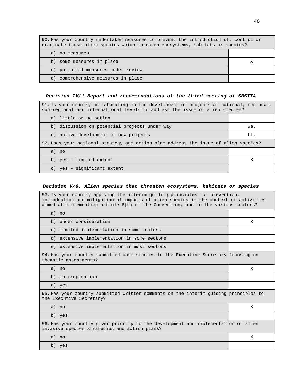| 90. Has your country undertaken measures to prevent the introduction of, control or<br>eradicate those alien species which threaten ecosystems, habitats or species? |  |  |
|----------------------------------------------------------------------------------------------------------------------------------------------------------------------|--|--|
| a) no measures                                                                                                                                                       |  |  |
| b) some measures in place                                                                                                                                            |  |  |
| c) potential measures under review                                                                                                                                   |  |  |
| d) comprehensive measures in place                                                                                                                                   |  |  |

# **Decision IV/1 Report and recommendations of the third meeting of SBSTTA**

| 91. Is your country collaborating in the development of projects at national, regional,<br>sub-regional and international levels to address the issue of alien species? |        |  |  |
|-------------------------------------------------------------------------------------------------------------------------------------------------------------------------|--------|--|--|
| a) little or no action                                                                                                                                                  |        |  |  |
| b) discussion on potential projects under way                                                                                                                           | Wa.    |  |  |
| c) active development of new projects                                                                                                                                   | $F1$ . |  |  |
| 92. Does your national strategy and action plan address the issue of alien species?                                                                                     |        |  |  |
| a) no                                                                                                                                                                   |        |  |  |
| b) yes - limited extent                                                                                                                                                 | X      |  |  |
| c) yes - significant extent                                                                                                                                             |        |  |  |

# **Decision V/8. Alien species that threaten ecosystems, habitats or species**

| 93. Is your country applying the interim quiding principles for prevention,<br>introduction and mitigation of impacts of alien species in the context of activities<br>aimed at implementing article 8(h) of the Convention, and in the various sectors? |   |
|----------------------------------------------------------------------------------------------------------------------------------------------------------------------------------------------------------------------------------------------------------|---|
| a) no                                                                                                                                                                                                                                                    |   |
| b) under consideration                                                                                                                                                                                                                                   | X |
| c) limited implementation in some sectors                                                                                                                                                                                                                |   |
| d) extensive implementation in some sectors                                                                                                                                                                                                              |   |
| e) extensive implementation in most sectors                                                                                                                                                                                                              |   |
| 94. Has your country submitted case-studies to the Executive Secretary focusing on<br>thematic assessments?                                                                                                                                              |   |
| a) no                                                                                                                                                                                                                                                    | X |
| b) in preparation                                                                                                                                                                                                                                        |   |
| c) yes                                                                                                                                                                                                                                                   |   |
| 95. Has your country submitted written comments on the interim quiding principles to<br>the Executive Secretary?                                                                                                                                         |   |
| a) no                                                                                                                                                                                                                                                    | X |
| b) yes                                                                                                                                                                                                                                                   |   |
| 96. Has your country given priority to the development and implementation of alien<br>invasive species strategies and action plans?                                                                                                                      |   |
| a) no                                                                                                                                                                                                                                                    | X |
| b) yes                                                                                                                                                                                                                                                   |   |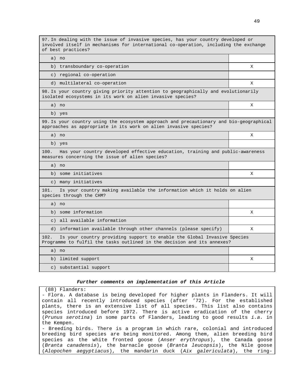97. In dealing with the issue of invasive species, has your country developed or involved itself in mechanisms for international co-operation, including the exchange of best practices?

a) no

| b) transboundary co-operation |  |
|-------------------------------|--|
| c) regional co-operation      |  |
| _____                         |  |

d) multilateral co-operation  $X$ 

98. Is your country giving priority attention to geographically and evolutionarily isolated ecosystems in its work on alien invasive species?

a) no X

b) yes

99. Is your country using the ecosystem approach and precautionary and bio-geographical approaches as appropriate in its work on alien invasive species?

a) no X

b) yes

100. Has your country developed effective education, training and public-awareness measures concerning the issue of alien species?

a) no

b) some initiatives X

c) many initiatives

101. Is your country making available the information which it holds on alien species through the CHM?

| a<br>no          |           |
|------------------|-----------|
| b)               | <b>TZ</b> |
| some information | ∡         |

c) all available information

d) information available through other channels (please specify) X 102. Is your country providing support to enable the Global Invasive Species

Programme to fulfil the tasks outlined in the decision and its annexes? a) no b) limited support X c) substantial support

### **Further comments on implementation of this Article**

(88) Flanders:

- Flora. A database is being developed for higher plants in Flanders. It will contain all recently introduced species (after '72). For the established plants, there is an extensive list of all species. This list also contains species introduced before 1972. There is active eradication of the cherry (Prunus serotina) in some parts of Flanders, leading to good results i.a. in the Kempen.

- Breeding birds. There is a program in which rare, colonial and introduced breeding bird species are being monitored. Among them, alien breeding bird species as the white fronted goose (Anser erythropus), the Canada goose (Branta canadensis), the barnacle goose (Branta leucopsis), the Nile goose (Alopochen aegyptiacus), the mandarin duck (Aix galericulata), the ring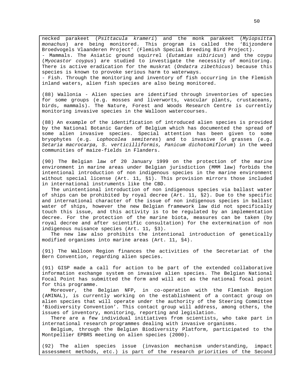necked parakeet (Psittacula krameri) and the monk parakeet (Myiopsitta monachus) are being monitored. This program is called the 'Bijzondere Broedvogels Vlaanderen Project' (Flemish Special Breeding Bird Project). - Mammals. The Asiatic ground squirrel (Eutamias sibiricus) and the coypu (Myocastor coypus) are studied to investigate the necessity of monitoring. There is active eradication for the muskrat (Ondatra zibethicus) because this species is known to provoke serious harm to waterways. - Fish. Through the monitoring and inventory of fish occurring in the Flemish

inland waters, alien fish species are also being monitored.

(88) Wallonia - Alien species are identified through inventories of species for some groups (e.g. mosses and liverworts, vascular plants, crustaceans, birds, mammals). The Nature, Forest and Woods Research Centre is currently monitoring invasive species in the Walloon watercourses.

(88) An example of the identification of introduced alien species is provided by the National Botanic Garden of Belgium which has documented the spread of some alien invasive species. Special attention has been given to some bryophytes (e.g. Lophocolea semiteres) and to invasive C4 grasses (e.g. Setaria macrocarpa, S. verticilliformis, Panicum dichotomiflorum) in the weed communities of maize-fields in Flanders.

(90) The Belgian law of 20 January 1999 on the protection of the marine environment in marine areas under Belgian jurisdiction (MMM law) forbids the intentional introduction of non indigenous species in the marine environment without special license (Art. 11, §1). This provision mirrors those included in international instruments like the CBD.

The unintentional introduction of non indigenous species via ballast water of ships can be prohibited by royal decree (Art. 11, §2). Due to the specific and international character of the issue of non indigenous species in ballast water of ships, however the new Belgian framework law did not specifically touch this issue, and this activity is to be regulated by an implementation decree. For the protection of the marine biota, measures can be taken (by royal decree and after scientific consultation) for the extermination of non indigenous nuisance species (Art. 11, §3).

The new law also prohibits the intentional introduction of genetically modified organisms into marine areas (Art. 11, §4).

(91) The Walloon Region finances the activities of the Secretariat of the Bern Convention, regarding alien species.

(91) GISP made a call for action to be part of the extended collaborative information exchange system on invasive alien species. The Belgian National Focal Point has submitted the form and will act as the national focal point for this programme.

Moreover, the Belgian NFP, in co-operation with the Flemish Region (AMINAL), is currently working on the establishment of a contact group on alien species that will operate under the authority of the Steering Committee 'Biodiversity Convention'. This contact group will address, among others, the issues of inventory, monitoring, reporting and legislation.

There are a few individual initiatives from scientists, who take part in international research programmes dealing with invasive organisms.

Belgium, through the Belgian Biodiversity Platform, participated to the Montpellier EPBRS meeting on alien species (2000).

(92) The alien species issue (invasion mechanism understanding, impact assessment methods, etc.) is part of the research priorities of the Second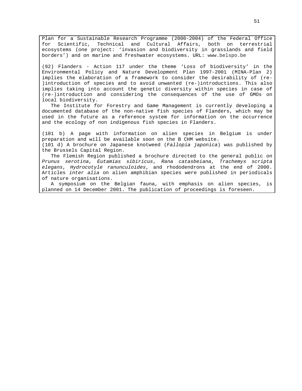Plan for a Sustainable Research Programme (2000-2004) of the Federal Office for Scientific, Technical and Cultural Affairs, both on terrestrial ecosystems (one project: 'invasion and biodiversity in grasslands and field borders') and on marine and freshwater ecosystems. URL: www.belspo.be

(92) Flanders - Action 117 under the theme 'Loss of biodiversity' in the Environmental Policy and Nature Development Plan 1997-2001 (MINA-Plan 2) implies the elaboration of a framework to consider the desirability of (re- )introduction of species and to avoid unwanted (re-)introductions. This also implies taking into account the genetic diversity within species in case of (re-)introduction and considering the consequences of the use of GMOs on local biodiversity.

The Institute for Forestry and Game Management is currently developing a documented database of the non-native fish species of Flanders, which may be used in the future as a reference system for information on the occurrence and the ecology of non indigenous fish species in Flanders.

(101 b) A page with information on alien species in Belgium is under preparation and will be available soon on the B CHM website. (101 d) A brochure on Japanese knotweed (Fallopia japonica) was published by the Brussels Capital Region.

The Flemish Region published a brochure directed to the general public on Prunus serotina, Eutamias sibiricus, Rana catasbeiana, Trachemys scripta elegans, Hydrocotyle ranunculoides, and rhododendrons at the end of 2000. Articles inter alia on alien amphibian species were published in periodicals of nature organisations.

A symposium on the Belgian fauna, with emphasis on alien species, is planned on 14 December 2001. The publication of proceedings is foreseen.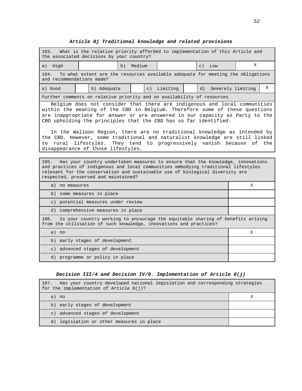# **Article 8j Traditional knowledge and related provisions**

| What is the relative priority afforded to implementation of this Article and<br>103.<br>the associated decisions by your country?                                                                                                                                                                                                                                                                                                                                                                                                                                                                                                                                                                                                                                                                                                                                                                |                                                                                 |  |  |             |  |                      |   |   |
|--------------------------------------------------------------------------------------------------------------------------------------------------------------------------------------------------------------------------------------------------------------------------------------------------------------------------------------------------------------------------------------------------------------------------------------------------------------------------------------------------------------------------------------------------------------------------------------------------------------------------------------------------------------------------------------------------------------------------------------------------------------------------------------------------------------------------------------------------------------------------------------------------|---------------------------------------------------------------------------------|--|--|-------------|--|----------------------|---|---|
| a) High                                                                                                                                                                                                                                                                                                                                                                                                                                                                                                                                                                                                                                                                                                                                                                                                                                                                                          | X<br>Medium<br>b)<br>$\circ$ )<br>Low                                           |  |  |             |  |                      |   |   |
| 104.<br>and recommendations made?                                                                                                                                                                                                                                                                                                                                                                                                                                                                                                                                                                                                                                                                                                                                                                                                                                                                | To what extent are the resources available adequate for meeting the obligations |  |  |             |  |                      |   |   |
| a) Good                                                                                                                                                                                                                                                                                                                                                                                                                                                                                                                                                                                                                                                                                                                                                                                                                                                                                          | b) Adequate                                                                     |  |  | c) Limiting |  | d) Severely limiting |   | X |
|                                                                                                                                                                                                                                                                                                                                                                                                                                                                                                                                                                                                                                                                                                                                                                                                                                                                                                  | Further comments on relative priority and on availability of resources          |  |  |             |  |                      |   |   |
| Belgium does not consider that there are indigenous and local communities<br>within the meaning of the CBD in Belgium. Therefore some of these questions<br>are inappropriate for answer or are answered in our capacity as Party to the<br>CBD upholding the principles that the CBD has so far identified.<br>In the Walloon Region, there are no traditional knowledge as intended by<br>the CBD. However, some traditional and naturalist knowledge are still linked<br>to rural lifestyles. They tend to progressively vanish because of the<br>disappearance of those lifestyles.<br>Has your country undertaken measures to ensure that the knowledge, innovations<br>105.<br>and practices of indigenous and local communities embodying traditional lifestyles<br>relevant for the conservation and sustainable use of biological diversity are<br>respected, preserved and maintained? |                                                                                 |  |  |             |  |                      |   |   |
| a) no measures                                                                                                                                                                                                                                                                                                                                                                                                                                                                                                                                                                                                                                                                                                                                                                                                                                                                                   |                                                                                 |  |  | X           |  |                      |   |   |
|                                                                                                                                                                                                                                                                                                                                                                                                                                                                                                                                                                                                                                                                                                                                                                                                                                                                                                  | b) some measures in place                                                       |  |  |             |  |                      |   |   |
|                                                                                                                                                                                                                                                                                                                                                                                                                                                                                                                                                                                                                                                                                                                                                                                                                                                                                                  | c) potential measures under review                                              |  |  |             |  |                      |   |   |
| d) comprehensive measures in place                                                                                                                                                                                                                                                                                                                                                                                                                                                                                                                                                                                                                                                                                                                                                                                                                                                               |                                                                                 |  |  |             |  |                      |   |   |
| Is your country working to encourage the equitable sharing of benefits arising<br>106.<br>from the utilisation of such knowledge, innovations and practices?                                                                                                                                                                                                                                                                                                                                                                                                                                                                                                                                                                                                                                                                                                                                     |                                                                                 |  |  |             |  |                      |   |   |
| a) no                                                                                                                                                                                                                                                                                                                                                                                                                                                                                                                                                                                                                                                                                                                                                                                                                                                                                            |                                                                                 |  |  |             |  |                      | X |   |
|                                                                                                                                                                                                                                                                                                                                                                                                                                                                                                                                                                                                                                                                                                                                                                                                                                                                                                  | b) early stages of development                                                  |  |  |             |  |                      |   |   |
| c) advanced stages of development                                                                                                                                                                                                                                                                                                                                                                                                                                                                                                                                                                                                                                                                                                                                                                                                                                                                |                                                                                 |  |  |             |  |                      |   |   |
|                                                                                                                                                                                                                                                                                                                                                                                                                                                                                                                                                                                                                                                                                                                                                                                                                                                                                                  | d) programme or policy in place                                                 |  |  |             |  |                      |   |   |

# **Decision III/4 and Decision IV/9. Implementation of Article 8(j)**

| Has your country developed national legislation and corresponding strategies<br>107.<br>for the implementation of Article $8(i)?$ |   |
|-----------------------------------------------------------------------------------------------------------------------------------|---|
| a) no                                                                                                                             | х |
| b) early stages of development                                                                                                    |   |
| c) advanced stages of development                                                                                                 |   |
| d) legislation or other measures in place                                                                                         |   |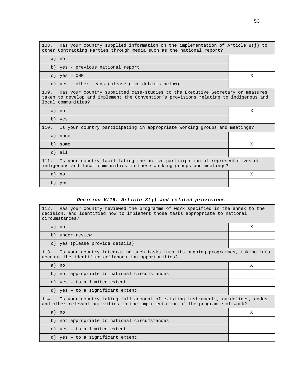| Has your country supplied information on the implementation of Article $8(j)$ to<br>108.<br>other Contracting Parties through media such as the national report?                                   |   |
|----------------------------------------------------------------------------------------------------------------------------------------------------------------------------------------------------|---|
| a) no                                                                                                                                                                                              |   |
| b) yes - previous national report                                                                                                                                                                  |   |
| $c)$ yes - $CHM$                                                                                                                                                                                   | X |
| d) yes - other means (please give details below)                                                                                                                                                   |   |
| 109. Has your country submitted case-studies to the Executive Secretary on measures<br>taken to develop and implement the Convention's provisions relating to indigenous and<br>local communities? |   |
| a) no                                                                                                                                                                                              | X |
| b) yes                                                                                                                                                                                             |   |
| 110.<br>Is your country participating in appropriate working groups and meetings?                                                                                                                  |   |
| a) none                                                                                                                                                                                            |   |
| b) some                                                                                                                                                                                            | X |
| $c)$ all                                                                                                                                                                                           |   |
| Is your country facilitating the active participation of representatives of<br>111.<br>indigenous and local communities in these working groups and meetings?                                      |   |
| a) no                                                                                                                                                                                              | X |
| b) yes                                                                                                                                                                                             |   |

# **Decision V/16. Article 8(j) and related provisions**

 $\blacksquare$ 

| Has your country reviewed the programme of work specified in the annex to the<br>112.<br>decision, and identified how to implement those tasks appropriate to national<br>circumstances? |   |  |  |  |
|------------------------------------------------------------------------------------------------------------------------------------------------------------------------------------------|---|--|--|--|
| a) no                                                                                                                                                                                    | X |  |  |  |
| b) under review                                                                                                                                                                          |   |  |  |  |
| c) yes (please provide details)                                                                                                                                                          |   |  |  |  |
| Is your country integrating such tasks into its ongoing programmes, taking into<br>113.<br>account the identified collaboration opportunities?                                           |   |  |  |  |
| a) no                                                                                                                                                                                    | X |  |  |  |
| b) not appropriate to national circumstances                                                                                                                                             |   |  |  |  |
| c) yes - to a limited extent                                                                                                                                                             |   |  |  |  |
| d) yes - to a significant extent                                                                                                                                                         |   |  |  |  |
| Is your country taking full account of existing instruments, quidelines, codes<br>114.<br>and other relevant activities in the implementation of the programme of work?                  |   |  |  |  |
| a) no                                                                                                                                                                                    | X |  |  |  |
| b) not appropriate to national circumstances                                                                                                                                             |   |  |  |  |
| c) yes - to a limited extent                                                                                                                                                             |   |  |  |  |
| d) yes - to a significant extent                                                                                                                                                         |   |  |  |  |

 $\overline{\phantom{a}}$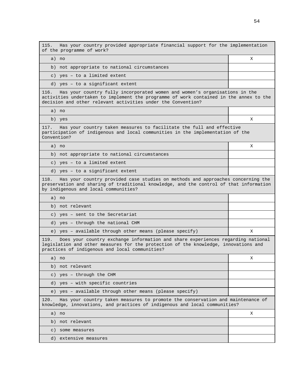115. Has your country provided appropriate financial support for the implementation of the programme of work?

a) no X

b) not appropriate to national circumstances c) yes – to a limited extent

d) yes – to a significant extent

116. Has your country fully incorporated women and women's organisations in the activities undertaken to implement the programme of work contained in the annex to the decision and other relevant activities under the Convention?

a) no

b) yes X

117. Has your country taken measures to facilitate the full and effective participation of indigenous and local communities in the implementation of the Convention?

a) no X

b) not appropriate to national circumstances

c) yes – to a limited extent

d) yes – to a significant extent

118. Has your country provided case studies on methods and approaches concerning the preservation and sharing of traditional knowledge, and the control of that information by indigenous and local communities?

| a) no                                                   |  |
|---------------------------------------------------------|--|
| b) not relevant                                         |  |
| c) yes - sent to the Secretariat                        |  |
| d) yes - through the national CHM                       |  |
| e) yes - available through other means (please specify) |  |

119. Does your country exchange information and share experiences regarding national legislation and other measures for the protection of the knowledge, innovations and practices of indigenous and local communities?

| х                                                                                                                                                            |
|--------------------------------------------------------------------------------------------------------------------------------------------------------------|
|                                                                                                                                                              |
|                                                                                                                                                              |
|                                                                                                                                                              |
|                                                                                                                                                              |
| Has your country taken measures to promote the conservation and maintenance of<br>knowledge, innovations, and practices of indigenous and local communities? |
| X                                                                                                                                                            |
|                                                                                                                                                              |
|                                                                                                                                                              |
|                                                                                                                                                              |

d) extensive measures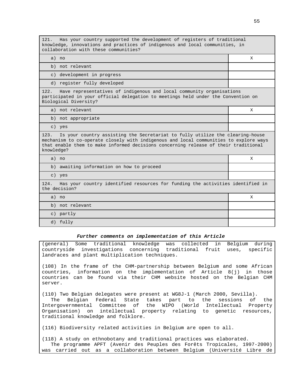| Has your country supported the development of registers of traditional<br>121.<br>knowledge, innovations and practices of indigenous and local communities, in<br>collaboration with these communities?                                                                             |   |  |  |  |
|-------------------------------------------------------------------------------------------------------------------------------------------------------------------------------------------------------------------------------------------------------------------------------------|---|--|--|--|
| a) no                                                                                                                                                                                                                                                                               | X |  |  |  |
| b) not relevant                                                                                                                                                                                                                                                                     |   |  |  |  |
| c) development in progress                                                                                                                                                                                                                                                          |   |  |  |  |
| d) register fully developed                                                                                                                                                                                                                                                         |   |  |  |  |
| Have representatives of indigenous and local community organisations<br>122.<br>participated in your official delegation to meetings held under the Convention on<br>Biological Diversity?                                                                                          |   |  |  |  |
| a) not relevant                                                                                                                                                                                                                                                                     | X |  |  |  |
| b) not appropriate                                                                                                                                                                                                                                                                  |   |  |  |  |
| c) yes                                                                                                                                                                                                                                                                              |   |  |  |  |
| Is your country assisting the Secretariat to fully utilize the clearing-house<br>123.<br>mechanism to co-operate closely with indigenous and local communities to explore ways<br>that enable them to make informed decisions concerning release of their traditional<br>knowledge? |   |  |  |  |
| a) no                                                                                                                                                                                                                                                                               | X |  |  |  |
| b) awaiting information on how to proceed                                                                                                                                                                                                                                           |   |  |  |  |
| c) yes                                                                                                                                                                                                                                                                              |   |  |  |  |
| 124.<br>Has your country identified resources for funding the activities identified in<br>the decision?                                                                                                                                                                             |   |  |  |  |
| a) no                                                                                                                                                                                                                                                                               | X |  |  |  |
| b) not relevant                                                                                                                                                                                                                                                                     |   |  |  |  |
| c) partly                                                                                                                                                                                                                                                                           |   |  |  |  |
| d) fully                                                                                                                                                                                                                                                                            |   |  |  |  |

### **Further comments on implementation of this Article**

(general) Some traditional knowledge was collected in Belgium during countryside investigations concerning traditional fruit uses, specific landraces and plant multiplication techniques.

(108) In the frame of the CHM-partnership between Belgium and some African countries, information on the implementation of Article 8(j) in those countries can be found via their CHM website hosted on the Belgian CHM server.

(110) Two Belgian delegates were present at WG8J-1 (March 2000, Sevilla).

The Belgian Federal State takes part to the sessions of the Intergovernmental Committee of the WIPO (World Intellectual Property Organisation) on intellectual property relating to genetic resources, traditional knowledge and folklore.

(116) Biodiversity related activities in Belgium are open to all.

(118) A study on ethnobotany and traditional practices was elaborated. The programme APFT (Avenir des Peuples des Forêts Tropicales, 1997-2000) was carried out as a collaboration between Belgium (Université Libre de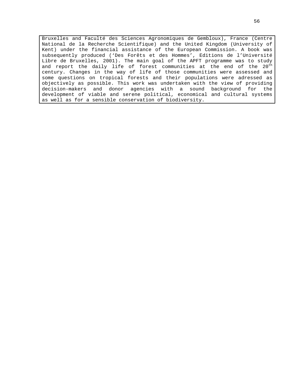Bruxelles and Faculté des Sciences Agronomiques de Gembloux), France (Centre National de la Recherche Scientifique) and the United Kingdom (University of Kent) under the financial assistance of the European Commission. A book was subsequently produced ('Des Forêts et des Hommes', Editions de l'Université Libre de Bruxelles, 2001). The main goal of the APFT programme was to study and report the daily life of forest communities at the end of the 20<sup>th</sup> century. Changes in the way of life of those communities were assessed and some questions on tropical forests and their populations were adressed as objectively as possible. This work was undertaken with the view of providing decision-makers and donor agencies with a sound background for the development of viable and serene political, economical and cultural systems as well as for a sensible conservation of biodiversity.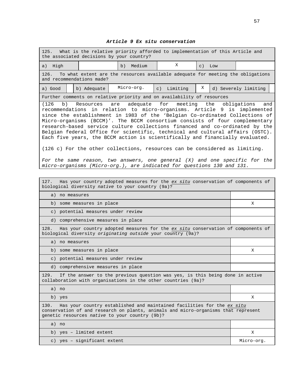### **Article 9 Ex situ conservation**

| What is the relative priority afforded to implementation of this Article and<br>125.<br>the associated decisions by your country?                                                                                                                                                                                                                                                                                                                                                                                                                                                                                                                                                                                                                                                                                                                                                          |                                                                                                              |              |             |           |     |                      |
|--------------------------------------------------------------------------------------------------------------------------------------------------------------------------------------------------------------------------------------------------------------------------------------------------------------------------------------------------------------------------------------------------------------------------------------------------------------------------------------------------------------------------------------------------------------------------------------------------------------------------------------------------------------------------------------------------------------------------------------------------------------------------------------------------------------------------------------------------------------------------------------------|--------------------------------------------------------------------------------------------------------------|--------------|-------------|-----------|-----|----------------------|
| a) High                                                                                                                                                                                                                                                                                                                                                                                                                                                                                                                                                                                                                                                                                                                                                                                                                                                                                    |                                                                                                              | Medium<br>b) | X           | $\circ$ ) | Low |                      |
| 126.                                                                                                                                                                                                                                                                                                                                                                                                                                                                                                                                                                                                                                                                                                                                                                                                                                                                                       | To what extent are the resources available adequate for meeting the obligations<br>and recommendations made? |              |             |           |     |                      |
| a) Good                                                                                                                                                                                                                                                                                                                                                                                                                                                                                                                                                                                                                                                                                                                                                                                                                                                                                    | b) Adequate                                                                                                  | Micro-org.   | c) Limiting | Χ         |     | d) Severely limiting |
|                                                                                                                                                                                                                                                                                                                                                                                                                                                                                                                                                                                                                                                                                                                                                                                                                                                                                            |                                                                                                              |              |             |           |     |                      |
| Further comments on relative priority and on availability of resources<br>Resources are adequate for meeting the<br>obligations<br>(126<br>b)<br>and<br>recommendations in relation to micro-organisms. Article 9 is implemented<br>since the establishment in 1983 of the 'Belgian Co-ordinated Collections of<br>Micro-organisms (BCCM)'. The BCCM consortium consists of four complementary<br>research-based service culture collections financed and co-ordinated by the<br>Belgian federal Office for scientific, technical and cultural affairs (OSTC).<br>Each five years, the BCCM action is scientifically and financially evaluated.<br>$(126 c)$ For the other collections, resources can be considered as limiting.<br>For the same reason, two answers, one general $(X)$ and one specific for the<br>micro-organisms (Micro-org.), are indicated for questions 130 and 131. |                                                                                                              |              |             |           |     |                      |
| Has your country adopted measures for the ex situ conservation of components of<br>127.<br>biological diversity native to your country (9a)?                                                                                                                                                                                                                                                                                                                                                                                                                                                                                                                                                                                                                                                                                                                                               |                                                                                                              |              |             |           |     |                      |
| a) no measures                                                                                                                                                                                                                                                                                                                                                                                                                                                                                                                                                                                                                                                                                                                                                                                                                                                                             |                                                                                                              |              |             |           |     |                      |

b) some measures in place X

c) potential measures under review

d) comprehensive measures in place

128. Has your country adopted measures for the ex situ conservation of components of biological diversity originating outside your country (9a)?

a) no measures

b) some measures in place X

c) potential measures under review

d) comprehensive measures in place

129. If the answer to the previous question was yes, is this being done in active collaboration with organisations in the other countries (9a)?

- a) no
- b) yes X

130. Has your country established and maintained facilities for the ex situ conservation of and research on plants, animals and micro-organisms that represent genetic resources native to your country (9b)?

| a) no                       |            |
|-----------------------------|------------|
| b) yes - limited extent     |            |
| c) yes - significant extent | Micro-org. |
|                             |            |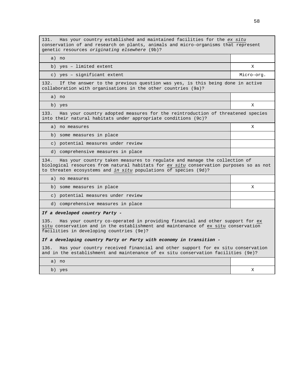131. Has your country established and maintained facilities for the ex situ conservation of and research on plants, animals and micro-organisms that represent genetic resources originating elsewhere (9b)? a) no b) yes – limited extent X c) yes – significant extent  $\blacksquare$  Micro-org. 132. If the answer to the previous question was yes, is this being done in active collaboration with organisations in the other countries (9a)? a) no b) yes X 133. Has your country adopted measures for the reintroduction of threatened species into their natural habitats under appropriate conditions (9c)? a) no measures  $X = \begin{bmatrix} 1 & 1 \\ 1 & 1 \end{bmatrix}$ b) some measures in place c) potential measures under review d) comprehensive measures in place 134. Has your country taken measures to regulate and manage the collection of biological resources from natural habitats for ex situ conservation purposes so as not to threaten ecosystems and in situ populations of species (9d)? a) no measures b) some measures in place  $X$ c) potential measures under review d) comprehensive measures in place **If a developed country Party -** 135. Has your country co-operated in providing financial and other support for ex situ conservation and in the establishment and maintenance of ex situ conservation facilities in developing countries (9e)? **If a developing country Party or Party with economy in transition -** 136. Has your country received financial and other support for ex situ conservation and in the establishment and maintenance of ex situ conservation facilities (9e)? a) no

| no<br>$\supset$<br>$\alpha$ |                    |
|-----------------------------|--------------------|
| b)<br>yes                   | 77<br>$\mathbf{A}$ |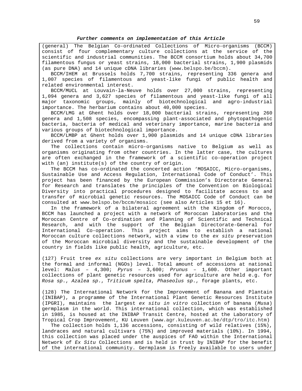### **Further comments on implementation of this Article**

(general) The Belgian Co-ordinated Collections of Micro-organisms (BCCM) consist of four complementary culture collections at the service of the scientific and industrial communities. The BCCM consortium holds about 34,700 filamentous fungus or yeast strains, 18,000 bacterial strains, 1,900 plasmids (as pure DNA) and 14 unique cDNA libraries (www.belspo.be/bccm).

BCCM/IHEM at Brussels holds 7,700 strains, representing 336 genera and 1,007 species of filamentous and yeast-like fungi of public health and related environmental interest.

BCCM/MUCL at Louvain-la-Neuve holds over 27,000 strains, representing 1,094 genera and 3,627 species of filamentous and yeast-like fungi of all major taxonomic groups, mainly of biotechnological and agro-industrial importance. The herbarium contains about 40,000 species.

BCCM/LMG at Ghent holds over 18,000 bacterial strains, representing 260 genera and 1,508 species, encompassing plant-associated and phytopathogenic bacteria, bacteria of medical and veterinary importance, marine bacteria and various groups of biotechnological importance.

BCCM/LMBP at Ghent holds over 1,900 plasmids and 14 unique cDNA libraries derived from a variety of organisms.

The collections contain micro-organisms native to Belgium as well as organisms originating from other countries. In the latter case, the cultures are often exchanged in the framework of a scientific co-operation project with (an) institute(s) of the country of origin.

The BCCM has co-ordinated the concerted action 'MOSAICC, Micro-organisms, Sustainable Use and Access Regulation, International Code of Conduct'. This project has been financed by the European Commission's Directorate General for Research and translates the principles of the Convention on Biological Diversity into practical procedures designed to facilitate access to and transfer of microbial genetic resources. The MOSAICC Code of Conduct can be consulted at www.belspo.be/bccm/mosaicc (see also Articles 15 et 16).

In the framework of a bilateral agreement with the Kingdom of Morocco, BCCM has launched a project with a network of Moroccan laboratories and the Moroccan Centre of Co-ordination and Planning of Scientific and Technical Research, and with the support of the Belgian Directorate-General for International Co-operation. This project aims to establish a national Moroccan culture collections network, with a view to the ex situ preservation of the Moroccan microbial diversity and the sustainable development of the country in fields like public health, agriculture, etc.

(127) Fruit tree ex situ collections are very important in Belgium both at the formal and informal (NGOs) level. Total amount of accessions at national level: Malus -  $4,300$ ; Pyrus -  $3,600$ ; Prunus -  $1,600$ . Other important collections of plant genetic resources used for agriculture are held e.g. for Rosa sp., Azalea sp., Triticum spelta, Phaseolus sp., forage plants, etc.

(128) The International Network for the Improvement of Banana and Plantain (INIBAP), a programme of the International Plant Genetic Resources Institute (IPGRI), maintains the largest ex situ in vitro collection of banana (Musa) germplasm in the world. This international collection, which was established in 1985, is housed at the INIBAP Transit Centre, hosted at the Laboratory of Tropical Crop Improvement, KU Leuven (www.agr.kuleuven.ac.be/dtp/tro/itc.htm)

The collection holds 1,136 accessions, consisting of wild relatives (15%), landraces and natural cultivars (75%) and improved materials (10%). In 1994, this collection was placed under the auspices of FAO within the International Network of Ex Situ Collections and is held in trust by INIBAP for the benefit of the international community. Germplasm is freely available to users under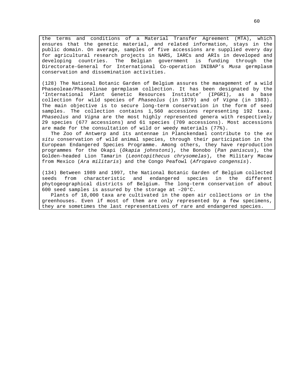the terms and conditions of a Material Transfer Agreement (MTA), which ensures that the genetic material, and related information, stays in the public domain. On average, samples of five accessions are supplied every day for agricultural research projects in NARS, IARCs and ARIs in developed and developing countries. The Belgian government is funding through the Directorate-General for International Co-operation INIBAP's Musa germplasm conservation and dissemination activities.

(128) The National Botanic Garden of Belgium assures the management of a wild Phaseoleae/Phaseolinae germplasm collection. It has been designated by the 'International Plant Genetic Resources Institute' (IPGRI), as a base collection for wild species of Phaseolus (in 1979) and of Vigna (in 1983). The main objective is to secure long-term conservation in the form of seed samples. The collection contains 1,560 accessions representing 192 taxa. Phaseolus and Vigna are the most highly represented genera with respectively 29 species (677 accessions) and 61 species (709 accessions). Most accessions are made for the consultation of wild or weedy materials (77%).

The Zoo of Antwerp and its antennae in Planckendael contribute to the ex situ conservation of wild animal species, through their participation in the European Endangered Species Programme. Among others, they have reproduction programmes for the Okapi (Okapia johnstoni), the Bonobo (Pan paniscus), the Golden-headed Lion Tamarin (Leontopithecus chrysomelas), the Military Macaw from Mexico (Ara militaris) and the Congo Peafowl (Afropavo congensis).

(134) Between 1989 and 1997, the National Botanic Garden of Belgium collected seeds from characteristic and endangered species in the different phytogeographical districts of Belgium. The long-term conservation of about 600 seed samples is assured by the storage at –20°C.

Plants of 18,000 taxa are cultivated in the open air collections or in the greenhouses. Even if most of them are only represented by a few specimens, they are sometimes the last representatives of rare and endangered species.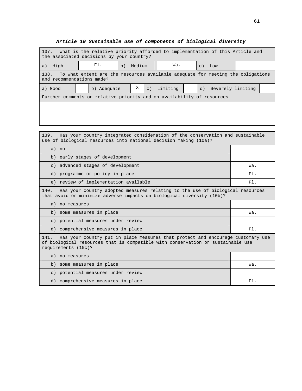| 137. What is the relative priority afforded to implementation of this Article and<br>the associated decisions by your country? |             |              |             |          |  |                 |                   |  |  |
|--------------------------------------------------------------------------------------------------------------------------------|-------------|--------------|-------------|----------|--|-----------------|-------------------|--|--|
| High<br>a)                                                                                                                     | FI.         | Medium<br>b) |             | Wa.      |  | $\mathcal{C}$ ) | Low               |  |  |
| To what extent are the resources available adequate for meeting the obligations<br>138.<br>and recommendations made?           |             |              |             |          |  |                 |                   |  |  |
| a) Good                                                                                                                        | b) Adequate | Χ            | $\subset$ ) | Limiting |  | d)              | Severely limiting |  |  |
| Further comments on relative priority and on availability of resources                                                         |             |              |             |          |  |                 |                   |  |  |
|                                                                                                                                |             |              |             |          |  |                 |                   |  |  |
|                                                                                                                                |             |              |             |          |  |                 |                   |  |  |

| Has your country integrated consideration of the conservation and sustainable<br>139.<br>use of biological resources into national decision making (10a)?                                         |        |  |  |  |
|---------------------------------------------------------------------------------------------------------------------------------------------------------------------------------------------------|--------|--|--|--|
| a) no                                                                                                                                                                                             |        |  |  |  |
| b) early stages of development                                                                                                                                                                    |        |  |  |  |
| c) advanced stages of development                                                                                                                                                                 | Wa.    |  |  |  |
| d) programme or policy in place                                                                                                                                                                   | $F1$ . |  |  |  |
| e) review of implementation available                                                                                                                                                             | $F1$ . |  |  |  |
| Has your country adopted measures relating to the use of biological resources<br>140.<br>that avoid or minimize adverse impacts on biological diversity (10b)?                                    |        |  |  |  |
| a) no measures                                                                                                                                                                                    |        |  |  |  |
| b) some measures in place                                                                                                                                                                         | Wa.    |  |  |  |
| c) potential measures under review                                                                                                                                                                |        |  |  |  |
| d) comprehensive measures in place                                                                                                                                                                | $F1$ . |  |  |  |
| Has your country put in place measures that protect and encourage customary use<br>141.<br>of biological resources that is compatible with conservation or sustainable use<br>requirements (10c)? |        |  |  |  |
| a) no measures                                                                                                                                                                                    |        |  |  |  |
| b) some measures in place                                                                                                                                                                         | Wa.    |  |  |  |
| c) potential measures under review                                                                                                                                                                |        |  |  |  |
| d) comprehensive measures in place                                                                                                                                                                | F1.    |  |  |  |

**Article 10 Sustainable use of components of biological diversity**

┑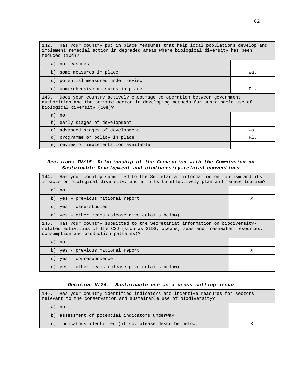142. Has your country put in place measures that help local populations develop and implement remedial action in degraded areas where biological diversity has been reduced (10d)?

| a) no measures                                                                                                                                                                              |     |  |  |  |
|---------------------------------------------------------------------------------------------------------------------------------------------------------------------------------------------|-----|--|--|--|
| b) some measures in place                                                                                                                                                                   | Wa. |  |  |  |
| c) potential measures under review                                                                                                                                                          |     |  |  |  |
| d) comprehensive measures in place                                                                                                                                                          | F1. |  |  |  |
| 143. Does your country actively encourage co-operation between government<br>authorities and the private sector in developing methods for sustainable use of<br>biological diversity (10e)? |     |  |  |  |
| a) no                                                                                                                                                                                       |     |  |  |  |
|                                                                                                                                                                                             |     |  |  |  |
| b) early stages of development                                                                                                                                                              |     |  |  |  |
| c) advanced stages of development                                                                                                                                                           | Wa. |  |  |  |
| d) programme or policy in place                                                                                                                                                             | F1. |  |  |  |

### **Decisions IV/15. Relationship of the Convention with the Commission on Sustainable Development and biodiversity-related conventions**

| 144.<br>Has your country submitted to the Secretariat information on tourism and its<br>impacts on biological diversity, and efforts to effectively plan and manage tourism?                                    |   |  |  |  |
|-----------------------------------------------------------------------------------------------------------------------------------------------------------------------------------------------------------------|---|--|--|--|
| a) no                                                                                                                                                                                                           |   |  |  |  |
| b) yes - previous national report                                                                                                                                                                               | X |  |  |  |
| c) yes - case-studies                                                                                                                                                                                           |   |  |  |  |
| d) yes - other means (please give details below)                                                                                                                                                                |   |  |  |  |
| 145. Has your country submitted to the Secretariat information on biodiversity-<br>related activities of the CSD (such as SIDS, oceans, seas and freshwater resources,<br>consumption and production patterns)? |   |  |  |  |
| a) no                                                                                                                                                                                                           |   |  |  |  |
| b) yes - previous national report                                                                                                                                                                               | X |  |  |  |
| c) yes - correspondence                                                                                                                                                                                         |   |  |  |  |
| d) yes - other means (please give details below)                                                                                                                                                                |   |  |  |  |

### **Decision V/24. Sustainable use as a cross-cutting issue**

| Has your country identified indicators and incentive measures for sectors<br>146.<br>relevant to the conservation and sustainable use of biodiversity? |  |  |  |  |
|--------------------------------------------------------------------------------------------------------------------------------------------------------|--|--|--|--|
| a) no                                                                                                                                                  |  |  |  |  |
| b) assessment of potential indicators underway                                                                                                         |  |  |  |  |
| c) indicators identified (if so, please describe below)                                                                                                |  |  |  |  |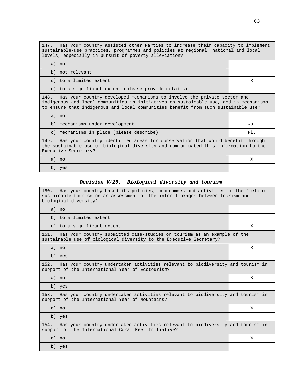147. Has your country assisted other Parties to increase their capacity to implement sustainable-use practices, programmes and policies at regional, national and local levels, especially in pursuit of poverty alleviation?

| a) no                                                                                                                                                                                                                                                          |     |  |  |  |
|----------------------------------------------------------------------------------------------------------------------------------------------------------------------------------------------------------------------------------------------------------------|-----|--|--|--|
| b) not relevant                                                                                                                                                                                                                                                |     |  |  |  |
| c) to a limited extent                                                                                                                                                                                                                                         | X   |  |  |  |
| d) to a significant extent (please provide details)                                                                                                                                                                                                            |     |  |  |  |
| Has your country developed mechanisms to involve the private sector and<br>148.<br>indigenous and local communities in initiatives on sustainable use, and in mechanisms<br>to ensure that indigenous and local communities benefit from such sustainable use? |     |  |  |  |
| a) no                                                                                                                                                                                                                                                          |     |  |  |  |
| b) mechanisms under development                                                                                                                                                                                                                                | Wa. |  |  |  |
| c) mechanisms in place (please describe)                                                                                                                                                                                                                       | F1. |  |  |  |
| 149. Has your country identified areas for conservation that would benefit through<br>the sustainable use of biological diversity and communicated this information to the<br>Executive Secretary?                                                             |     |  |  |  |
| a) no                                                                                                                                                                                                                                                          | X   |  |  |  |
| b) yes                                                                                                                                                                                                                                                         |     |  |  |  |

### **Decision V/25. Biological diversity and tourism**

| 150.<br>Has your country based its policies, programmes and activities in the field of<br>sustainable tourism on an assessment of the inter-linkages between tourism and<br>biological diversity? |   |  |  |  |  |
|---------------------------------------------------------------------------------------------------------------------------------------------------------------------------------------------------|---|--|--|--|--|
| a) no                                                                                                                                                                                             |   |  |  |  |  |
| b) to a limited extent                                                                                                                                                                            |   |  |  |  |  |
| c) to a significant extent                                                                                                                                                                        | X |  |  |  |  |
| Has your country submitted case-studies on tourism as an example of the<br>151.<br>sustainable use of biological diversity to the Executive Secretary?                                            |   |  |  |  |  |
| a) no                                                                                                                                                                                             | X |  |  |  |  |
| b) yes                                                                                                                                                                                            |   |  |  |  |  |
| Has your country undertaken activities relevant to biodiversity and tourism in<br>152.<br>support of the International Year of Ecotourism?                                                        |   |  |  |  |  |
| a) no                                                                                                                                                                                             | Χ |  |  |  |  |
| b) yes                                                                                                                                                                                            |   |  |  |  |  |
| Has your country undertaken activities relevant to biodiversity and tourism in<br>153.<br>support of the International Year of Mountains?                                                         |   |  |  |  |  |
| a) no                                                                                                                                                                                             | X |  |  |  |  |
| b) yes                                                                                                                                                                                            |   |  |  |  |  |
| Has your country undertaken activities relevant to biodiversity and tourism in<br>154.<br>support of the International Coral Reef Initiative?                                                     |   |  |  |  |  |
| a) no                                                                                                                                                                                             | X |  |  |  |  |
| b) yes                                                                                                                                                                                            |   |  |  |  |  |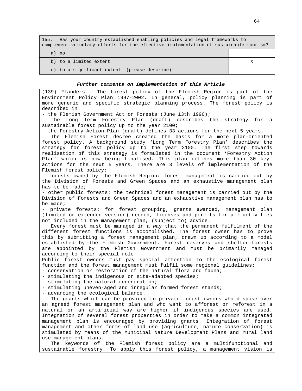| Has your country established enabling policies and legal frameworks to<br>155.<br>complement voluntary efforts for the effective implementation of sustainable tourism? |  |  |  |  |  |
|-------------------------------------------------------------------------------------------------------------------------------------------------------------------------|--|--|--|--|--|
| a) no                                                                                                                                                                   |  |  |  |  |  |
| b) to a limited extent                                                                                                                                                  |  |  |  |  |  |
| c) to a significant extent (please describe)                                                                                                                            |  |  |  |  |  |

#### **Further comments on implementation of this Article**

(139) Flanders – The forest policy of the Flemish Region is part of the Environment Policy Plan 1997-2002. In general, policy planning is part of more generic and specific strategic planning process. The forest policy is described in: - the Flemish Government Act on Forests (June 13th 1990); the Long Term Forestry Plan (draft) describes the strategy for a sustainable forest policy up to the year 2100; - the Forestry Action Plan (draft) defines 33 actions for the next 5 years. The Flemish Forest decree created the basis for a more plan-oriented forest policy. A background study 'Long Term Forestry Plan' describes the strategy for forest policy up to the year 2100. The first step towards realisation of this strategy is formulated in the document 'Forestry Action Plan' which is now being finalised. This plan defines more than 30 keyactions for the next 5 years. There are 3 levels of implementation of the Flemish forest policy: - forests owned by the Flemish Region: forest management is carried out by the Division of Forests and Green Spaces and an exhaustive management plan has to be made; - other public forests: the technical forest management is carried out by the Division of Forests and Green Spaces and an exhaustive management plan has to be made; - private forests: for forest grouping, grants awarded, management plan (limited or extended version) needed, licenses and permits for all activities not included in the management plan, (subject to) advice. Every forest must be managed in a way that the permanent fulfilment of the different forest functions is accomplished. The forest owner has to prove this by submitting a forest management plan, drawn up according to a model established by the Flemish Government. Forest reserves and shelter-forests are appointed by the Flemish Government and must be primarily managed according to their special role. Public forest owners must pay special attention to the ecological forest function and the forest management must fulfil some regional guidelines: - conservation or restoration of the natural flora and fauna; - stimulating the indigenous or site-adapted species; - stimulating the natural regeneration; - stimulating uneven-aged and irregular formed forest stands; - advancing the ecological balance. The grants which can be provided to private forest owners who dispose over an agreed forest management plan and who want to afforest or reforest in a natural or an artificial way are higher if indigenous species are used. Integration of several forest properties in order to make a common integrated management plan is encouraged by providing grants. Integration of forest management and other forms of land use (agriculture, nature conservation) is stimulated by means of the Municipal Nature Development Plans and rural land use management plans. The keywords of the Flemish forest policy are a multifunctional and sustainable forestry. To apply this forest policy, a management vision is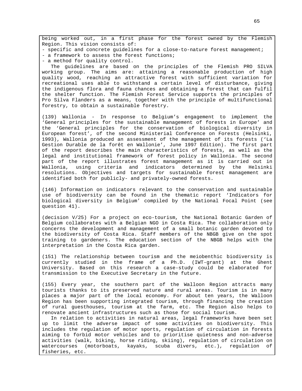being worked out, in a first phase for the forest owned by the Flemish Region. This vision consists of:

- specific and concrete guidelines for a close-to-nature forest management;

- a framework to assess the forest functions;
- a method for quality control.

The guidelines are based on the principles of the Flemish PRO SILVA working group. The aims are: attaining a reasonable production of high quality wood, reaching an attractive forest with sufficient variation for recreational uses able to withstand a certain level of disturbance, giving the indigenous flora and fauna chances and obtaining a forest that can fulfil the shelter function. The Flemish Forest Service supports the principles of Pro Silva Flanders as a means, together with the principle of multifunctional forestry, to obtain a sustainable forestry.

(139) Wallonia - In response to Belgium's engagement to implement the 'General principles for the sustainable management of forests in Europe' and the 'General principles for the conservation of biological diversity in European forest', of the second Ministerial Conference on Forests (Helsinki, 1993), Wallonia produced an assessment of the management of its forests ('La Gestion Durable de la forêt en Wallonie', June 1997 Edition). The first part of the report describes the main characteristics of forests, as well as the legal and institutional framework of forest policy in Wallonia. The second part of the report illustrates forest management as it is carried out in Wallonia, using criteria and indicators determined by the Helsinki resolutions. Objectives and targets for sustainable forest management are identified both for publicly- and privately-owned forests.

(146) Information on indicators relevant to the conservation and sustainable use of biodiversity can be found in the thematic report 'Indicators for biological diversity in Belgium' compiled by the National Focal Point (see question 41).

(decision V/25) For a project on eco-tourism, the National Botanic Garden of Belgium collaborates with a Belgian NGO in Costa Rica. The collaboration only concerns the development and management of a small botanic garden devoted to the biodiversity of Costa Rica. Staff members of the NBGB give on the spot training to gardeners. The education section of the NBGB helps with the interpretation in the Costa Rica garden.

(151) The relationship between tourism and the meiobenthic biodiversity is currently studied in the frame of a Ph.D. (IWT-grant) at the Ghent University. Based on this research a case-study could be elaborated for transmission to the Executive Secretary in the future.

(155) Every year, the southern part of the Walloon Region attracts many tourists thanks to its preserved nature and rural areas. Tourism is in many places a major part of the local economy. For about ten years, the Walloon Region has been supporting integrated tourism, through financing the creation of rural guesthouses, tourism at the farm, etc. The Region also helps to renovate ancient infrastructures such as those for social tourism.

In relation to activities in natural areas, legal frameworks have been set up to limit the adverse impact of some activities on biodiversity. This includes the regulation of motor sports, regulation of circulation in forests aiming to forbid motor vehicles and to prioritise quietness and non-adverse activities (walk, biking, horse riding, skiing), regulation of circulation on watercourses (motorboats, kayaks, scuba divers, etc.), regulation of fisheries, etc.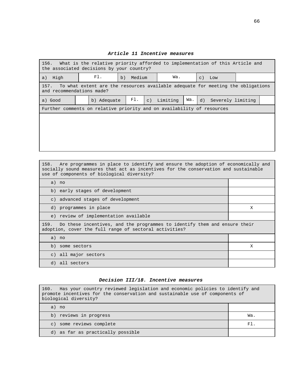| 156. What is the relative priority afforded to implementation of this Article and<br>the associated decisions by your country? |             |              |           |          |     |          |                   |  |
|--------------------------------------------------------------------------------------------------------------------------------|-------------|--------------|-----------|----------|-----|----------|-------------------|--|
| a) High                                                                                                                        | FI.         | Medium<br>b) |           | Wa.      |     | $C)$ Low |                   |  |
| 157. To what extent are the resources available adequate for meeting the obligations<br>and recommendations made?              |             |              |           |          |     |          |                   |  |
| a) Good                                                                                                                        | b) Adequate | Fl.          | $\circ$ ) | Limiting | Wa. | d)       | Severely limiting |  |
| Further comments on relative priority and on availability of resources                                                         |             |              |           |          |     |          |                   |  |
|                                                                                                                                |             |              |           |          |     |          |                   |  |
|                                                                                                                                |             |              |           |          |     |          |                   |  |
|                                                                                                                                |             |              |           |          |     |          |                   |  |
|                                                                                                                                |             |              |           |          |     |          |                   |  |

### **Article 11 Incentive measures**

| 158. Are programmes in place to identify and ensure the adoption of economically and<br>socially sound measures that act as incentives for the conservation and sustainable<br>use of components of biological diversity? |   |  |  |  |
|---------------------------------------------------------------------------------------------------------------------------------------------------------------------------------------------------------------------------|---|--|--|--|
| a) no                                                                                                                                                                                                                     |   |  |  |  |
| b) early stages of development                                                                                                                                                                                            |   |  |  |  |
| c) advanced stages of development                                                                                                                                                                                         |   |  |  |  |
| d) programmes in place                                                                                                                                                                                                    | X |  |  |  |
| e) review of implementation available                                                                                                                                                                                     |   |  |  |  |
| Do these incentives, and the programmes to identify them and ensure their<br>159.<br>adoption, cover the full range of sectoral activities?                                                                               |   |  |  |  |
| a) no                                                                                                                                                                                                                     |   |  |  |  |
| b) some sectors                                                                                                                                                                                                           | X |  |  |  |
| c) all major sectors                                                                                                                                                                                                      |   |  |  |  |
| d) all sectors                                                                                                                                                                                                            |   |  |  |  |

# **Decision III/18. Incentive measures**

| 160. Has your country reviewed legislation and economic policies to identify and<br>promote incentives for the conservation and sustainable use of components of<br>biological diversity? |     |  |  |  |
|-------------------------------------------------------------------------------------------------------------------------------------------------------------------------------------------|-----|--|--|--|
| a) no                                                                                                                                                                                     |     |  |  |  |
| b) reviews in progress                                                                                                                                                                    | Wa. |  |  |  |
| some reviews complete<br>$\mathsf{C}$ )                                                                                                                                                   | F1  |  |  |  |
| d) as far as practically possible                                                                                                                                                         |     |  |  |  |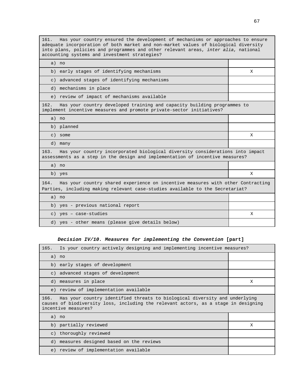161. Has your country ensured the development of mechanisms or approaches to ensure adequate incorporation of both market and non-market values of biological diversity into plans, policies and programmes and other relevant areas, inter alia, national accounting systems and investment strategies?

| a) no                                                                                                                                                                    |   |
|--------------------------------------------------------------------------------------------------------------------------------------------------------------------------|---|
| b) early stages of identifying mechanisms                                                                                                                                | X |
| advanced stages of identifying mechanisms<br>$\mathcal{C}$ )                                                                                                             |   |
| d) mechanisms in place                                                                                                                                                   |   |
| e) review of impact of mechanisms available                                                                                                                              |   |
| Has your country developed training and capacity building programmes to<br>162.<br>implement incentive measures and promote private-sector initiatives?                  |   |
| a) no                                                                                                                                                                    |   |
| b) planned                                                                                                                                                               |   |
| $c)$ some                                                                                                                                                                | X |
| d) many                                                                                                                                                                  |   |
| Has your country incorporated biological diversity considerations into impact<br>163.<br>assessments as a step in the design and implementation of incentive measures?   |   |
| a) no                                                                                                                                                                    |   |
| b) yes                                                                                                                                                                   | X |
| Has your country shared experience on incentive measures with other Contracting<br>164.<br>Parties, including making relevant case-studies available to the Secretariat? |   |
| a) no                                                                                                                                                                    |   |
| b) yes - previous national report                                                                                                                                        |   |
| c) yes - case-studies                                                                                                                                                    | X |
| d) yes - other means (please give details below)                                                                                                                         |   |

### **Decision IV/10. Measures for implementing the Convention [part]**

| 165.                                                                                                                                                                                             | Is your country actively designing and implementing incentive measures? |  |  |  |  |
|--------------------------------------------------------------------------------------------------------------------------------------------------------------------------------------------------|-------------------------------------------------------------------------|--|--|--|--|
| a) no                                                                                                                                                                                            |                                                                         |  |  |  |  |
| b) early stages of development                                                                                                                                                                   |                                                                         |  |  |  |  |
| c) advanced stages of development                                                                                                                                                                |                                                                         |  |  |  |  |
| d) measures in place                                                                                                                                                                             | X                                                                       |  |  |  |  |
| e) review of implementation available                                                                                                                                                            |                                                                         |  |  |  |  |
| Has your country identified threats to biological diversity and underlying<br>166.<br>causes of biodiversity loss, including the relevant actors, as a stage in designing<br>incentive measures? |                                                                         |  |  |  |  |
| a) no                                                                                                                                                                                            |                                                                         |  |  |  |  |
| b) partially reviewed                                                                                                                                                                            | X                                                                       |  |  |  |  |
| c) thoroughly reviewed                                                                                                                                                                           |                                                                         |  |  |  |  |
| d) measures designed based on the reviews                                                                                                                                                        |                                                                         |  |  |  |  |
| e) review of implementation available                                                                                                                                                            |                                                                         |  |  |  |  |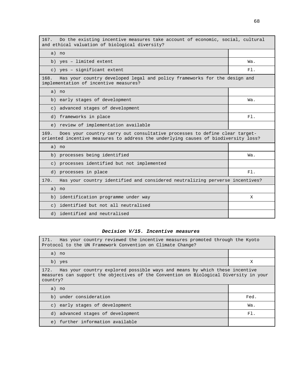| Do the existing incentive measures take account of economic, social, cultural<br>167.<br>and ethical valuation of biological diversity?                                  |        |  |  |  |  |  |
|--------------------------------------------------------------------------------------------------------------------------------------------------------------------------|--------|--|--|--|--|--|
| a) no                                                                                                                                                                    |        |  |  |  |  |  |
| b) yes - limited extent                                                                                                                                                  | Wa.    |  |  |  |  |  |
| c) yes - significant extent                                                                                                                                              | $F1$ . |  |  |  |  |  |
| Has your country developed legal and policy frameworks for the design and<br>168.<br>implementation of incentive measures?                                               |        |  |  |  |  |  |
| a) no                                                                                                                                                                    |        |  |  |  |  |  |
| b) early stages of development                                                                                                                                           | Wa.    |  |  |  |  |  |
| advanced stages of development<br>$\in$ )                                                                                                                                |        |  |  |  |  |  |
| d) frameworks in place                                                                                                                                                   | $F1$ . |  |  |  |  |  |
| e) review of implementation available                                                                                                                                    |        |  |  |  |  |  |
| Does your country carry out consultative processes to define clear target-<br>169.<br>oriented incentive measures to address the underlying causes of biodiversity loss? |        |  |  |  |  |  |
| a) no                                                                                                                                                                    |        |  |  |  |  |  |
| b) processes being identified                                                                                                                                            | Wa.    |  |  |  |  |  |
| c) processes identified but not implemented                                                                                                                              |        |  |  |  |  |  |
| d) processes in place                                                                                                                                                    | F1.    |  |  |  |  |  |
| Has your country identified and considered neutralizing perverse incentives?<br>170.                                                                                     |        |  |  |  |  |  |
|                                                                                                                                                                          |        |  |  |  |  |  |
| a) no                                                                                                                                                                    |        |  |  |  |  |  |
| identification programme under way<br>b)                                                                                                                                 | х      |  |  |  |  |  |
| identified but not all neutralised<br>$\subset$ )                                                                                                                        |        |  |  |  |  |  |

### **Decision V/15. Incentive measures**

| Has your country reviewed the incentive measures promoted through the Kyoto<br>171.<br>Protocol to the UN Framework Convention on Climate Change?                                       |      |  |  |  |  |
|-----------------------------------------------------------------------------------------------------------------------------------------------------------------------------------------|------|--|--|--|--|
| a) no                                                                                                                                                                                   |      |  |  |  |  |
| b) yes                                                                                                                                                                                  | X    |  |  |  |  |
| Has your country explored possible ways and means by which these incentive<br>172.<br>measures can support the objectives of the Convention on Biological Diversity in your<br>country? |      |  |  |  |  |
| a) no                                                                                                                                                                                   |      |  |  |  |  |
| b) under consideration                                                                                                                                                                  | Fed. |  |  |  |  |
| c) early stages of development                                                                                                                                                          | Wa.  |  |  |  |  |
| d) advanced stages of development                                                                                                                                                       | F1.  |  |  |  |  |
| e) further information available                                                                                                                                                        |      |  |  |  |  |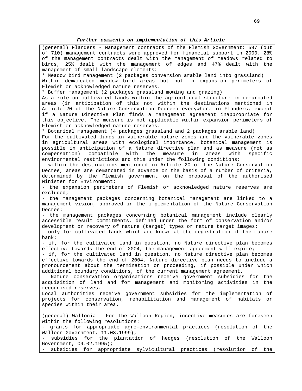(general) Flanders - Management contracts of the Flemish Government: 597 (out of 710) management contracts were approved for financial support in 2000. 28% of the management contracts dealt with the management of meadows related to birds, 25% dealt with the management of edges and 47% dealt with the management of small landscape elements: \* Meadow bird management (2 packages conversion arable land into grassland) Within demarcated meadow bird areas but not in expansion perimeters of Flemish or acknowledged nature reserves. \* Buffer management (2 packages grassland mowing and grazing) As a rule on cultivated lands within the agricultural structure in demarcated areas (in anticipation of this not within the destinations mentioned in Article 20 of the Nature Conservation Decree) everywhere in Flanders, except if a Nature Directive Plan finds a management agreement inappropriate for this objective. The measure is not applicable within expansion perimeters of Flemish or acknowledged nature reserves. \* Botanical management (4 packages grassland and 2 packages arable land) For the cultivated lands in vulnerable nature zones and the vulnerable zones in agricultural areas with ecological importance, botanical management is possible in anticipation of a Nature directive plan and as measure (not as compensation) compatible with the measure in areas with specific environmental restrictions and this under the following conditions: - within the destinations mentioned in Article 20 of the Nature Conservation Decree, areas are demarcated in advance on the basis of a number of criteria, determined by the Flemish government on the proposal of the authorised Minister for Environment; - the expansion perimeters of Flemish or acknowledged nature reserves are excluded; - the management packages concerning botanical management are linked to a management vision, approved in the implementation of the Nature Conservation Decree; - the management packages concerning botanical management include clearly accessible result commitments, defined under the form of conservation and/or development or recovery of nature (target) types or nature target images; - only for cultivated lands which are known at the registration of the manure bank; - if, for the cultivated land in question, no Nature directive plan becomes effective towards the end of 2004, the management agreement will expire; - if, for the cultivated land in question, no Nature directive plan becomes effective towards the end of 2004, Nature directive plan needs to include a pronouncement about the termination or proceeding, if possible under which additional boundary conditions, of the current management agreement. Nature conservation organisations receive government subsidies for the acquisition of land and for management and monitoring activities in the recognised reserves. Local authorities receive government subsidies for the implementation of projects for conservation, rehabilitation and management of habitats or species within their area. (general) Wallonia - For the Walloon Region, incentive measures are foreseen within the following resolutions: - grants for appropriate agro-environmental practices (resolution of the Walloon Government, 11.03.1999); subsidies for the plantation of hedges (resolution of the Walloon Government, 09.02.1995); - subsidies for appropriate sylvicultural practices (resolution of the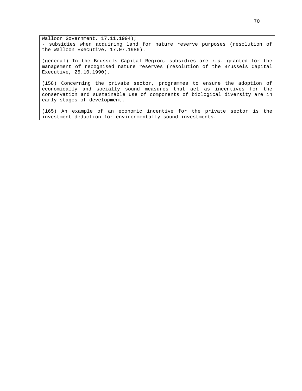Walloon Government, 17.11.1994); - subsidies when acquiring land for nature reserve purposes (resolution of the Walloon Executive, 17.07.1986).

(general) In the Brussels Capital Region, subsidies are  $i.a.$  granted for the management of recognised nature reserves (resolution of the Brussels Capital Executive, 25.10.1990).

(158) Concerning the private sector, programmes to ensure the adoption of economically and socially sound measures that act as incentives for the conservation and sustainable use of components of biological diversity are in early stages of development.

(165) An example of an economic incentive for the private sector is the investment deduction for environmentally sound investments.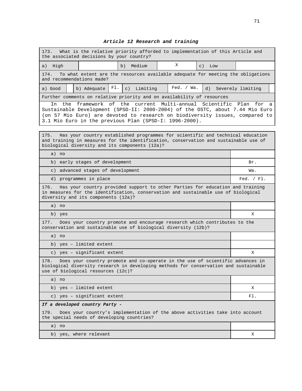# **Article 12 Research and training**

| What is the relative priority afforded to implementation of this Article and<br>173.<br>the associated decisions by your country?                                                                                                                                                                |                                                                                                                                              |     |                     |  |              |                   |     |  |
|--------------------------------------------------------------------------------------------------------------------------------------------------------------------------------------------------------------------------------------------------------------------------------------------------|----------------------------------------------------------------------------------------------------------------------------------------------|-----|---------------------|--|--------------|-------------------|-----|--|
| a) High                                                                                                                                                                                                                                                                                          |                                                                                                                                              |     | Medium<br>b)        |  | Χ            | $\in$ )<br>Low    |     |  |
| 174.                                                                                                                                                                                                                                                                                             |                                                                                                                                              |     |                     |  |              |                   |     |  |
|                                                                                                                                                                                                                                                                                                  | To what extent are the resources available adequate for meeting the obligations<br>and recommendations made?                                 |     |                     |  |              |                   |     |  |
| a) Good                                                                                                                                                                                                                                                                                          | b) Adequate                                                                                                                                  | FI. | $\in$ )<br>Limiting |  | Fed. / Wa.   | Severely limiting |     |  |
|                                                                                                                                                                                                                                                                                                  | Further comments on relative priority and on availability of resources                                                                       |     |                     |  |              |                   |     |  |
| the framework of the current Multi-annual Scientific Plan for a<br>In<br>Sustainable Development (SPSD-II: 2000-2004) of the OSTC, about 7.44 Mio Euro<br>(on 57 Mio Euro) are devoted to research on biodiversity issues, compared to<br>3.1 Mio Euro in the previous Plan (SPSD-I: 1996-2000). |                                                                                                                                              |     |                     |  |              |                   |     |  |
|                                                                                                                                                                                                                                                                                                  |                                                                                                                                              |     |                     |  |              |                   |     |  |
| Has your country established programmes for scientific and technical education<br>175.<br>and training in measures for the identification, conservation and sustainable use of<br>biological diversity and its components (12a)?                                                                 |                                                                                                                                              |     |                     |  |              |                   |     |  |
| a) no                                                                                                                                                                                                                                                                                            |                                                                                                                                              |     |                     |  |              |                   |     |  |
| b)                                                                                                                                                                                                                                                                                               | early stages of development                                                                                                                  |     |                     |  |              |                   | Br. |  |
|                                                                                                                                                                                                                                                                                                  | c) advanced stages of development                                                                                                            |     |                     |  |              |                   | Wa. |  |
| d) programmes in place                                                                                                                                                                                                                                                                           |                                                                                                                                              |     |                     |  | Fed. $/F1$ . |                   |     |  |
| Has your country provided support to other Parties for education and training<br>176.<br>in measures for the identification, conservation and sustainable use of biological<br>diversity and its components (12a)?                                                                               |                                                                                                                                              |     |                     |  |              |                   |     |  |
| a) no                                                                                                                                                                                                                                                                                            |                                                                                                                                              |     |                     |  |              |                   |     |  |
| b) yes                                                                                                                                                                                                                                                                                           |                                                                                                                                              |     |                     |  |              |                   | X   |  |
| 177.                                                                                                                                                                                                                                                                                             | Does your country promote and encourage research which contributes to the<br>conservation and sustainable use of biological diversity (12b)? |     |                     |  |              |                   |     |  |
| a) no                                                                                                                                                                                                                                                                                            |                                                                                                                                              |     |                     |  |              |                   |     |  |
|                                                                                                                                                                                                                                                                                                  | b) yes - limited extent                                                                                                                      |     |                     |  |              |                   |     |  |
| c) yes - significant extent                                                                                                                                                                                                                                                                      |                                                                                                                                              |     |                     |  |              | X                 |     |  |
| Does your country promote and co-operate in the use of scientific advances in<br>178.<br>biological diversity research in developing methods for conservation and sustainable<br>use of biological resources (12c)?                                                                              |                                                                                                                                              |     |                     |  |              |                   |     |  |
| a) no                                                                                                                                                                                                                                                                                            |                                                                                                                                              |     |                     |  |              |                   |     |  |
| b) yes - limited extent                                                                                                                                                                                                                                                                          |                                                                                                                                              |     |                     |  |              | Χ                 |     |  |
| c) yes - significant extent                                                                                                                                                                                                                                                                      |                                                                                                                                              |     |                     |  |              | FI.               |     |  |
| If a developed country Party -                                                                                                                                                                                                                                                                   |                                                                                                                                              |     |                     |  |              |                   |     |  |
| Does your country's implementation of the above activities take into account<br>179.<br>the special needs of developing countries?                                                                                                                                                               |                                                                                                                                              |     |                     |  |              |                   |     |  |
| a) no                                                                                                                                                                                                                                                                                            |                                                                                                                                              |     |                     |  |              |                   |     |  |
| b) yes, where relevant                                                                                                                                                                                                                                                                           |                                                                                                                                              |     |                     |  |              | Χ                 |     |  |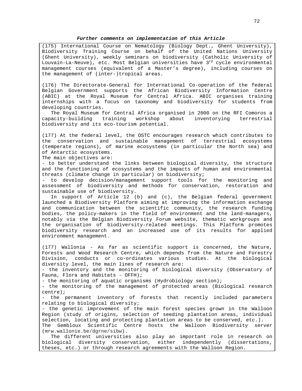### **Further comments on implementation of this Article**

(175) International Course on Nematology (Biology Dept., Ghent University), Biodiversity Training Course on behalf of the United Nations University (Ghent University), weekly seminars on biodiversity (Catholic University of Louvain-La-Neuve), etc. Most Belgian universities have 3<sup>rd</sup> cycle environmental management courses (equivalent of a Master's degree), including courses on the management of (inter-)tropical areas.

(176) The Directorate-General for International Co-operation of the federal Belgian Government supports the African Biodiversity Information Centre (ABIC) at the Royal Museum for Central Africa. ABIC organises training internships with a focus on taxonomy and biodiversity for students from developing countries.

The Royal Museum for Central Africa organised in 2000 on the RFI Comoros a capacity-building training workshop about inventorying terrestrial biodiversity and its eco-tourism potential.

(177) At the federal level, the OSTC encourages research which contributes to the conservation and sustainable management of terrestrial ecosystems (temperate regions), of marine ecosystems (in particular the North sea) and of Antarctic ecosystems.

The main objectives are:

- to better understand the links between biological diversity, the structure and the functioning of ecosystems and the impacts of human and environmental threats (climate change in particular) on biodiversity;

- to develop decision/management support tools for the monitoring and assessment of biodiversity and methods for conservation, restoration and sustainable use of biodiversity.

In support of Article 12 (b) and (c), the Belgian federal government launched a Biodiversity Platform aiming at improving the information exchange and communication between the scientific community, the research funding bodies, the policy-makers in the field of environment and the land-managers, notably via the Belgian Biodiversity Forum website, thematic workgroups and the organisation of biodiversity-related meetings. This Platform promotes biodiversity research and an increased use of its results for applied environment management.

(177) Wallonia - As far as scientific support is concerned, the Nature, Forests and Wood Research Centre, which depends from the Nature and Forestry Division, conducts or co-ordinates various studies. At the biological diversity level, the main lines of research are:

- the inventory and the monitoring of biological diversity (Observatory of Fauna, Flora and Habitats - OFFH);

- the monitoring of aquatic organisms (Hydrobiology section);

- the monitoring of the management of protected areas (Biological research centre);

- the permanent inventory of forests that recently included parameters relating to biological diversity;

- the genetic improvement of the main forest species grown in the Walloon Region (study of origins, selection of seeding plantation areas, individual selection, locating and protecting plantation areas to be conserved, etc.). The Gembloux Scientific Centre hosts the Walloon Biodiversity server (mrw.wallonie.be/dgrne/sibw).

The different universities also play an important role in research on biological diversity conservation, either independently (dissertations, theses, etc.) or through research agreements with the Walloon Region.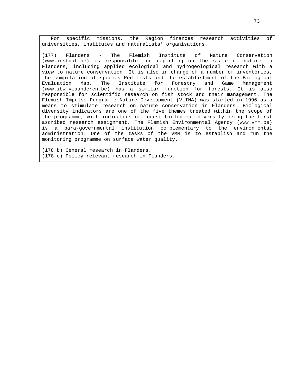For specific missions, the Region finances research activities of universities, institutes and naturalists' organisations.

(177) Flanders - The Flemish Institute of Nature Conservation (www.instnat.be) is responsible for reporting on the state of nature in Flanders, including applied ecological and hydrogeological research with a view to nature conservation. It is also in charge of a number of inventories, the compilation of species Red Lists and the establishment of the Biological Evaluation Map. The Institute for Forestry and Game Management (www.ibw.vlaanderen.be) has a similar function for forests. It is also responsible for scientific research on fish stock and their management. The Flemish Impulse Programme Nature Development (VLINA) was started in 1996 as a means to stimulate research on nature conservation in Flanders. Biological diversity indicators are one of the five themes treated within the scope of the programme, with indicators of forest biological diversity being the first ascribed research assignment. The Flemish Environmental Agency (www.vmm.be) is a para-governmental institution complementary to the environmental administration. One of the tasks of the VMM is to establish and run the monitoring programme on surface water quality.

(178 b) General research in Flanders. (178 c) Policy relevant research in Flanders.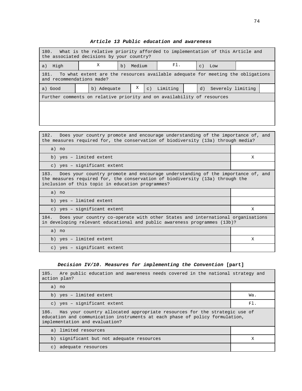| What is the relative priority afforded to implementation of this Article and<br>180.<br>the associated decisions by your country? |             |    |        |                 |          |  |           |                   |  |
|-----------------------------------------------------------------------------------------------------------------------------------|-------------|----|--------|-----------------|----------|--|-----------|-------------------|--|
| High<br>a)                                                                                                                        | Χ           | b) | Medium |                 | F1.      |  | $\circ$ ) | Low               |  |
| 181.<br>To what extent are the resources available adequate for meeting the obligations<br>and recommendations made?              |             |    |        |                 |          |  |           |                   |  |
| a) Good                                                                                                                           | b) Adequate |    | X      | $\mathcal{C}$ ) | Limiting |  | d)        | Severely limiting |  |
| Further comments on relative priority and on availability of resources                                                            |             |    |        |                 |          |  |           |                   |  |
|                                                                                                                                   |             |    |        |                 |          |  |           |                   |  |
|                                                                                                                                   |             |    |        |                 |          |  |           |                   |  |

# **Article 13 Public education and awareness**

| 182. Does your country promote and encourage understanding of the importance of, and<br>the measures required for, the conservation of biodiversity (13a) through media?                                                  |   |  |  |  |
|---------------------------------------------------------------------------------------------------------------------------------------------------------------------------------------------------------------------------|---|--|--|--|
| a) no                                                                                                                                                                                                                     |   |  |  |  |
| b) yes - limited extent                                                                                                                                                                                                   | X |  |  |  |
| c) yes - significant extent                                                                                                                                                                                               |   |  |  |  |
| 183. Does your country promote and encourage understanding of the importance of, and<br>the measures required for, the conservation of biodiversity (13a) through the<br>inclusion of this topic in education programmes? |   |  |  |  |
| a) no                                                                                                                                                                                                                     |   |  |  |  |
| b) yes - limited extent                                                                                                                                                                                                   |   |  |  |  |
| c) yes - significant extent                                                                                                                                                                                               | X |  |  |  |
| 184. Does your country co-operate with other States and international organisations<br>in developing relevant educational and public awareness programmes (13b)?                                                          |   |  |  |  |
| $a)$ no                                                                                                                                                                                                                   |   |  |  |  |
| b) yes - limited extent                                                                                                                                                                                                   | X |  |  |  |
| c) yes - significant extent                                                                                                                                                                                               |   |  |  |  |

# **Decision IV/10. Measures for implementing the Convention [part]**

| 185. Are public education and awareness needs covered in the national strategy and<br>action plan?                                                                                                  |     |
|-----------------------------------------------------------------------------------------------------------------------------------------------------------------------------------------------------|-----|
| a) no                                                                                                                                                                                               |     |
| b) yes - limited extent                                                                                                                                                                             | Wa. |
| c) yes - significant extent                                                                                                                                                                         | F1. |
| Has your country allocated appropriate resources for the strategic use of<br>186.<br>education and communication instruments at each phase of policy formulation,<br>implementation and evaluation? |     |
| a) limited resources                                                                                                                                                                                |     |
| b) significant but not adequate resources                                                                                                                                                           | X   |
| adequate resources<br>$\subset$ )                                                                                                                                                                   |     |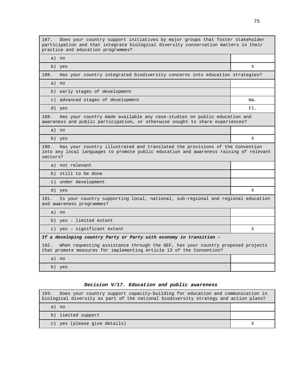187. Does your country support initiatives by major groups that foster stakeholder participation and that integrate biological diversity conservation matters in their practice and education programmes?

a) no

188. Has your country integrated biodiversity concerns into education strategies?

b) yes X

a) no

b) early stages of development

c) advanced stages of development Wa.

d) yes  $\begin{bmatrix} 1 & 0 \end{bmatrix}$ 

189. Has your country made available any case-studies on public education and awareness and public participation, or otherwise sought to share experiences?

a) no

b) yes X

190. Has your country illustrated and translated the provisions of the Convention into any local languages to promote public education and awareness raising of relevant sectors?

a) not relevant

b) still to be done

c) under development

d) yes X

191. Is your country supporting local, national, sub-regional and regional education and awareness programmes?

a) no

b) yes – limited extent

c) yes – significant extent X

#### **If a developing country Party or Party with economy in transition -**

192. When requesting assistance through the GEF, has your country proposed projects that promote measures for implementing Article 13 of the Convention?

a) no

b) yes

#### **Decision V/17. Education and public awareness**

| 193. Does your country support capacity-building for education and communication in<br>biological diversity as part of the national biodiversity strategy and action plans? |  |  |  |  |
|-----------------------------------------------------------------------------------------------------------------------------------------------------------------------------|--|--|--|--|
| a) no                                                                                                                                                                       |  |  |  |  |
| b) limited support                                                                                                                                                          |  |  |  |  |
| c) yes (please give details)                                                                                                                                                |  |  |  |  |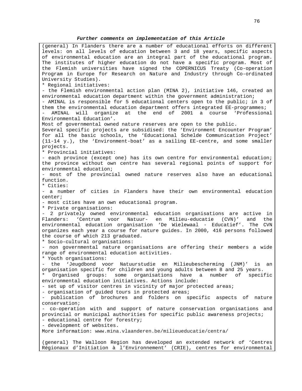#### **Further comments on implementation of this Article**

(general) In Flanders there are a number of educational efforts on different levels: on all levels of education between 3 and 18 years, specific aspects of environmental education are an integral part of the educational program. The institutes of higher education do not have a specific program. Most of the Flemish universities have signed the COPERNICUS Treaty (Co-operation Program in Europe for Research on Nature and Industry through Co-ordinated University Studies). \* Regional initiatives: - the Flemish environmental action plan (MINA 2), initiative 146, created an environmental education department within the government administration; - AMINAL is responsible for 5 educational centers open to the public; in 3 of them the environmental education department offers integrated EE-programmes; - AMINAL will organize at the end of 2001 a course 'Professional Environmental Education'. Most of governmental owned nature reserves are open to the public. Several specific projects are subsidised: the 'Environment Encounter Program' for all the basic schools, the 'Educational Schelde Communication Project' (11-14 y.), the 'Environment-boat' as a sailing EE-centre, and some smaller projects. \* Provincial initiatives: - each province (except one) has its own centre for environmental education; the province without own centre has several regional points of support for environmental education; - most of the provincial owned nature reserves also have an educational function. \* Cities: - a number of cities in Flanders have their own environmental education center; - most cities have an own educational program. \* Private organisations: - 2 privately owned environmental education organisations are active in Flanders: 'Centrum voor Natuur- en Milieu-educatie (CVN)' and the environmental education organisation 'De Wielewaal - Educatief'. The CVN organizes each year a course for nature guides. In 2000, 416 persons followed the course of which 213 graduated. \* Socio-cultural organisations: - non governmental nature organisations are offering their members a wide range of environmental education activities. \* Youth organisations: - the 'Jeugdbond voor Natuurstudie en Milieubescherming (JNM)' is an organisation specific for children and young adults between 8 and 25 years. Organised groups: some organisations have a number of specific environmental education initiatives. Actions include: - set up of visitor centres in vicinity of major protected areas; - organisation of guided tours in protected areas; - publication of brochures and folders on specific aspects of nature conservation; - co-operation with and support of nature conservation organisations and provincial or municipal authorities for specific public awareness projects; - educational centre for forestry; - development of websites. More information: www.mina.vlaanderen.be/milieueducatie/centra/ (general) The Walloon Region has developed an extended network of 'Centres Régionaux d'Initiation à l'Environnement' (CRIE), centres for environmental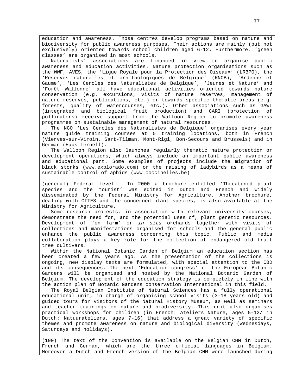education and awareness. Those centres develop programs based on nature and biodiversity for public awareness purposes. Their actions are mainly (but not exclusively) oriented towards school children aged 6-12. Furthermore, 'green classes' are organised in most schools.

Naturalists' associations are financed in view to organise public awareness and education activities. Nature protection organisations such as the WWF, AVES, the 'Ligue Royale pour la Protection des Oiseaux' (LRBPO), the 'Réserves naturelles et ornithologiques de Belgique' (RNOB), 'Ardenne et Gaume', 'Les Cercles des Naturalistes de Belgique', 'Jeunes et Nature' and 'Forêt Wallonne' all have educational activities oriented towards nature conservation (e.g. excursions, visits of nature reserves, management of nature reserves, publications, etc.) or towards specific thematic areas (e.g. forests, quality of watercourses, etc.). Other associations such as GAWI (integrated and biological fruit production) and CARI (protection of pollinators) receive support from the Walloon Region to promote awareness programmes on sustainable management of natural resources.

The NGO 'Les Cercles des Naturalistes de Belgique' organises every year nature guide training courses at 5 training locations, both in French (Vierves-sur-Viroin, Sart-Tilman, Mont-Rigi, Bon-Secours and Brussels) and in German (Haus Ternell).

The Walloon Region also launches regularly thematic nature protection or development operations, which always include an important public awareness and educational part. Some examples of projects include the migration of black storks (www.explorado.com) or the raising of ladybirds as a means of sustainable control of aphids (www.coccinelles.be)

(general) Federal level - In 2000 a brochure entitled 'Threatened plant species and the tourist' was edited in Dutch and French and widely disseminated by the Federal Ministry for Agriculture. Another brochure, dealing with CITES and the concerned plant species, is also available at the Ministry for Agriculture.

Some research projects, in association with relevant university courses, demonstrate the need for, and the potential uses of, plant genetic resources. Development of 'on farm' or in situ orchards together with visits of collections and manifestations organised for schools and the general public enhance the public awareness concerning this topic. Public and media collaboration plays a key role for the collection of endangered old fruit tree cultivars.

Within the National Botanic Garden of Belgium an education section has been created a few years ago. As the presentation of the collections is ongoing, new display texts are formulated, with special attention to the CBD and its consequences. The next 'Education congress' of the European Botanic Gardens will be organised and hosted by the National Botanic Garden of Belgium. The development of the education strategy is completely in line with the action plan of Botanic Gardens conservation International in this field.

The Royal Belgian Institute of Natural Sciences has a fully operational educational unit, in charge of organising school visits (3-18 years old) and guided tours for visitors of the Natural History Museum, as well as seminars and teacher trainings on nature and biodiversity. This unit also organises practical workshops for children (in French: Ateliers Nature, ages 5-12/ in Dutch: Natuurateliers, ages 7-16) that address a great variety of specific themes and promote awareness on nature and biological diversity (Wednesdays, Saturdays and holidays).

(190) The text of the Convention is available on the Belgian CHM in Dutch, French and German, which are the three official languages in Belgium. Moreover a Dutch and French version of the Belgian CHM were launched during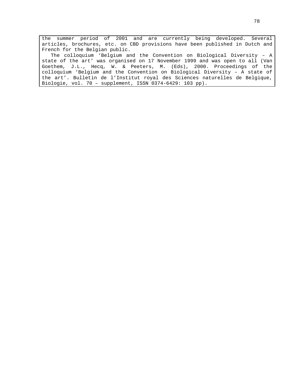the summer period of 2001 and are currently being developed. Several articles, brochures, etc. on CBD provisions have been published in Dutch and French for the Belgian public. The colloquium 'Belgium and the Convention on Biological Diversity – A state of the art' was organised on 17 November 1999 and was open to all (Van Goethem, J.L., Hecq, W. & Peeters, M. (Eds), 2000. Proceedings of the colloquium 'Belgium and the Convention on Biological Diversity – A state of

the art'. Bulletin de l'Institut royal des Sciences naturelles de Belgique, Biologie, vol. 70 – supplement, ISSN 0374-6429: 103 pp).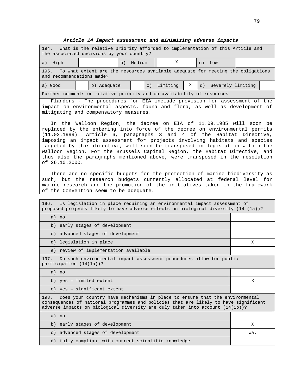| What is the relative priority afforded to implementation of this Article and<br>194.<br>the associated decisions by your country?                                                                                                                                                                                                                                                                                                                                                                                                                                        |                                                                                                |                                            |  |  |             |          |   |                                                                                                                                                          |                   |  |
|--------------------------------------------------------------------------------------------------------------------------------------------------------------------------------------------------------------------------------------------------------------------------------------------------------------------------------------------------------------------------------------------------------------------------------------------------------------------------------------------------------------------------------------------------------------------------|------------------------------------------------------------------------------------------------|--------------------------------------------|--|--|-------------|----------|---|----------------------------------------------------------------------------------------------------------------------------------------------------------|-------------------|--|
| a) High                                                                                                                                                                                                                                                                                                                                                                                                                                                                                                                                                                  |                                                                                                | х<br>Medium<br>b)<br>$\mathsf{C}$ )<br>Low |  |  |             |          |   |                                                                                                                                                          |                   |  |
| 195.<br>To what extent are the resources available adequate for meeting the obligations<br>and recommendations made?                                                                                                                                                                                                                                                                                                                                                                                                                                                     |                                                                                                |                                            |  |  |             |          |   |                                                                                                                                                          |                   |  |
| a) Good                                                                                                                                                                                                                                                                                                                                                                                                                                                                                                                                                                  |                                                                                                | b) Adequate                                |  |  | $\subset$ ) | Limiting | Χ | d)                                                                                                                                                       | Severely limiting |  |
| Further comments on relative priority and on availability of resources                                                                                                                                                                                                                                                                                                                                                                                                                                                                                                   |                                                                                                |                                            |  |  |             |          |   |                                                                                                                                                          |                   |  |
| mitigating and compensatory measures.                                                                                                                                                                                                                                                                                                                                                                                                                                                                                                                                    |                                                                                                |                                            |  |  |             |          |   | Flanders - The procedures for EIA include provision for assessment of the<br>impact on environmental aspects, fauna and flora, as well as development of |                   |  |
| In the Walloon Region, the decree on EIA of 11.09.1985 will soon be<br>replaced by the entering into force of the decree on environmental permits<br>(11.03.1999). Article 6, paragraphs 3 and 4 of the Habitat Directive,<br>imposing an impact assessment for projects involving habitats and species<br>targeted by this directive, will soon be transposed in legislation within the<br>Walloon Region. For the Brussels Capital Region, the Habitat Directive, and<br>thus also the paragraphs mentioned above, were transposed in the resolution<br>of 26.10.2000. |                                                                                                |                                            |  |  |             |          |   |                                                                                                                                                          |                   |  |
| There are no specific budgets for the protection of marine biodiversity as<br>such, but the research budgets currently allocated at federal level for<br>marine research and the promotion of the initiatives taken in the framework<br>of the Convention seem to be adequate.                                                                                                                                                                                                                                                                                           |                                                                                                |                                            |  |  |             |          |   |                                                                                                                                                          |                   |  |
| Is legislation in place requiring an environmental impact assessment of<br>196.<br>proposed projects likely to have adverse effects on biological diversity (14 (1a))?                                                                                                                                                                                                                                                                                                                                                                                                   |                                                                                                |                                            |  |  |             |          |   |                                                                                                                                                          |                   |  |
| a) no                                                                                                                                                                                                                                                                                                                                                                                                                                                                                                                                                                    |                                                                                                |                                            |  |  |             |          |   |                                                                                                                                                          |                   |  |
| early stages of development<br>b)                                                                                                                                                                                                                                                                                                                                                                                                                                                                                                                                        |                                                                                                |                                            |  |  |             |          |   |                                                                                                                                                          |                   |  |
| advanced stages of development<br>$\in$ )                                                                                                                                                                                                                                                                                                                                                                                                                                                                                                                                |                                                                                                |                                            |  |  |             |          |   |                                                                                                                                                          |                   |  |
| d) legislation in place                                                                                                                                                                                                                                                                                                                                                                                                                                                                                                                                                  |                                                                                                |                                            |  |  |             |          |   |                                                                                                                                                          | Χ                 |  |
| e) review of implementation available                                                                                                                                                                                                                                                                                                                                                                                                                                                                                                                                    |                                                                                                |                                            |  |  |             |          |   |                                                                                                                                                          |                   |  |
| 197.                                                                                                                                                                                                                                                                                                                                                                                                                                                                                                                                                                     | Do such environmental impact assessment procedures allow for public<br>participation (14(1a))? |                                            |  |  |             |          |   |                                                                                                                                                          |                   |  |
| a) no                                                                                                                                                                                                                                                                                                                                                                                                                                                                                                                                                                    |                                                                                                |                                            |  |  |             |          |   |                                                                                                                                                          |                   |  |
| b) yes - limited extent                                                                                                                                                                                                                                                                                                                                                                                                                                                                                                                                                  |                                                                                                |                                            |  |  |             |          |   |                                                                                                                                                          | Χ                 |  |
|                                                                                                                                                                                                                                                                                                                                                                                                                                                                                                                                                                          | c) yes - significant extent                                                                    |                                            |  |  |             |          |   |                                                                                                                                                          |                   |  |
| 198.<br>Does your country have mechanisms in place to ensure that the environmental<br>consequences of national programmes and policies that are likely to have significant<br>adverse impacts on biological diversity are duly taken into account (14(1b))?                                                                                                                                                                                                                                                                                                             |                                                                                                |                                            |  |  |             |          |   |                                                                                                                                                          |                   |  |
| a) no                                                                                                                                                                                                                                                                                                                                                                                                                                                                                                                                                                    |                                                                                                |                                            |  |  |             |          |   |                                                                                                                                                          |                   |  |
| b)                                                                                                                                                                                                                                                                                                                                                                                                                                                                                                                                                                       | early stages of development                                                                    |                                            |  |  |             | X        |   |                                                                                                                                                          |                   |  |
| $\circ$ )                                                                                                                                                                                                                                                                                                                                                                                                                                                                                                                                                                |                                                                                                | advanced stages of development             |  |  |             |          |   |                                                                                                                                                          | Wa.               |  |
| d)                                                                                                                                                                                                                                                                                                                                                                                                                                                                                                                                                                       | fully compliant with current scientific knowledge                                              |                                            |  |  |             |          |   |                                                                                                                                                          |                   |  |

# **Article 14 Impact assessment and minimizing adverse impacts**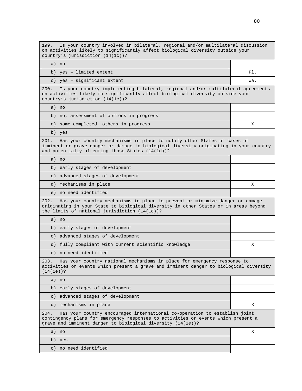199. Is your country involved in bilateral, regional and/or multilateral discussion on activities likely to significantly affect biological diversity outside your country's jurisdiction (14(1c))?

a) no b) yes – limited extent Fl.

c) yes – significant extent Wa.

200. Is your country implementing bilateral, regional and/or multilateral agreements on activities likely to significantly affect biological diversity outside your country's jurisdiction (14(1c))?

a) no

b) no, assessment of options in progress

c) some completed, others in progress X

b) yes

201. Has your country mechanisms in place to notify other States of cases of imminent or grave danger or damage to biological diversity originating in your country and potentially affecting those States (14(1d))?

a) no

b) early stages of development

c) advanced stages of development

d) mechanisms in place X and  $\mathcal{X}$ 

e) no need identified

202. Has your country mechanisms in place to prevent or minimize danger or damage originating in your State to biological diversity in other States or in areas beyond the limits of national jurisdiction (14(1d))?

a) no

b) early stages of development

c) advanced stages of development

d) fully compliant with current scientific knowledge  $\begin{array}{ccc} \text{X} & \text{Y} & \text{X} \end{array}$ 

e) no need identified

203. Has your country national mechanisms in place for emergency response to activities or events which present a grave and imminent danger to biological diversity (14(1e))?

a) no

b) early stages of development

c) advanced stages of development

d) mechanisms in place X

204. Has your country encouraged international co-operation to establish joint contingency plans for emergency responses to activities or events which present a grave and imminent danger to biological diversity (14(1e))?

a) no X b) yes c) no need identified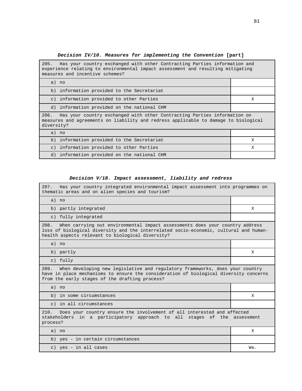# **Decision IV/10. Measures for implementing the Convention [part]**

| Has your country exchanged with other Contracting Parties information and<br>205.<br>experience relating to environmental impact assessment and resulting mitigating<br>measures and incentive schemes? |   |  |  |  |
|---------------------------------------------------------------------------------------------------------------------------------------------------------------------------------------------------------|---|--|--|--|
| a) no                                                                                                                                                                                                   |   |  |  |  |
| b) information provided to the Secretariat                                                                                                                                                              |   |  |  |  |
| c) information provided to other Parties                                                                                                                                                                | Х |  |  |  |
| d) information provided on the national CHM                                                                                                                                                             |   |  |  |  |
| Has your country exchanged with other Contracting Parties information on<br>206.<br>measures and agreements on liability and redress applicable to damage to biological<br>diversity?                   |   |  |  |  |
| a) no                                                                                                                                                                                                   |   |  |  |  |
| b) information provided to the Secretariat                                                                                                                                                              | X |  |  |  |
| information provided to other Parties<br>$\in$ )                                                                                                                                                        | X |  |  |  |
| information provided on the national CHM<br>d)                                                                                                                                                          |   |  |  |  |

# **Decision V/18. Impact assessment, liability and redress**

'n

| 207. Has your country integrated environmental impact assessment into programmes on<br>thematic areas and on alien species and tourism?                                                                                           |     |  |  |  |
|-----------------------------------------------------------------------------------------------------------------------------------------------------------------------------------------------------------------------------------|-----|--|--|--|
| a) no                                                                                                                                                                                                                             |     |  |  |  |
| b) partly integrated                                                                                                                                                                                                              | X   |  |  |  |
| c) fully integrated                                                                                                                                                                                                               |     |  |  |  |
| 208.<br>When carrying out environmental impact assessments does your country address<br>loss of biological diversity and the interrelated socio-economic, cultural and human-<br>health aspects relevant to biological diversity? |     |  |  |  |
| a) no                                                                                                                                                                                                                             |     |  |  |  |
| b) partly                                                                                                                                                                                                                         | X   |  |  |  |
| c) fully                                                                                                                                                                                                                          |     |  |  |  |
| When developing new legislative and regulatory frameworks, does your country<br>209.<br>have in place mechanisms to ensure the consideration of biological diversity concerns<br>from the early stages of the drafting process?   |     |  |  |  |
| a) no                                                                                                                                                                                                                             |     |  |  |  |
| b) in some circumstances                                                                                                                                                                                                          | X   |  |  |  |
| c) in all circumstances                                                                                                                                                                                                           |     |  |  |  |
| Does your country ensure the involvement of all interested and affected<br>210.<br>stakeholders in a participatory approach to all stages of the assessment<br>process?                                                           |     |  |  |  |
| a) no                                                                                                                                                                                                                             | Χ   |  |  |  |
| b) yes - in certain circumstances                                                                                                                                                                                                 |     |  |  |  |
| c) yes - in all cases                                                                                                                                                                                                             | Wa. |  |  |  |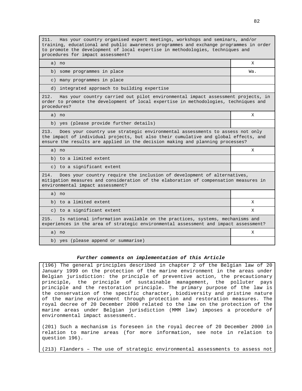211. Has your country organised expert meetings, workshops and seminars, and/or training, educational and public awareness programmes and exchange programmes in order to promote the development of local expertise in methodologies, techniques and procedures for impact assessment?

a) no X

b) some programmes in place  $\blacksquare$ 

c) many programmes in place

d) integrated approach to building expertise

212. Has your country carried out pilot environmental impact assessment projects, in order to promote the development of local expertise in methodologies, techniques and procedures?

a) no X

b) yes (please provide further details)

213. Does your country use strategic environmental assessments to assess not only the impact of individual projects, but also their cumulative and global effects, and ensure the results are applied in the decision making and planning processes?

a) no X

b) to a limited extent

c) to a significant extent

214. Does your country require the inclusion of development of alternatives, mitigation measures and consideration of the elaboration of compensation measures in environmental impact assessment?

a) no

b) to a limited extent  $X$ 

c) to a significant extent  $X$ 

215. Is national information available on the practices, systems, mechanisms and experiences in the area of strategic environmental assessment and impact assessment?

a) no X

b) yes (please append or summarise)

#### **Further comments on implementation of this Article**

(196) The general principles described in chapter 2 of the Belgian law of 20 January 1999 on the protection of the marine environment in the areas under Belgian jurisdiction: the principle of preventive action, the precautionary principle, the principle of sustainable management, the polluter pays principle and the restoration principle. The primary purpose of the law is the conservation of the specific character, biodiversity and pristine nature of the marine environment through protection and restoration measures. The royal decree of 20 December 2000 related to the law on the protection of the marine areas under Belgian jurisdiction (MMM law) imposes a procedure of environmental impact assessment.

(201) Such a mechanism is foreseen in the royal decree of 20 December 2000 in relation to marine areas (for more information, see note in relation to question 196).

(213) Flanders – The use of strategic environmental assessments to assess not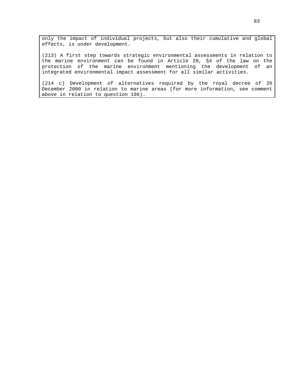only the impact of individual projects, but also their cumulative and global effects, is under development.

(213) A first step towards strategic environmental assessments in relation to the marine environment can be found in Article 28, §4 of the law on the protection of the marine environment mentioning the development of an integrated environmental impact assessment for all similar activities.

(214 c) Development of alternatives required by the royal decree of 20 December 2000 in relation to marine areas (for more information, see comment above in relation to question 196).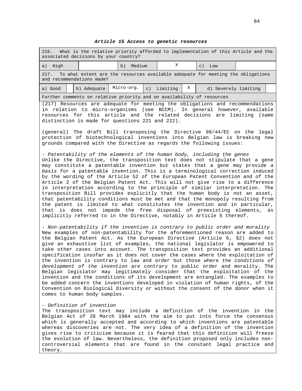## **Article 15 Access to genetic resources**

| What is the relative priority afforded to implementation of this Article and the<br>216.<br>associated decisions by your country?                                                                                                                                                                                                                                                                                                                                                                                                                                                                                                                                                                                                                                                                                                                                                                                                                                                                                                  |                       |          |                           |  |
|------------------------------------------------------------------------------------------------------------------------------------------------------------------------------------------------------------------------------------------------------------------------------------------------------------------------------------------------------------------------------------------------------------------------------------------------------------------------------------------------------------------------------------------------------------------------------------------------------------------------------------------------------------------------------------------------------------------------------------------------------------------------------------------------------------------------------------------------------------------------------------------------------------------------------------------------------------------------------------------------------------------------------------|-----------------------|----------|---------------------------|--|
| a) High                                                                                                                                                                                                                                                                                                                                                                                                                                                                                                                                                                                                                                                                                                                                                                                                                                                                                                                                                                                                                            | Medium<br>b)          | Χ        | $\subset$ )<br>Low        |  |
| 217.<br>To what extent are the resources available adequate for meeting the obligations<br>and recommendations made?                                                                                                                                                                                                                                                                                                                                                                                                                                                                                                                                                                                                                                                                                                                                                                                                                                                                                                               |                       |          |                           |  |
| b) Adequate<br>a) Good                                                                                                                                                                                                                                                                                                                                                                                                                                                                                                                                                                                                                                                                                                                                                                                                                                                                                                                                                                                                             | Micro-org.<br>$\in$ ) | Limiting | Χ<br>d) Severely limiting |  |
| Further comments on relative priority and on availability of resources                                                                                                                                                                                                                                                                                                                                                                                                                                                                                                                                                                                                                                                                                                                                                                                                                                                                                                                                                             |                       |          |                           |  |
| (217) Resources are adequate for meeting the obligations and recommendations<br>in relation to micro-organisms (see BCCM). In general however, available<br>resources for this article and the related decisions are<br>distinction is made for questions 221 and 222).                                                                                                                                                                                                                                                                                                                                                                                                                                                                                                                                                                                                                                                                                                                                                            |                       |          | limiting (same            |  |
| (general) The draft Bill transposing the Directive 98/44/EC on the legal<br>protection of biotechnological inventions into Belgian law is breaking new<br>grounds compared with the Directive as regards the following issues:                                                                                                                                                                                                                                                                                                                                                                                                                                                                                                                                                                                                                                                                                                                                                                                                     |                       |          |                           |  |
| - Patentability of the elements of the human body, including the genes<br>Unlike the Directive, the transposition text does not stipulate that a gene<br>may constitute a patentable invention but states that a gene may provide a<br>basis for a patentable invention. This is a terminological correction induced<br>by the wording of the Article 52 of the European Patent Convention and of the<br>Article 2 of the Belgian Patent Act. This will not give rise to a difference<br>in interpretation according to the principle of similar interpretation. The<br>transposition Bill provides explicitly that the human body is not an asset,<br>that patentability conditions must be met and that the monopoly resulting from<br>the patent is limited to what constitutes the invention and in particular,<br>that is does not impede the free disposal of preexisting elements, as<br>implicitly referred to in the Directive, notably in Article 5 thereof.                                                             |                       |          |                           |  |
| - Non-patentability if the invention is contrary to public order and morality<br>New examples of non-patentability for the aforementioned reason are added to<br>the Belgian Patent Act. As the European Directive (Article 6, §2) does not<br>give an exhaustive list of examples, the national legislator is empowered to<br>take other cases into account. The transposition text provides an additional<br>specification insofar as it does not cover the cases where the exploitation of<br>the invention is contrary to law and order but those where the conditions of<br>development of the invention are contrary to public order and morality.<br>The<br>Belgian legislator may legitimately consider that the exploitation of the<br>invention and the conditions of its development are entangled. The examples to<br>be added concern the inventions developed in violation of human rights, of the<br>Convention on Biological Diversity or without the consent of the donor when it<br>comes to human body samples. |                       |          |                           |  |
| - Definition of invention<br>The transposition text may include a definition of the invention in the<br>Belgian Act of 28 March 1984 with the aim to put into force the consensus<br>which is generally accepted and according to which inventions are patentable<br>whereas discoveries are not. The very idea of a definition of the invention<br>gives rise to criticism because it is feared that this definition will freeze<br>the evolution of law. Nevertheless, the definition proposed only includes non-<br>controversial elements that are found in the constant legal practice and                                                                                                                                                                                                                                                                                                                                                                                                                                    |                       |          |                           |  |

theory.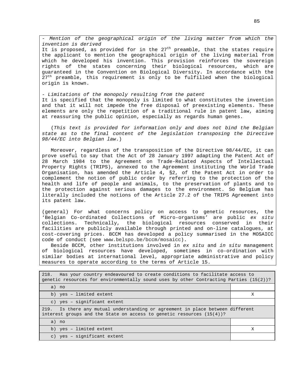- Mention of the geographical origin of the living matter from which the invention is derived It is proposed, as provided for in the  $27<sup>th</sup>$  preamble, that the states require the applicant to mention the geographical origin of the living material from which he developed his invention. This provision reinforces the sovereign rights of the states concerning their biological resources, which are guaranteed in the Convention on Biological Diversity. In accordance with the  $27<sup>th</sup>$  preamble, this requirement is only to be fulfilled when the biological origin is known.

- Limitations of the monopoly resulting from the patent It is specified that the monopoly is limited to what constitutes the invention and that it will not impede the free disposal of preexisting elements. These elements are only the repetition of a traditional rule in patent law, aiming at reassuring the public opinion, especially as regards human genes.

(This text is provided for information only and does not bind the Belgian state as to the final content of the legislation transposing the Directive 98/44/EC into Belgian law.)

Moreover, regardless of the transposition of the Directive 98/44/EC, it can prove useful to say that the Act of 28 January 1997 adapting the Patent Act of 28 March 1984 to the Agreement on Trade-Related Aspects of Intellectual Property Rights (TRIPS), annexed to the Agreement instituting the World Trade Organisation, has amended the Article 4, §2, of the Patent Act in order to complement the notion of public order by referring to the protection of the health and life of people and animals, to the preservation of plants and to the protection against serious damages to the environment. So Belgium has literally included the notions of the Article 27.2 of the TRIPS Agreement into its patent law.

(general) For what concerns policy on access to genetic resources, the 'Belgian Co-ordinated Collections of Micro-organisms' are public ex situ collections. Technically, the biological resources conserved in their facilities are publicly available through printed and on-line catalogues, at cost-covering prices. BCCM has developed a policy summarised in the MOSAICC code of conduct (see www.belspo.be/bccm/mosaicc).

Beside BCCM, other institutions involved in ex situ and in situ management of biological resources have developed, sometimes in co-ordination with similar bodies at international level, appropriate administrative and policy measures to operate according to the terms of Article 15.

| Has your country endeavoured to create conditions to facilitate access to<br>218.<br>qenetic resources for environmentally sound uses by other Contracting Parties $(15(2))$ ? |   |  |  |
|--------------------------------------------------------------------------------------------------------------------------------------------------------------------------------|---|--|--|
| a) no                                                                                                                                                                          |   |  |  |
| b) yes - limited extent                                                                                                                                                        | х |  |  |
| c) yes - significant extent                                                                                                                                                    |   |  |  |
| Is there any mutual understanding or agreement in place between different<br>219.<br>interest groups and the State on access to genetic resources $(15(4))$ ?                  |   |  |  |
| a) no                                                                                                                                                                          |   |  |  |
| b) yes - limited extent                                                                                                                                                        | Х |  |  |
| yes - significant extent<br>$\mathcal{C}$ )                                                                                                                                    |   |  |  |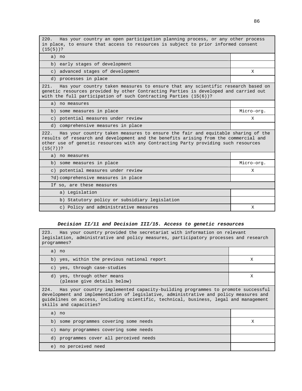220. Has your country an open participation planning process, or any other process in place, to ensure that access to resources is subject to prior informed consent (15(5))?

a) no

b) early stages of development

c) advanced stages of development X

d) processes in place

221. Has your country taken measures to ensure that any scientific research based on genetic resources provided by other Contracting Parties is developed and carried out with the full participation of such Contracting Parties (15(6))?

a) no measures

| b) some measures in place                                                                                                                                                                                                                                                            | Micro-org. |  |  |  |
|--------------------------------------------------------------------------------------------------------------------------------------------------------------------------------------------------------------------------------------------------------------------------------------|------------|--|--|--|
| c) potential measures under review                                                                                                                                                                                                                                                   | Χ          |  |  |  |
| d) comprehensive measures in place                                                                                                                                                                                                                                                   |            |  |  |  |
| Has your country taken measures to ensure the fair and equitable sharing of the<br>222.<br>results of research and development and the benefits arising from the commercial and<br>other use of genetic resources with any Contracting Party providing such resources<br>$(15(7))$ ? |            |  |  |  |
| a) no measures                                                                                                                                                                                                                                                                       |            |  |  |  |
| b) some measures in place                                                                                                                                                                                                                                                            | Micro-org. |  |  |  |
| c) potential measures under review                                                                                                                                                                                                                                                   | Χ          |  |  |  |
| ?d) comprehensive measures in place                                                                                                                                                                                                                                                  |            |  |  |  |
| If so, are these measures                                                                                                                                                                                                                                                            |            |  |  |  |
| $\sim$ $\sqrt{2}$ $\sim$ $\sim$ $\sim$ $\sim$ $\sim$ $\sim$                                                                                                                                                                                                                          |            |  |  |  |

| a) Legislation                                |  |
|-----------------------------------------------|--|
| b) Statutory policy or subsidiary legislation |  |
| c) Policy and administrative measures         |  |
|                                               |  |

#### **Decision II/11 and Decision III/15. Access to genetic resources**

223. Has your country provided the secretariat with information on relevant legislation, administrative and policy measures, participatory processes and research programmes?

| $P+Q+Q$                                                                                                                                                                                                                                                                                             |   |  |  |  |
|-----------------------------------------------------------------------------------------------------------------------------------------------------------------------------------------------------------------------------------------------------------------------------------------------------|---|--|--|--|
| a) no                                                                                                                                                                                                                                                                                               |   |  |  |  |
| b) yes, within the previous national report                                                                                                                                                                                                                                                         | X |  |  |  |
| c) yes, through case-studies                                                                                                                                                                                                                                                                        |   |  |  |  |
| d) yes, through other means<br>(please give details below)                                                                                                                                                                                                                                          | X |  |  |  |
| Has your country implemented capacity-building programmes to promote successful<br>224.<br>development and implementation of legislative, administrative and policy measures and<br>quidelines on access, including scientific, technical, business, legal and management<br>skills and capacities? |   |  |  |  |
| a) no                                                                                                                                                                                                                                                                                               |   |  |  |  |
| b) some programmes covering some needs                                                                                                                                                                                                                                                              | X |  |  |  |
| c) many programmes covering some needs                                                                                                                                                                                                                                                              |   |  |  |  |
| d) programmes cover all perceived needs                                                                                                                                                                                                                                                             |   |  |  |  |
| e) no perceived need                                                                                                                                                                                                                                                                                |   |  |  |  |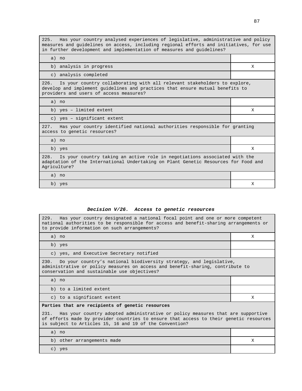225. Has your country analysed experiences of legislative, administrative and policy measures and guidelines on access, including regional efforts and initiatives, for use in further development and implementation of measures and guidelines? a) no b) analysis in progress  $X$ c) analysis completed 226. Is your country collaborating with all relevant stakeholders to explore, develop and implement guidelines and practices that ensure mutual benefits to providers and users of access measures? a) no b) yes – limited extent X c) yes – significant extent 227. Has your country identified national authorities responsible for granting access to genetic resources? a) no b) yes X 228. Is your country taking an active role in negotiations associated with the adaptation of the International Undertaking on Plant Genetic Resources for Food and Agriculture? a) no b) yes X

#### **Decision V/26. Access to genetic resources**

| 229. Has your country designated a national focal point and one or more competent<br>national authorities to be responsible for access and benefit-sharing arrangements or<br>to provide information on such arrangements?               |   |  |  |  |  |
|------------------------------------------------------------------------------------------------------------------------------------------------------------------------------------------------------------------------------------------|---|--|--|--|--|
| a) no                                                                                                                                                                                                                                    | X |  |  |  |  |
| b) yes                                                                                                                                                                                                                                   |   |  |  |  |  |
| c) yes, and Executive Secretary notified                                                                                                                                                                                                 |   |  |  |  |  |
| 230.<br>Do your country's national biodiversity strategy, and legislative,<br>administrative or policy measures on access and benefit-sharing, contribute to<br>conservation and sustainable use objectives?                             |   |  |  |  |  |
| $a)$ no                                                                                                                                                                                                                                  |   |  |  |  |  |
| b) to a limited extent                                                                                                                                                                                                                   |   |  |  |  |  |
| c) to a significant extent                                                                                                                                                                                                               | X |  |  |  |  |
| Parties that are recipients of genetic resources                                                                                                                                                                                         |   |  |  |  |  |
| 231. Has your country adopted administrative or policy measures that are supportive<br>of efforts made by provider countries to ensure that access to their genetic resources<br>is subject to Articles 15, 16 and 19 of the Convention? |   |  |  |  |  |
| a) no                                                                                                                                                                                                                                    |   |  |  |  |  |
| b) other arrangements made                                                                                                                                                                                                               | X |  |  |  |  |
| c) yes                                                                                                                                                                                                                                   |   |  |  |  |  |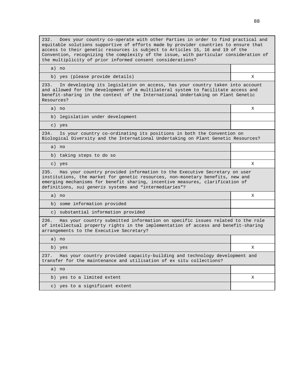232. Does your country co-operate with other Parties in order to find practical and equitable solutions supportive of efforts made by provider countries to ensure that access to their genetic resources is subject to Articles 15, 16 and 19 of the Convention, recognizing the complexity of the issue, with particular consideration of the multiplicity of prior informed consent considerations?

| b) yes (please provide details) |  |
|---------------------------------|--|

233. In developing its legislation on access, has your country taken into account and allowed for the development of a multilateral system to facilitate access and benefit-sharing in the context of the International Undertaking on Plant Genetic Resources?

a) no X

a) no

b) legislation under development

c) yes

234. Is your country co-ordinating its positions in both the Convention on Biological Diversity and the International Undertaking on Plant Genetic Resources?

a) no

b) taking steps to do so

c) yes **X** 

235. Has your country provided information to the Executive Secretary on user institutions, the market for genetic resources, non-monetary benefits, new and emerging mechanisms for benefit sharing, incentive measures, clarification of definitions, sui generis systems and "intermediaries"?

a) no X

b) some information provided

c) substantial information provided

236. Has your country submitted information on specific issues related to the role of intellectual property rights in the implementation of access and benefit-sharing arrangements to the Executive Secretary?

a) no

b) yes X 237. Has your country provided capacity-building and technology development and transfer for the maintenance and utilisation of ex situ collections? a) no b) yes to a limited extent  $X$ 

c) yes to a significant extent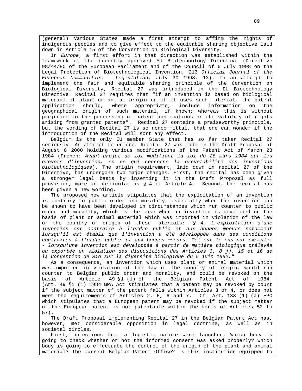(general) Various States made a first attempt to affirm the rights of indigenous peoples and to give effect to the equitable sharing objective laid down in Article 15 of the Convention on Biological Diversity.

In Europe, a first effort in that direction was established within the framework of the recently approved EU Biotechnology Directive (Directive 98/44/EC of the European Parliament and of the Council of 6 July 1998 on the Legal Protection of Biotechnological Invention, 213 Official Journal of the European Communities - Legislation, July 30 1998, 13). In an attempt to implement the fair and equitable sharing principle of the Convention on Biological Diversity, Recital 27 was introduced in the EU Biotechnology Directive. Recital 27 requires that "if an invention is based on biological material of plant or animal origin or if it uses such material, the patent application should, where appropriate, include information on the geographical origin of such material, if known; whereas this is without prejudice to the processing of patent applications or the validity of rights arising from granted patents". Recital 27 contains a praiseworthy principle, but the wording of Recital 27 is so noncommittal, that one can wonder if the introduction of the Recital will sort any effect.

Belgium is the only EU member State that has so far taken Recital 27 seriously. An attempt to enforce Recital 27 was made in the Draft Proposal of August 8 2000 holding various modifications of the Patent Act of March 28 1984 (French: Avant-projet de loi modifiant la loi du 28 mars 1984 sur les brevets d'invention, en ce qui concerne la brevetabilité des inventions biotechnologiques). The origin requirement, laid down in recital 27 of the Directive, has undergone two major changes. First, the recital has been given a stronger legal basis by inserting it in the Draft Proposal as full provision, more in particular as § 4 of Article 4. Second, the recital has been given a new wording.

The proposed new article stipulates that the exploitation of an invention is contrary to public order and morality, especially when the invention can be shown to have been developed in circumstances which run counter to public order and morality, which is the case when an invention is developed on the basis of plant or animal material which was imported in violation of the law of the country of origin of these materials: "§ 4. L'exploitation d'une invention est contraire à l'ordre public et aux bonnes moeurs notamment lorsqu'il est établi que l'invention a été développée dans des conditions contraires à l'ordre public et aux bonnes moeurs. Tel est le cas par exemple: - lorsqu'une invention est développée à partir de matière biologique prélevée ou exportée en violation des dispositions des Articles 3, 8 j), 15 et 16 de la Convention de Rio sur la diversité biologique du 5 juin 1992."

As a consequence, an invention which uses plant or animal material which was imported in violation of the law of the country of origin, would run counter to Belgian public order and morality, and could be revoked on the basis of Article 49 §1 (1) of the Belgian Patent Act of 1984 (Art. 49 §1 (1) 1984 BPA Act stipulates that a patent may be revoked by court if the subject matter of the patent falls within Articles 3 or 4, or does not meet the requirements of Articles 2, 5, 6 and 7. Cf. Art. 138 (1) (a) EPC which stipulates that a European patent may be revoked if the subject matter of the European patent is not patentable within the terms of Articles 52 to 57).

The Draft Proposal implementing Recital 27 in the Belgian Patent Act has, however, met considerable opposition in legal doctrine, as well as in societal circles.

First, objections from a logistic nature were launched. Which body is going to check whether or not the informed consent was asked properly? Which body is going to effectuate the control of the origin of the plant and animal material? The current Belgian Patent Office? Is this institution equipped to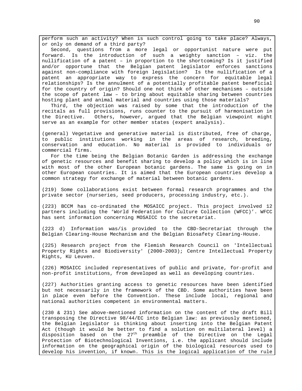perform such an activity? When is such control going to take place? Always, or only on demand of a third party?

Second, questions from a more legal or opportunist nature were put forward. Is the introduction of such a weighty sanction – viz. the nullification of a patent – in proportion to the shortcoming? Is it justified and/or opportune that the Belgian patent legislator enforces sanctions against non-compliance with foreign legislation? Is the nullification of a patent an appropriate way to express the concern for equitable legal relationships? Is the annulment of a potentially profitable patent beneficial for the country of origin? Should one not think of other mechanisms – outside the scope of patent law – to bring about equitable sharing between countries hosting plant and animal material and countries using those materials?

Third, the objection was raised by some that the introduction of the recitals as full provisions, runs counter to the pursuit of harmonisation in the Directive. Others, however, argued that the Belgian viewpoint might serve as an example for other member states (expert analysis).

(general) Vegetative and generative material is distributed, free of charge, to public institutions working in the areas of research, breeding, conservation and education. No material is provided to individuals or commercial firms.

For the time being the Belgian Botanic Garden is addressing the exchange of genetic resources and benefit sharing to develop a policy which is in line with most of the other European botanic gardens. The same is going on in other European countries. It is aimed that the European countries develop a common strategy for exchange of material between botanic gardens.

(219) Some collaborations exist between formal research programmes and the private sector (nurseries, seed producers, processing industry, etc.).

(223) BCCM has co-ordinated the MOSAICC project. This project involved 12 partners including the 'World Federation for Culture Collection (WFCC)'. WFCC has sent information concerning MOSAICC to the secretariat.

(223 d) Information was/is provided to the CBD-Secretariat through the Belgian Clearing-House Mechanism and the Belgian Biosafety Clearing-House.

(225) Research project from the Flemish Research Council on 'Intellectual Property Rights and Biodiversity' (2000-2003); Centre Intellectual Property Rights, KU Leuven.

(226) MOSAICC included representatives of public and private, for-profit and non-profit institutions, from developed as well as developing countries.

(227) Authorities granting access to genetic resources have been identified but not necessarily in the framework of the CBD. Some authorities have been in place even before the Convention. These include local, regional and national authorities competent in environmental matters.

(230 & 231) See above-mentioned information on the content of the draft Bill transposing the Directive 98/44/EC into Belgian law: as previously mentioned, the Belgian legislator is thinking about inserting into the Belgian Patent Act (though it would be better to find a solution on multilateral level) a disposition based on the  $27<sup>th</sup>$  preamble of the Directive on the Legal Protection of Biotechnological Inventions, i.e. the applicant should include information on the geographical origin of the biological resources used to develop his invention, if known. This is the logical application of the rule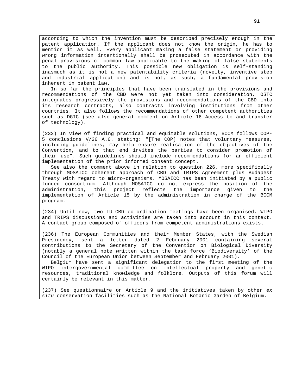according to which the invention must be described precisely enough in the patent application. If the applicant does not know the origin, he has to mention it as well. Every applicant making a false statement or providing wrong information intentionally shall be prosecuted in accordance with the penal provisions of common law applicable to the making of false statements to the public authority. This possible new obligation is self-standing inasmuch as it is not a new patentability criteria (novelty, inventive step and industrial application) and is not, as such, a fundamental provision inherent in patent law.

In so far the principles that have been translated in the provisions and recommendations of the CBD were not yet taken into consideration, OSTC integrates progressively the provisions and recommendations of the CBD into its research contracts, also contracts involving institutions from other countries. It also follows the recommendations of other competent authorities such as DGIC (see also general comment on Article 16 Access to and transfer of technology).

(232) In view of finding practical and equitable solutions, BCCM follows COP-5 conclusions V/26 A.6. stating: "[The COP] notes that voluntary measures, including guidelines, may help ensure realisation of the objectives of the Convention, and to that end invites the parties to consider promotion of their use". Such guidelines should include recommendations for an efficient implementation of the prior informed consent concept.

See also the comment above in relation to question 226, more specifically through MOSAICC coherent approach of CBD and TRIPS Agreement plus Budapest Treaty with regard to micro-organisms. MOSAICC has been initiated by a public funded consortium. Although MOSAICC do not express the position of the administration, this project reflects the importance given to the implementation of Article 15 by the administration in charge of the BCCM program.

(234) Until now, two IU-CBD co-ordination meetings have been organised. WIPO and TRIPS discussions and activities are taken into account in this context. A contact group composed of officers from competent administrations exists.

(236) The European Communities and their Member States, with the Swedish Presidency, sent a letter dated 2 February 2001 containing several contributions to the Secretary of the Convention on Biological Diversity (notably a general note written within the task force 'Biodiversity' of the Council of the European Union between September and February 2001).

Belgium have sent a significant delegation to the first meeting of the WIPO intergovernmental committee on intellectual property and genetic resources, traditional knowledge and folklore. Outputs of this forum will certainly be relevant in this matter.

(237) See questionnaire on Article 9 and the initiatives taken by other ex situ conservation facilities such as the National Botanic Garden of Belgium.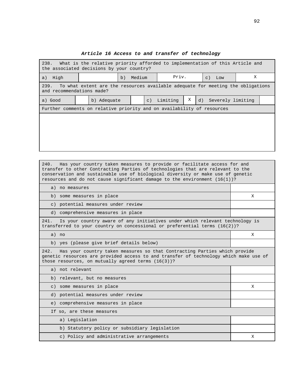| 238. What is the relative priority afforded to implementation of this Article and<br>the associated decisions by your country? |  |             |  |        |             |          |   |                    |                   |  |  |
|--------------------------------------------------------------------------------------------------------------------------------|--|-------------|--|--------|-------------|----------|---|--------------------|-------------------|--|--|
| High<br>a)                                                                                                                     |  | b)          |  | Medium |             | Priv.    |   | $\subset$ )<br>Low | X                 |  |  |
| To what extent are the resources available adequate for meeting the obligations<br>239.<br>and recommendations made?           |  |             |  |        |             |          |   |                    |                   |  |  |
| a) Good                                                                                                                        |  | b) Adequate |  |        | $\subset$ ) | Limiting | Χ | d)                 | Severely limiting |  |  |
| Further comments on relative priority and on availability of resources                                                         |  |             |  |        |             |          |   |                    |                   |  |  |
|                                                                                                                                |  |             |  |        |             |          |   |                    |                   |  |  |
|                                                                                                                                |  |             |  |        |             |          |   |                    |                   |  |  |
|                                                                                                                                |  |             |  |        |             |          |   |                    |                   |  |  |
|                                                                                                                                |  |             |  |        |             |          |   |                    |                   |  |  |
|                                                                                                                                |  |             |  |        |             |          |   |                    |                   |  |  |

#### **Article 16 Access to and transfer of technology**

240. Has your country taken measures to provide or facilitate access for and transfer to other Contracting Parties of technologies that are relevant to the conservation and sustainable use of biological diversity or make use of genetic resources and do not cause significant damage to the environment  $(16(1))$ ? a) no measures b) some measures in place X c) potential measures under review d) comprehensive measures in place 241. Is your country aware of any initiatives under which relevant technology is transferred to your country on concessional or preferential terms (16(2))? a) no X b) yes (please give brief details below) 242. Has your country taken measures so that Contracting Parties which provide genetic resources are provided access to and transfer of technology which make use of those resources, on mutually agreed terms (16(3))? a) not relevant b) relevant, but no measures c) some measures in place  $X$ d) potential measures under review e) comprehensive measures in place If so, are these measures a) Legislation b) Statutory policy or subsidiary legislation c) Policy and administrative arrangements  $X$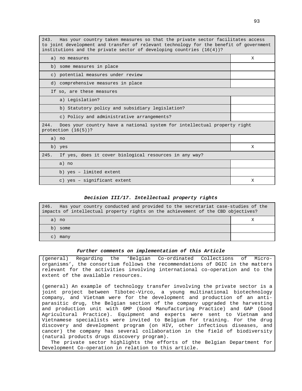243. Has your country taken measures so that the private sector facilitates access to joint development and transfer of relevant technology for the benefit of government institutions and the private sector of developing countries  $(16(4))$ ?

| a) no measures                                                                                             | X |
|------------------------------------------------------------------------------------------------------------|---|
| b) some measures in place                                                                                  |   |
| c) potential measures under review                                                                         |   |
| d) comprehensive measures in place                                                                         |   |
| If so, are these measures                                                                                  |   |
| a) Legislation?                                                                                            |   |
| b) Statutory policy and subsidiary legislation?                                                            |   |
| c) Policy and administrative arrangements?                                                                 |   |
| 244.<br>Does your country have a national system for intellectual property right<br>protection $(16(5))$ ? |   |
| a) no                                                                                                      |   |
| b) yes                                                                                                     | X |
| If yes, does it cover biological resources in any way?<br>245.                                             |   |
| a) no                                                                                                      |   |
| b) yes - limited extent                                                                                    |   |
| c) yes - significant extent                                                                                | X |

#### **Decision III/17. Intellectual property rights**

| Has your country conducted and provided to the secretariat case-studies of the<br>246.<br>impacts of intellectual property rights on the achievement of the CBD objectives? |  |  |  |  |  |
|-----------------------------------------------------------------------------------------------------------------------------------------------------------------------------|--|--|--|--|--|
| a) no                                                                                                                                                                       |  |  |  |  |  |
| b)<br>some                                                                                                                                                                  |  |  |  |  |  |
| $\mathcal{C}$ )<br>many                                                                                                                                                     |  |  |  |  |  |

#### **Further comments on implementation of this Article**

(general) Regarding the 'Belgian Co-ordinated Collections of Microorganisms', the consortium follows the recommendations of DGIC in the matters relevant for the activities involving international co-operation and to the extent of the available resources.

(general) An example of technology transfer involving the private sector is a joint project between Tibotec-Virco, a young multinational biotechnology company, and Vietnam were for the development and production of an antiparasitic drug, the Belgian section of the company upgraded the harvesting and production unit with GMP (Good Manufacturing Practice) and GAP (Good Agricultural Practice). Equipment and experts were sent to Vietnam and Vietnamese specialists were invited to Belgium for training. For the drug discovery and development program (on HIV, other infectious diseases, and cancer) the company has several collaboration in the field of biodiversity (natural products drugs discovery program).

The private sector highlights the efforts of the Belgian Department for Development Co-operation in relation to this article.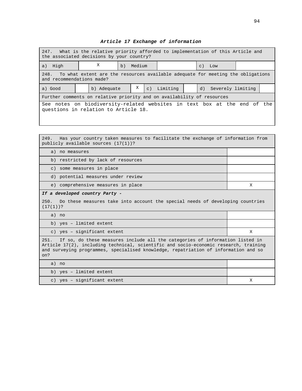## **Article 17 Exchange of information**

| 247.<br>What is the relative priority afforded to implementation of this Article and<br>the associated decisions by your country? |                                                                                 |    |        |             |  |                      |  |  |
|-----------------------------------------------------------------------------------------------------------------------------------|---------------------------------------------------------------------------------|----|--------|-------------|--|----------------------|--|--|
| a) High                                                                                                                           | X                                                                               | b) | Medium |             |  | $C)$ Low             |  |  |
| 248.<br>and recommendations made?                                                                                                 | To what extent are the resources available adequate for meeting the obligations |    |        |             |  |                      |  |  |
| a) Good                                                                                                                           | b) Adequate                                                                     |    | Χ      | c) Limiting |  | d) Severely limiting |  |  |
|                                                                                                                                   | Further comments on relative priority and on availability of resources          |    |        |             |  |                      |  |  |
| See notes on biodiversity-related websites in text box at the end of the<br>questions in relation to Article 18.                  |                                                                                 |    |        |             |  |                      |  |  |

249. Has your country taken measures to facilitate the exchange of information from publicly available sources (17(1))?

| a) no measures                                                                                                                                                                                                                                                             |   |  |  |  |  |  |  |
|----------------------------------------------------------------------------------------------------------------------------------------------------------------------------------------------------------------------------------------------------------------------------|---|--|--|--|--|--|--|
| b) restricted by lack of resources                                                                                                                                                                                                                                         |   |  |  |  |  |  |  |
| c) some measures in place                                                                                                                                                                                                                                                  |   |  |  |  |  |  |  |
| d) potential measures under review                                                                                                                                                                                                                                         |   |  |  |  |  |  |  |
| e) comprehensive measures in place                                                                                                                                                                                                                                         | X |  |  |  |  |  |  |
| If a developed country Party -                                                                                                                                                                                                                                             |   |  |  |  |  |  |  |
| 250.<br>Do these measures take into account the special needs of developing countries<br>$(17(1))$ ?                                                                                                                                                                       |   |  |  |  |  |  |  |
| a) no                                                                                                                                                                                                                                                                      |   |  |  |  |  |  |  |
| b) yes - limited extent                                                                                                                                                                                                                                                    |   |  |  |  |  |  |  |
| c) yes - significant extent                                                                                                                                                                                                                                                | X |  |  |  |  |  |  |
| If so, do these measures include all the categories of information listed in<br>251.<br>Article 17(2), including technical, scientific and socio-economic research, training<br>and surveying programmes, specialised knowledge, repatriation of information and so<br>on? |   |  |  |  |  |  |  |
| a) no                                                                                                                                                                                                                                                                      |   |  |  |  |  |  |  |
| b) yes - limited extent                                                                                                                                                                                                                                                    |   |  |  |  |  |  |  |
| c) yes - significant extent                                                                                                                                                                                                                                                | X |  |  |  |  |  |  |

<u> Tanzania de la provincia de la provincia de la provincia de la provincia de la provincia de la provincia de l</u>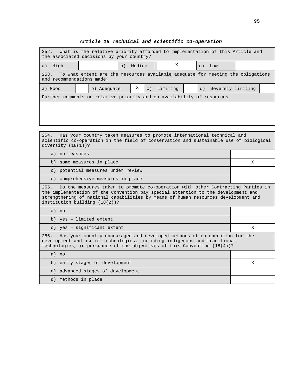| What is the relative priority afforded to implementation of this Article and<br>252.<br>the associated decisions by your country? |  |             |    |        |                  |          |  |                 |                   |  |
|-----------------------------------------------------------------------------------------------------------------------------------|--|-------------|----|--------|------------------|----------|--|-----------------|-------------------|--|
| High<br>a)                                                                                                                        |  |             | b) | Medium |                  | Χ        |  | $\mathcal{C}$ ) | Low               |  |
| To what extent are the resources available adequate for meeting the obligations<br>253.<br>and recommendations made?              |  |             |    |        |                  |          |  |                 |                   |  |
| a) Good                                                                                                                           |  | b) Adequate |    | Χ      | $\overline{c}$ ) | Limiting |  | d)              | Severely limiting |  |
| Further comments on relative priority and on availability of resources                                                            |  |             |    |        |                  |          |  |                 |                   |  |
|                                                                                                                                   |  |             |    |        |                  |          |  |                 |                   |  |
|                                                                                                                                   |  |             |    |        |                  |          |  |                 |                   |  |

#### **Article 18 Technical and scientific co-operation**

254. Has your country taken measures to promote international technical and scientific co-operation in the field of conservation and sustainable use of biological diversity (18(1))?

a) no measures b) some measures in place X c) potential measures under review d) comprehensive measures in place 255. Do the measures taken to promote co-operation with other Contracting Parties in the implementation of the Convention pay special attention to the development and strengthening of national capabilities by means of human resources development and institution building (18(2))? a) no b) yes – limited extent c) yes – significant extent  $X$ 

256. Has your country encouraged and developed methods of co-operation for the development and use of technologies, including indigenous and traditional technologies, in pursuance of the objectives of this Convention (18(4))?

| no<br>a)                          |  |
|-----------------------------------|--|
| b) early stages of development    |  |
| c) advanced stages of development |  |
| d) methods in place               |  |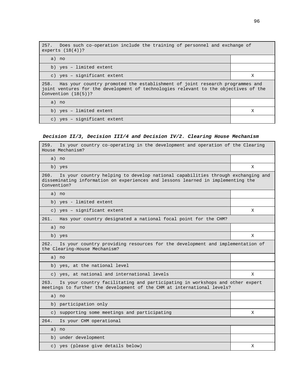| 257. Does such co-operation include the training of personnel and exchange of<br>experts $(18(4))$ ?                                                                                                   |   |  |  |  |  |
|--------------------------------------------------------------------------------------------------------------------------------------------------------------------------------------------------------|---|--|--|--|--|
| a) no                                                                                                                                                                                                  |   |  |  |  |  |
| b) yes - limited extent                                                                                                                                                                                |   |  |  |  |  |
| c) yes - significant extent                                                                                                                                                                            | Χ |  |  |  |  |
| Has your country promoted the establishment of joint research programmes and<br>258.<br>joint ventures for the development of technologies relevant to the objectives of the<br>Convention $(18(5))$ ? |   |  |  |  |  |
| a) no                                                                                                                                                                                                  |   |  |  |  |  |
| b) yes - limited extent                                                                                                                                                                                | X |  |  |  |  |
| c) yes - significant extent                                                                                                                                                                            |   |  |  |  |  |

# **Decision II/3, Decision III/4 and Decision IV/2. Clearing House Mechanism**

| Is your country co-operating in the development and operation of the Clearing<br>259.<br>House Mechanism?                                                                                  |   |
|--------------------------------------------------------------------------------------------------------------------------------------------------------------------------------------------|---|
| a) no                                                                                                                                                                                      |   |
| b) yes                                                                                                                                                                                     | X |
| Is your country helping to develop national capabilities through exchanging and<br>260.<br>disseminating information on experiences and lessons learned in implementing the<br>Convention? |   |
| a) no                                                                                                                                                                                      |   |
| b) yes - limited extent                                                                                                                                                                    |   |
| c) yes - significant extent                                                                                                                                                                | Χ |
| Has your country designated a national focal point for the CHM?<br>261.                                                                                                                    |   |
| a) no                                                                                                                                                                                      |   |
| b) yes                                                                                                                                                                                     | X |
| 262.<br>Is your country providing resources for the development and implementation of<br>the Clearing-House Mechanism?                                                                     |   |
| a) no                                                                                                                                                                                      |   |
| b) yes, at the national level                                                                                                                                                              |   |
| c) yes, at national and international levels                                                                                                                                               | X |
| Is your country facilitating and participating in workshops and other expert<br>263.<br>meetings to further the development of the CHM at international levels?                            |   |
| a) no                                                                                                                                                                                      |   |
| b) participation only                                                                                                                                                                      |   |
| c) supporting some meetings and participating                                                                                                                                              | X |
| 264.<br>Is your CHM operational                                                                                                                                                            |   |
| a) no                                                                                                                                                                                      |   |
| b) under development                                                                                                                                                                       |   |
| c) yes (please give details below)                                                                                                                                                         | Χ |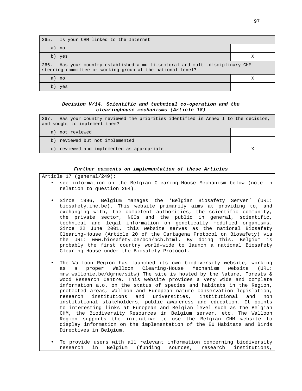| 265. Is your CHM linked to the Internet                                                                                                     |  |  |  |  |  |
|---------------------------------------------------------------------------------------------------------------------------------------------|--|--|--|--|--|
| a) no                                                                                                                                       |  |  |  |  |  |
| b) yes                                                                                                                                      |  |  |  |  |  |
| 266. Has your country established a multi-sectoral and multi-disciplinary CHM<br>steering committee or working group at the national level? |  |  |  |  |  |
| a) no                                                                                                                                       |  |  |  |  |  |
| b)<br>yes                                                                                                                                   |  |  |  |  |  |

## **Decision V/14. Scientific and technical co-operation and the clearinghouse mechanisms (Article 18)**

| Has your country reviewed the priorities identified in Annex I to the decision,<br>267.<br>and sought to implement them? |  |
|--------------------------------------------------------------------------------------------------------------------------|--|
| a) not reviewed                                                                                                          |  |
| b) reviewed but not implemented                                                                                          |  |
| c) reviewed and implemented as appropriate                                                                               |  |

#### **Further comments on implementation of these Articles**

Article 17 (general/249):

- see information on the Belgian Clearing-House Mechanism below (note in relation to question 264).
- Since 1996, Belgium manages the 'Belgian Biosafety Server' (URL: biosafety.ihe.be). This website primarily aims at providing to, and exchanging with, the competent authorities, the scientific community, the private sector, NGOs and the public in general, scientific, technical and legal information on genetically modified organisms. Since 22 June 2001, this website serves as the national Biosafety Clearing-House (Article 20 of the Cartagena Protocol on Biosafety) via the URL: www.biosafety.be/bch/bch.html. By doing this, Belgium is probably the first country world-wide to launch a national Biosafety Clearing-House under the Biosafety Protocol.
- The Walloon Region has launched its own biodiversity website, working as a proper Walloon Clearing-House Mechanism website (URL: mrw.wallonie.be/dgrne/sibw) The site is hosted by the Nature, Forests & Wood Research Centre. This website provides a very wide and complete information a.o. on the status of species and habitats in the Region, protected areas, Walloon and European nature conservation legislation, research institutions and universities, institutional and non institutional stakeholders, public awareness and education. It points to interesting links at European and Belgian level such as the Belgian CHM, the Biodiversity Resources in Belgium server, etc. The Walloon Region supports the initiative to use the Belgian CHM website to display information on the implementation of the EU Habitats and Birds Directives in Belgium.
- To provide users with all relevant information concerning biodiversity research in Belgium (funding sources, research institutions,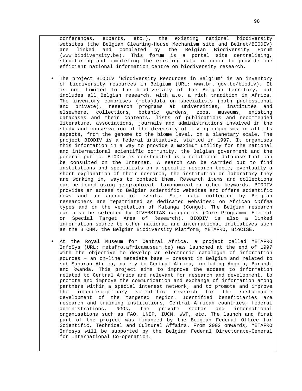conferences, experts, etc.), the existing national biodiversity websites (the Belgian Clearing-House Mechanism site and Belnet/BIODIV) are linked and completed by the Belgian Biodiversity Forum (www.biodiversity.be). This forum is a portal site centralising, structuring and completing the existing data in order to provide one efficient national information centre on biodiversity research.

- The project BIODIV 'Biodiversity Resources in Belgium' is an inventory of biodiversity resources in Belgium (URL: www.br.fgov.be/biodiv). It is not limited to the biodiversity of the Belgian territory, but includes all Belgian research, with a.o. a rich tradition in Africa. The inventory comprises (meta)data on specialists (both professional and private), research programs at universities, institutes and elsewhere, collections, botanic gardens, zoos, museums, existing databases and their contents, lists of publications and recommended literature, associations, journals and administrations involved in the study and conservation of the diversity of living organisms in all its aspects, from the genome to the biome level, on a planetary scale. The project BIODIV is a federal initiative, started in 1997. It organises this information in a way to provide a maximum utility for the national and international scientific community, the Belgian government and the general public. BIODIV is constructed as a relational database that can be consulted on the Internet. A search can be carried out to find institutions and specialists on a specific research topic, eventually a short explanation of their research, the institution or laboratory they are working in, ways to contact them. Research items and collections can be found using geographical, taxonomical or other keywords. BIODIV provides an access to Belgian scientific websites and offers scientific news and an agenda of events. Some data collected by Belgian researchers are repatriated as dedicated websites: on African Coffea types and on the vegetation of Katanga (Congo). The Belgian research can also be selected by DIVERSITAS categories (Core Programme Element or Special Target Area of Research). BIODIV is also a linked information source to other national and international initiatives such as the B CHM, the Belgian Biodiversity Platform, METAFRO, BioCISE.
- At the Royal Museum for Central Africa, a project called METAFRO InfoSys (URL: metafro.africamuseum.be) was launched at the end of 1997 with the objective to develop an electronic catalogue of information sources – an on-line metadata base – present in Belgium and related to sub-Saharan Africa, namely to Central Africa, including Angola, Burundi and Rwanda. This project aims to improve the access to information related to Central Africa and relevant for research and development, to promote and improve the communication and exchange of information among partners within a special interest network, and to promote and improve the interdisciplinary scientific research for the sustainable development of the targeted region. Identified beneficiaries are research and training institutions, Central African countries, federal administrations, NGOs, the private sector and international organisations such as FAO, UNEP, IUCN, WWF, etc. The launch and first part of the project was financed by the Belgian Federal Office for Scientific, Technical and Cultural Affairs. From 2002 onwards, METAFRO Infosys will be supported by the Belgian Federal Directorate-General for International Co-operation.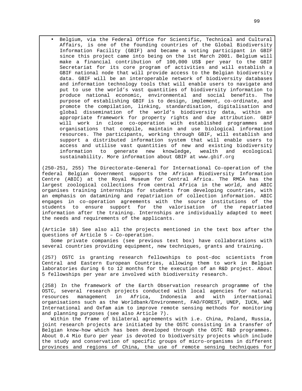• Belgium, via the Federal Office for Scientific, Technical and Cultural Affairs, is one of the founding countries of the Global Biodiversity Information Facility (GBIF) and became a voting participant in GBIF since this project came into being on the 1st March 2001. Belgium will make a financial contribution of 100,000 US\$ per year to the GBIF Secretariat for its core program of activities and will establish a GBIF national node that will provide access to the Belgian biodiversity data. GBIF will be an interoperable network of biodiversity databases and information technology tools that will enable users to navigate and put to use the world's vast quantities of biodiversity information to produce national economic, environmental and social benefits. The purpose of establishing GBIF is to design, implement, co-ordinate, and promote the compilation, linking, standardisation, digitalisation and global dissemination of the world's biodiversity data, within an appropriate framework for property rights and due attribution. GBIF will work in close co-operation with established programmes and organisations that compile, maintain and use biological information resources. The participants, working through GBIF, will establish and support a distributed information system that will enable users to access and utilise vast quantities of new and existing biodiversity information to generate new knowledge, wealth and ecological sustainability. More information about GBIF at www.gbif.org

(250-251, 255) The Directorate-General for International Co-operation of the federal Belgian Government supports the African Biodiversity Information Centre (ABIC) at the Royal Museum for Central Africa. The RMCA has the largest zoological collections from central Africa in the world, and ABIC organises training internships for students from developing countries, with an emphasis on datamining and repatriation of collection information. ABIC engages in co-operation agreements with the source institutions of the students to ensure support for the valorisation of the repatriated information after the training. Internships are individually adapted to meet the needs and requirements of the applicants.

(Article 18) See also all the projects mentioned in the text box after the questions of Article 5 – Co-operation.

Some private companies (see previous text box) have collaborations with several countries providing equipment, new techniques, grants and training.

(257) OSTC is granting research fellowships to post-doc scientists from Central and Eastern European Countries, allowing them to work in Belgian laboratories during 6 to 12 months for the execution of an R&D project. About 5 fellowships per year are involved with biodiversity research.

(258) In the framework of the Earth Observation research programme of the OSTC, several research projects conducted with local agencies for natural resources management in Africa, Indonesia and with international organisations such as the Worldbank/Environment, FAO/FOREST, UNEP, IUCN, WWF International and Oxfam aim to improve remote sensing methods for monitoring and planning purposes (see also Article 7).

Within the frame of bilateral agreements with i.e. China, Poland, Russia, joint research projects are initiated by the OSTC consisting in a transfer of Belgian know-how which has been developed through the OSTC R&D programmes. About 0.4 Mio Euro per year is devoted to biodiversity projects which include the study and conservation of specific groups of micro-organisms in different provinces and regions of China, the use of remote sensing techniques for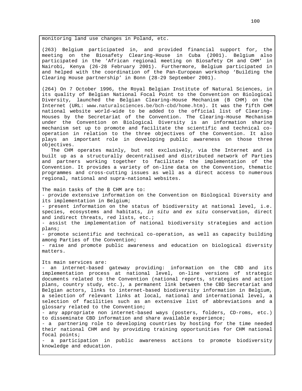monitoring land use changes in Poland, etc.

(263) Belgium participated in, and provided financial support for, the meeting on the Biosafety Clearing-House in Cuba (2001). Belgium also participated in the 'African regional meeting on Biosafety CH and CHM' in Nairobi, Kenya (26-28 February 2001). Furthermore, Belgium participated in and helped with the coordination of the Pan-European workshop 'Building the Clearing House partnership' in Bonn (28-29 September 2001).

(264) On 7 October 1996, the Royal Belgian Institute of Natural Sciences, in its quality of Belgian National Focal Point to the Convention on Biological Diversity, launched the Belgian Clearing-House Mechanism (B CHM) on the Internet (URL: www.naturalsciences.be/bch-cbd/home.htm). It was the fifth CHM national website world-wide to be added to the official list of Clearing-Houses by the Secretariat of the Convention. The Clearing-House Mechanism under the Convention on Biological Diversity is an information sharing mechanism set up to promote and facilitate the scientific and technical cooperation in relation to the three objectives of the Convention. It also plays an important role in developing public awareness on those three objectives.

The CHM operates mainly, but not exclusively, via the Internet and is built up as a structurally decentralised and distributed network of Parties and partners working together to facilitate the implementation of the Convention. It provides a variety of on-line data on the Convention, thematic programmes and cross-cutting issues as well as a direct access to numerous regional, national and supra-national websites.

The main tasks of the B CHM are to:

- provide extensive information on the Convention on Biological Diversity and its implementation in Belgium;

- present information on the status of biodiversity at national level, i.e. species, ecosystems and habitats, in situ and ex situ conservation, direct and indirect threats, red lists, etc.;

- assist the implementation of national biodiversity strategies and action plans;

- promote scientific and technical co-operation, as well as capacity building among Parties of the Convention;

- raise and promote public awareness and education on biological diversity matters.

Its main services are:

- an internet-based gateway providing: information on the CBD and its implementation process at national level, on-line versions of strategic documents related to the Convention (national reports, strategies and action plans, country study, etc.), a permanent link between the CBD Secretariat and Belgian actors, links to internet-based biodiversity information in Belgium, a selection of relevant links at local, national and international level, a selection of facilities such as an extensive list of abbreviations and a glossary related to the Convention;

- any appropriate non internet-based ways (posters, folders, CD-roms, etc.) to disseminate CBD information and share available experience;

- a partnering role to developing countries by hosting for the time needed their national CHM and by providing training opportunities for CHM national focal points;

- a participation in public awareness actions to promote biodiversity knowledge and education.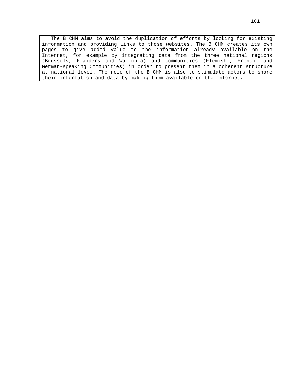The B CHM aims to avoid the duplication of efforts by looking for existing information and providing links to those websites. The B CHM creates its own pages to give added value to the information already available on the Internet, for example by integrating data from the three national regions (Brussels, Flanders and Wallonia) and communities (Flemish-, French- and German-speaking Communities) in order to present them in a coherent structure at national level. The role of the B CHM is also to stimulate actors to share their information and data by making them available on the Internet.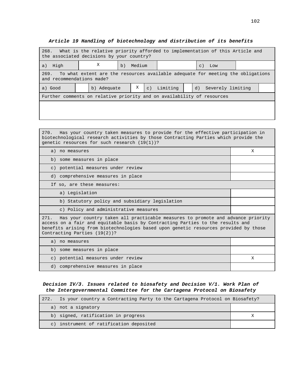| 268. What is the relative priority afforded to implementation of this Article and<br>the associated decisions by your country? |  |             |    |        |                |          |  |                        |  |
|--------------------------------------------------------------------------------------------------------------------------------|--|-------------|----|--------|----------------|----------|--|------------------------|--|
| High<br>a)                                                                                                                     |  | Χ           | b) | Medium |                |          |  | Low<br>$\mathcal{C}$ ) |  |
| 269. To what extent are the resources available adequate for meeting the obligations<br>and recommendations made?              |  |             |    |        |                |          |  |                        |  |
| a) Good                                                                                                                        |  | b) Adequate |    | Χ      | $\mathsf{C}$ ) | Limiting |  | d) Severely limiting   |  |
| Further comments on relative priority and on availability of resources                                                         |  |             |    |        |                |          |  |                        |  |
|                                                                                                                                |  |             |    |        |                |          |  |                        |  |
|                                                                                                                                |  |             |    |        |                |          |  |                        |  |

270. Has your country taken measures to provide for the effective participation in

# **Article 19 Handling of biotechnology and distribution of its benefits**

| biotechnological research activities by those Contracting Parties which provide the<br>genetic resources for such research (19(1))?                                                                                                                                                               |   |  |  |  |
|---------------------------------------------------------------------------------------------------------------------------------------------------------------------------------------------------------------------------------------------------------------------------------------------------|---|--|--|--|
| a) no measures                                                                                                                                                                                                                                                                                    | X |  |  |  |
| b) some measures in place                                                                                                                                                                                                                                                                         |   |  |  |  |
| c) potential measures under review                                                                                                                                                                                                                                                                |   |  |  |  |
| d) comprehensive measures in place                                                                                                                                                                                                                                                                |   |  |  |  |
| If so, are these measures:                                                                                                                                                                                                                                                                        |   |  |  |  |
| a) Legislation                                                                                                                                                                                                                                                                                    |   |  |  |  |
| b) Statutory policy and subsidiary legislation                                                                                                                                                                                                                                                    |   |  |  |  |
| c) Policy and administrative measures                                                                                                                                                                                                                                                             |   |  |  |  |
| Has your country taken all practicable measures to promote and advance priority<br>271.<br>access on a fair and equitable basis by Contracting Parties to the results and<br>benefits arising from biotechnologies based upon genetic resources provided by those<br>Contracting Parties (19(2))? |   |  |  |  |
| a) no measures                                                                                                                                                                                                                                                                                    |   |  |  |  |
| b) some measures in place                                                                                                                                                                                                                                                                         |   |  |  |  |
| c) potential measures under review                                                                                                                                                                                                                                                                | X |  |  |  |
| d) comprehensive measures in place                                                                                                                                                                                                                                                                |   |  |  |  |

## **Decision IV/3. Issues related to biosafety and Decision V/1. Work Plan of the Intergovernmental Committee for the Cartagena Protocol on Biosafety**

| 272.           | Is your country a Contracting Party to the Cartagena Protocol on Biosafety? |  |
|----------------|-----------------------------------------------------------------------------|--|
|                | a) not a signatory                                                          |  |
|                | b) signed, ratification in progress                                         |  |
| $\mathsf{C}$ ) | instrument of ratification deposited                                        |  |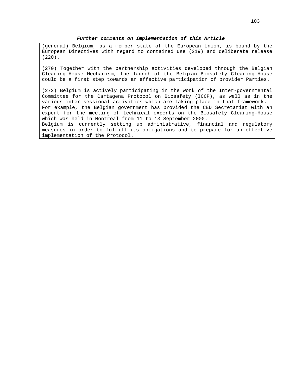#### **Further comments on implementation of this Article**

(general) Belgium, as a member state of the European Union, is bound by the European Directives with regard to contained use (219) and deliberate release (220).

(270) Together with the partnership activities developed through the Belgian Clearing-House Mechanism, the launch of the Belgian Biosafety Clearing-House could be a first step towards an effective participation of provider Parties.

(272) Belgium is actively participating in the work of the Inter-governmental Committee for the Cartagena Protocol on Biosafety (ICCP), as well as in the various inter-sessional activities which are taking place in that framework. For example, the Belgian government has provided the CBD Secretariat with an expert for the meeting of technical experts on the Biosafety Clearing-House which was held in Montreal from 11 to 13 September 2000. Belgium is currently setting up administrative, financial and regulatory measures in order to fulfill its obligations and to prepare for an effective implementation of the Protocol.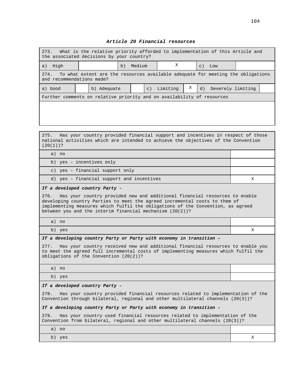#### **Article 20 Financial resources**

| What is the relative priority afforded to implementation of this Article and<br>273.<br>the associated decisions by your country? |  |             |    |        |             |          |   |                 |                   |  |
|-----------------------------------------------------------------------------------------------------------------------------------|--|-------------|----|--------|-------------|----------|---|-----------------|-------------------|--|
| High<br>a)                                                                                                                        |  |             | b) | Medium |             | X        |   | $\mathcal{C}$ ) | Low               |  |
| 274.<br>To what extent are the resources available adequate for meeting the obligations<br>and recommendations made?              |  |             |    |        |             |          |   |                 |                   |  |
| a) Good                                                                                                                           |  | b) Adequate |    |        | $\subset$ ) | Limiting | Χ | d)              | Severely limiting |  |
| Further comments on relative priority and on availability of resources                                                            |  |             |    |        |             |          |   |                 |                   |  |
|                                                                                                                                   |  |             |    |        |             |          |   |                 |                   |  |
|                                                                                                                                   |  |             |    |        |             |          |   |                 |                   |  |

275. Has your country provided financial support and incentives in respect of those national activities which are intended to achieve the objectives of the Convention (20(1))?

| a) no                                     |  |
|-------------------------------------------|--|
| b) yes - incentives only                  |  |
| c) yes - financial support only           |  |
| d) yes - financial support and incentives |  |

#### **If a developed country Party -**

276. Has your country provided new and additional financial resources to enable developing country Parties to meet the agreed incremental costs to them of implementing measures which fulfil the obligations of the Convention, as agreed between you and the interim financial mechanism (20(2))?

a) no

b) yes X

#### **If a developing country Party or Party with economy in transition –**

277. Has your country received new and additional financial resources to enable you to meet the agreed full incremental costs of implementing measures which fulfil the obligations of the Convention (20(2))?

a) no

b) yes

#### **If a developed country Party -**

278. Has your country provided financial resources related to implementation of the Convention through bilateral, regional and other multilateral channels (20(3))?

#### **If a developing country Party or Party with economy in transition -**

279. Has your country used financial resources related to implementation of the Convention from bilateral, regional and other multilateral channels (20(3))?

| a) no                   |                          |
|-------------------------|--------------------------|
| h'<br>yes<br><u>, U</u> | $\overline{\phantom{a}}$ |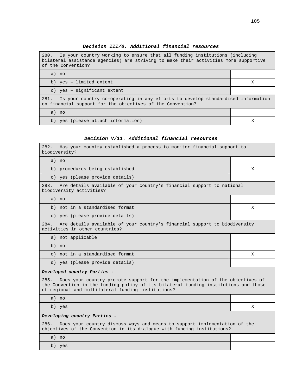| Decision III/6. Additional financial resources |
|------------------------------------------------|
|------------------------------------------------|

280. Is your country working to ensure that all funding institutions (including bilateral assistance agencies) are striving to make their activities more supportive of the Convention?

a) no b) yes – limited extent X c) yes – significant extent 281. Is your country co-operating in any efforts to develop standardised information on financial support for the objectives of the Convention? a) no b) yes (please attach information)  $X$ 

#### **Decision V/11. Additional financial resources**

| 282.<br>Has your country established a process to monitor financial support to<br>biodiversity?                                                                                                                                     |   |  |  |
|-------------------------------------------------------------------------------------------------------------------------------------------------------------------------------------------------------------------------------------|---|--|--|
| a) no                                                                                                                                                                                                                               |   |  |  |
| b) procedures being established                                                                                                                                                                                                     | X |  |  |
| c) yes (please provide details)                                                                                                                                                                                                     |   |  |  |
| Are details available of your country's financial support to national<br>283.<br>biodiversity activities?                                                                                                                           |   |  |  |
| a) no                                                                                                                                                                                                                               |   |  |  |
| b) not in a standardised format                                                                                                                                                                                                     | X |  |  |
| c) yes (please provide details)                                                                                                                                                                                                     |   |  |  |
| Are details available of your country's financial support to biodiversity<br>284.<br>activities in other countries?                                                                                                                 |   |  |  |
| a) not applicable                                                                                                                                                                                                                   |   |  |  |
| b) no                                                                                                                                                                                                                               |   |  |  |
| c) not in a standardised format                                                                                                                                                                                                     | X |  |  |
| d) yes (please provide details)                                                                                                                                                                                                     |   |  |  |
| Developed country Parties -                                                                                                                                                                                                         |   |  |  |
| 285.<br>Does your country promote support for the implementation of the objectives of<br>the Convention in the funding policy of its bilateral funding institutions and those<br>of regional and multilateral funding institutions? |   |  |  |
| a) no                                                                                                                                                                                                                               |   |  |  |
| b) yes                                                                                                                                                                                                                              | X |  |  |
| Developing country Parties -                                                                                                                                                                                                        |   |  |  |
| 286.<br>Does your country discuss ways and means to support implementation of the<br>objectives of the Convention in its dialogue with funding institutions?                                                                        |   |  |  |
| a) no                                                                                                                                                                                                                               |   |  |  |
| b) yes                                                                                                                                                                                                                              |   |  |  |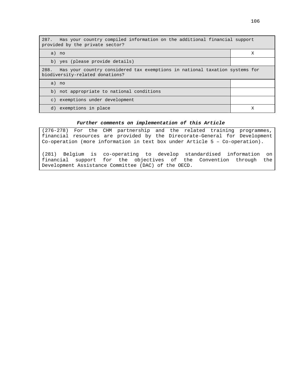| 287. Has your country compiled information on the additional financial support<br>provided by the private sector?      |   |  |  |
|------------------------------------------------------------------------------------------------------------------------|---|--|--|
| a) no                                                                                                                  | Х |  |  |
| b) yes (please provide details)                                                                                        |   |  |  |
| Has your country considered tax exemptions in national taxation systems for<br>288.<br>biodiversity-related donations? |   |  |  |
| a) no                                                                                                                  |   |  |  |
| b) not appropriate to national conditions                                                                              |   |  |  |
| c) exemptions under development                                                                                        |   |  |  |
| d) exemptions in place                                                                                                 | Х |  |  |

### **Further comments on implementation of this Article**

(276-278) For the CHM partnership and the related training programmes, financial resources are provided by the Direcorate-General for Development Co-operation (more information in text box under Article 5 – Co-operation).

(281) Belgium is co-operating to develop standardised information on financial support for the objectives of the Convention through the Development Assistance Committee (DAC) of the OECD.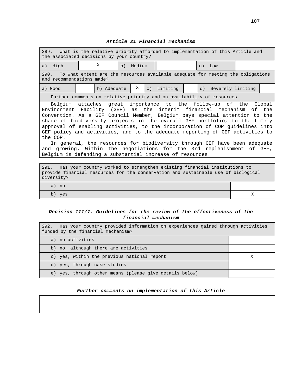### **Article 21 Financial mechanism**

| 289.<br>What is the relative priority afforded to implementation of this Article and<br>the associated decisions by your country?                                                                                                                                                                                                                                                                                                                                                                                                                                                                                                                                                                     |  |  |  |  |  |  |
|-------------------------------------------------------------------------------------------------------------------------------------------------------------------------------------------------------------------------------------------------------------------------------------------------------------------------------------------------------------------------------------------------------------------------------------------------------------------------------------------------------------------------------------------------------------------------------------------------------------------------------------------------------------------------------------------------------|--|--|--|--|--|--|
| X<br>a) High<br>Medium<br>Low<br>b)<br>$\subset$ )                                                                                                                                                                                                                                                                                                                                                                                                                                                                                                                                                                                                                                                    |  |  |  |  |  |  |
| 290.<br>To what extent are the resources available adequate for meeting the obligations<br>and recommendations made?                                                                                                                                                                                                                                                                                                                                                                                                                                                                                                                                                                                  |  |  |  |  |  |  |
| Χ<br>Limiting<br>d) Severely limiting<br>b) Adequate<br>$\subset$ )<br>a) Good                                                                                                                                                                                                                                                                                                                                                                                                                                                                                                                                                                                                                        |  |  |  |  |  |  |
| Further comments on relative priority and on availability of resources                                                                                                                                                                                                                                                                                                                                                                                                                                                                                                                                                                                                                                |  |  |  |  |  |  |
| Belgium attaches great importance to the follow-up of the Global<br>Environment Facility (GEF) as the interim financial mechanism of the<br>Convention. As a GEF Council Member, Belgium pays special attention to the<br>share of biodiversity projects in the overall GEF portfolio, to the timely<br>approval of enabling activities, to the incorporation of COP quidelines into<br>GEF policy and activities, and to the adequate reporting of GEF activities to<br>the COP.<br>In general, the resources for biodiversity through GEF have been adequate<br>and growing. Within the negotiations for the 3rd replenishment of GEF,<br>Belgium is defending a substantial increase of resources. |  |  |  |  |  |  |

| 291. Has your country worked to strengthen existing financial institutions to      |  |  |  |  |  |
|------------------------------------------------------------------------------------|--|--|--|--|--|
| provide financial resources for the conservation and sustainable use of biological |  |  |  |  |  |
| diversity?                                                                         |  |  |  |  |  |
|                                                                                    |  |  |  |  |  |
| a) no                                                                              |  |  |  |  |  |
| yes<br>b)                                                                          |  |  |  |  |  |
|                                                                                    |  |  |  |  |  |

# **Decision III/7. Guidelines for the review of the effectiveness of the financial mechanism**

| 292. Has your country provided information on experiences gained through activities<br>funded by the financial mechanism? |   |
|---------------------------------------------------------------------------------------------------------------------------|---|
| a) no activities                                                                                                          |   |
| b) no, although there are activities                                                                                      |   |
| c) yes, within the previous national report                                                                               | Х |
| d) yes, through case-studies                                                                                              |   |
| yes, through other means (please give details below)<br>e)                                                                |   |

# **Further comments on implementation of this Article**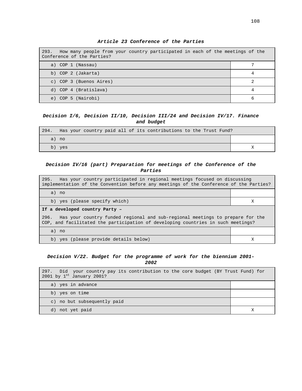| 293. How many people from your country participated in each of the meetings of the<br>Conference of the Parties? |   |
|------------------------------------------------------------------------------------------------------------------|---|
| a) COP 1 (Nassau)                                                                                                |   |
| b) COP 2 (Jakarta)                                                                                               |   |
| c) COP 3 (Buenos Aires)                                                                                          |   |
| d) COP 4 (Bratislava)                                                                                            |   |
| COP 5 (Nairobi)<br>e)                                                                                            | 6 |

**Article 23 Conference of the Parties**

## **Decision I/6, Decision II/10, Decision III/24 and Decision IV/17. Finance and budget**

| 294. | Has your country paid all of its contributions to the Trust Fund? |  |
|------|-------------------------------------------------------------------|--|
|      | a) no                                                             |  |
| b)   | ves                                                               |  |

## **Decision IV/16 (part) Preparation for meetings of the Conference of the Parties**

| Has your country participated in regional meetings focused on discussing<br>295.<br>implementation of the Convention before any meetings of the Conference of the Parties? |   |  |
|----------------------------------------------------------------------------------------------------------------------------------------------------------------------------|---|--|
| a) no                                                                                                                                                                      |   |  |
| b) yes (please specify which)                                                                                                                                              | Х |  |
| If a developed country Party -                                                                                                                                             |   |  |
| Has your country funded regional and sub-regional meetings to prepare for the<br>296.<br>COP, and facilitated the participation of developing countries in such meetings?  |   |  |
| a) no                                                                                                                                                                      |   |  |
| b) yes (please provide details below)                                                                                                                                      | Х |  |

### **Decision V/22. Budget for the programme of work for the biennium 2001- 2002**

| 297. Did your country pay its contribution to the core budget (BY Trust Fund) for<br>2001 by $1^{st}$ January 2001? |  |
|---------------------------------------------------------------------------------------------------------------------|--|
| a) yes in advance                                                                                                   |  |
| b) yes on time                                                                                                      |  |
| c) no but subsequently paid                                                                                         |  |
| d) not yet paid                                                                                                     |  |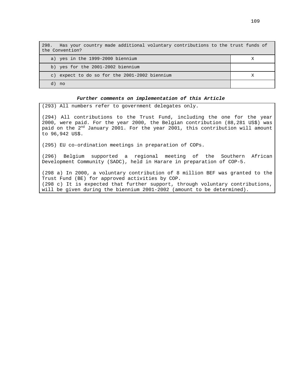| Has your country made additional voluntary contributions to the trust funds of<br>298.<br>the Convention? |  |
|-----------------------------------------------------------------------------------------------------------|--|
| a) yes in the 1999-2000 biennium                                                                          |  |
| b) yes for the 2001-2002 biennium                                                                         |  |
| c) expect to do so for the 2001-2002 biennium                                                             |  |
| no no                                                                                                     |  |

#### **Further comments on implementation of this Article**

(293) All numbers refer to government delegates only.

(294) All contributions to the Trust Fund, including the one for the year 2000, were paid. For the year 2000, the Belgian contribution (88,281 US\$) was paid on the 2<sup>nd</sup> January 2001. For the year 2001, this contribution will amount to 96,942 US\$.

(295) EU co-ordination meetings in preparation of COPs.

(296) Belgium supported a regional meeting of the Southern African Development Community (SADC), held in Harare in preparation of COP-5.

(298 a) In 2000, a voluntary contribution of 8 million BEF was granted to the Trust Fund (BE) for approved activities by COP. (298 c) It is expected that further support, through voluntary contributions, will be given during the biennium 2001-2002 (amount to be determined).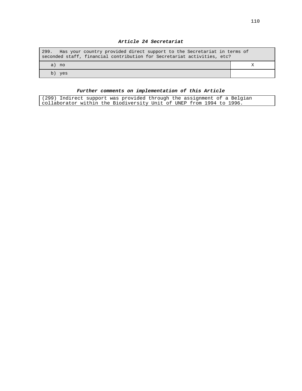## **Article 24 Secretariat**

| Has your country provided direct support to the Secretariat in terms of<br>299.<br>seconded staff, financial contribution for Secretariat activities, etc? |  |
|------------------------------------------------------------------------------------------------------------------------------------------------------------|--|
| a) no                                                                                                                                                      |  |
| yes                                                                                                                                                        |  |

# **Further comments on implementation of this Article**

| (299) Indirect support was provided through the assignment of a Belgian |  |  |  |  |
|-------------------------------------------------------------------------|--|--|--|--|
| collaborator within the Biodiversity Unit of UNEP from 1994 to 1996.    |  |  |  |  |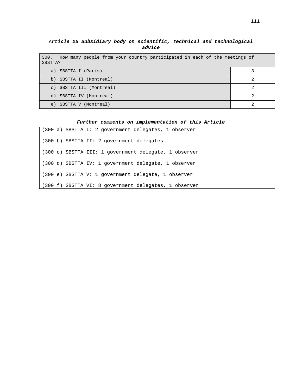**Article 25 Subsidiary body on scientific, technical and technological advice**

| 300.<br>How many people from your country participated in each of the meetings of<br>SBSTTA? |  |  |
|----------------------------------------------------------------------------------------------|--|--|
| a) SBSTTA I (Paris)                                                                          |  |  |
| SBSTTA II (Montreal)<br>b)                                                                   |  |  |
| c) SBSTTA III (Montreal)                                                                     |  |  |
| SBSTTA IV (Montreal)<br>d)                                                                   |  |  |
| SBSTTA V (Montreal)<br>e)                                                                    |  |  |

# **Further comments on implementation of this Article**

|  |  | (300 a) SBSTTA I: 2 government delegates, 1 observer    |
|--|--|---------------------------------------------------------|
|  |  | (300 b) SBSTTA II: 2 government delegates               |
|  |  | $(300 c)$ SBSTTA III: 1 government delegate, 1 observer |
|  |  | (300 d) SBSTTA IV: 1 government delegate, 1 observer    |
|  |  | (300 e) SBSTTA V: 1 government delegate, 1 observer     |
|  |  | (300 f) SBSTTA VI: 8 government delegates, 1 observer   |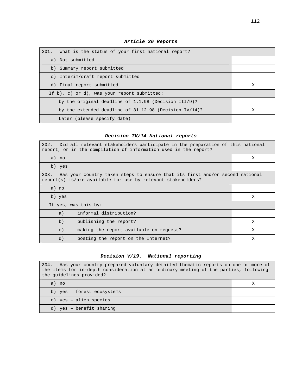| 301. What is the status of your first national report?   |   |
|----------------------------------------------------------|---|
| a) Not submitted                                         |   |
| b) Summary report submitted                              |   |
| c) Interim/draft report submitted                        |   |
| d) Final report submitted                                | X |
| If $b$ ), c) or d), was your report submitted:           |   |
| by the original deadline of $1.1.98$ (Decision III/9)?   |   |
| by the extended deadline of $31.12.98$ (Decision IV/14)? | X |
| Later (please specify date)                              |   |

**Article 26 Reports**

# **Decision IV/14 National reports**

| 302. Did all relevant stakeholders participate in the preparation of this national<br>report, or in the compilation of information used in the report? |   |  |
|--------------------------------------------------------------------------------------------------------------------------------------------------------|---|--|
| a) no                                                                                                                                                  | X |  |
| b) yes                                                                                                                                                 |   |  |
| Has your country taken steps to ensure that its first and/or second national<br>303.<br>report(s) is/are available for use by relevant stakeholders?   |   |  |
| a) no                                                                                                                                                  |   |  |
| b) yes                                                                                                                                                 | X |  |
| If yes, was this by:                                                                                                                                   |   |  |
| informal distribution?<br>a)                                                                                                                           |   |  |
| b)<br>publishing the report?                                                                                                                           | X |  |
| making the report available on request?<br>$\vert$ C)                                                                                                  | X |  |
| d)<br>posting the report on the Internet?                                                                                                              | X |  |

# **Decision V/19. National reporting**

| 304. Has your country prepared voluntary detailed thematic reports on one or more of<br>the items for in-depth consideration at an ordinary meeting of the parties, following<br>the quidelines provided? |  |  |
|-----------------------------------------------------------------------------------------------------------------------------------------------------------------------------------------------------------|--|--|
| a) no                                                                                                                                                                                                     |  |  |
| b) yes - forest ecosystems                                                                                                                                                                                |  |  |
| c) yes - alien species                                                                                                                                                                                    |  |  |
| d) yes - benefit sharing                                                                                                                                                                                  |  |  |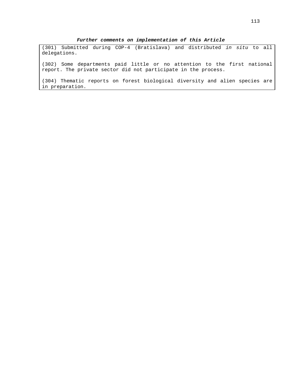(301) Submitted during COP-4 (Bratislava) and distributed in situ to all delegations.

(302) Some departments paid little or no attention to the first national report. The private sector did not participate in the process.

(304) Thematic reports on forest biological diversity and alien species are in preparation.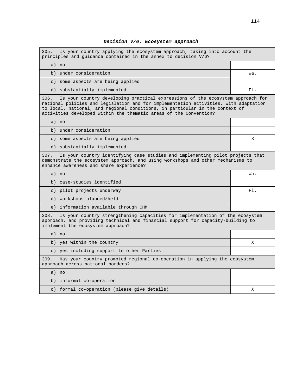#### **Decision V/6. Ecosystem approach**

305. Is your country applying the ecosystem approach, taking into account the principles and guidance contained in the annex to decision V/6? a) no b) under consideration Wa. c) some aspects are being applied d) substantially implemented Fl. 306. Is your country developing practical expressions of the ecosystem approach for national policies and legislation and for implementation activities, with adaptation to local, national, and regional conditions, in particular in the context of activities developed within the thematic areas of the Convention? a) no b) under consideration c) some aspects are being applied X d) substantially implemented 307. Is your country identifying case studies and implementing pilot projects that demonstrate the ecosystem approach, and using workshops and other mechanisms to enhance awareness and share experience? a) no Wa. b) case-studies identified c) pilot projects underway Fl. d) workshops planned/held e) information available through CHM 308. Is your country strengthening capacities for implementation of the ecosystem approach, and providing technical and financial support for capacity-building to implement the ecosystem approach? a) no b) yes within the country  $X = \begin{bmatrix} 1 & 1 \\ 1 & 1 \end{bmatrix}$ c) yes including support to other Parties 309. Has your country promoted regional co-operation in applying the ecosystem approach across national borders? a) no b) informal co-operation c) formal co-operation (please give details)  $X$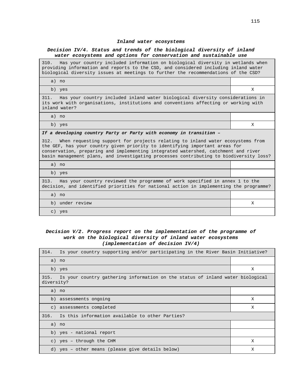#### **Inland water ecosystems**

### **Decision IV/4. Status and trends of the biological diversity of inland water ecosystems and options for conservation and sustainable use**

310. Has your country included information on biological diversity in wetlands when providing information and reports to the CSD, and considered including inland water biological diversity issues at meetings to further the recommendations of the CSD?

a) no

b) yes X

311. Has your country included inland water biological diversity considerations in its work with organisations, institutions and conventions affecting or working with inland water?

a) no

b) yes X

#### **If a developing country Party or Party with economy in transition –**

312. When requesting support for projects relating to inland water ecosystems from the GEF, has your country given priority to identifying important areas for conservation, preparing and implementing integrated watershed, catchment and river basin management plans, and investigating processes contributing to biodiversity loss?

a) no

b) yes

313. Has your country reviewed the programme of work specified in annex 1 to the decision, and identified priorities for national action in implementing the programme?

| a)<br>no               |  |
|------------------------|--|
| under review<br>b)     |  |
| $\mathcal{C}$ )<br>yes |  |

### **Decision V/2. Progress report on the implementation of the programme of work on the biological diversity of inland water ecosystems (implementation of decision IV/4)**

| 314.               | Is your country supporting and/or participating in the River Basin Initiative? |   |  |
|--------------------|--------------------------------------------------------------------------------|---|--|
|                    | a) no                                                                          |   |  |
|                    | b) yes                                                                         | Χ |  |
| 315.<br>diversity? | Is your country gathering information on the status of inland water biological |   |  |
|                    | a) no                                                                          |   |  |
|                    | b) assessments ongoing                                                         | X |  |
|                    | c) assessments completed                                                       | X |  |
| 316.               | Is this information available to other Parties?                                |   |  |
|                    | a) no                                                                          |   |  |
|                    | b) yes - national report                                                       |   |  |
|                    | c) yes - through the CHM                                                       | X |  |
|                    | d) yes - other means (please give details below)                               | Χ |  |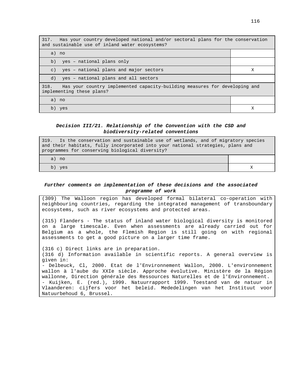| 317.<br>Has your country developed national and/or sectoral plans for the conservation<br>and sustainable use of inland water ecosystems? |   |  |
|-------------------------------------------------------------------------------------------------------------------------------------------|---|--|
| a) no                                                                                                                                     |   |  |
| yes - national plans only<br>b)                                                                                                           |   |  |
| yes - national plans and major sectors<br>$\mathcal{C}$ )                                                                                 | X |  |
| yes - national plans and all sectors<br>d)                                                                                                |   |  |
| 318.<br>Has your country implemented capacity-building measures for developing and<br>implementing these plans?                           |   |  |
| a) no                                                                                                                                     |   |  |
| b) yes                                                                                                                                    | х |  |

## **Decision III/21. Relationship of the Convention with the CSD and biodiversity-related conventions**

| 319. Is the conservation and sustainable use of wetlands, and of migratory species<br>and their habitats, fully incorporated into your national strategies, plans and<br>programmes for conserving biological diversity? |  |
|--------------------------------------------------------------------------------------------------------------------------------------------------------------------------------------------------------------------------|--|
| a) no                                                                                                                                                                                                                    |  |
| b) yes                                                                                                                                                                                                                   |  |

## **Further comments on implementation of these decisions and the associated programme of work**

(309) The Walloon region has developed formal bilateral co-operation with neighbouring countries, regarding the integrated management of transboundary ecosystems, such as river ecosystems and protected areas.

(315) Flanders - The status of inland water biological diversity is monitored on a large timescale. Even when assessments are already carried out for Belgium as a whole, the Flemish Region is still going on with regional assessments to get a good picture on a larger time frame.

(316 c) Direct links are in preparation. (316 d) Information available in scientific reports. A general overview is given in: - Delbeuck, Cl, 2000. Etat de l'Environnement Wallon, 2000. L'environnement wallon à l'aube du XXIe siècle. Approche évolutive. Ministère de la Région wallonne, Direction générale des Ressources Naturelles et de l'Environnement. - Kuijken, E. (red.), 1999. Natuurrapport 1999. Toestand van de natuur in Vlaanderen: cijfers voor het beleid. Mededelingen van het Instituut voor Natuurbehoud 6, Brussel.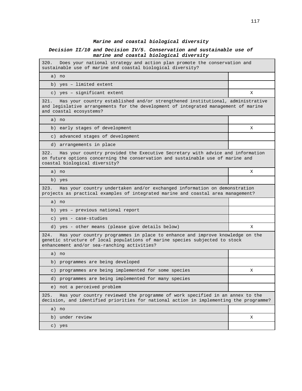## **Marine and coastal biological diversity**

## **Decision II/10 and Decision IV/5. Conservation and sustainable use of marine and coastal biological diversity**

| Does your national strategy and action plan promote the conservation and<br>320.<br>sustainable use of marine and coastal biological diversity?                                                                    |   |
|--------------------------------------------------------------------------------------------------------------------------------------------------------------------------------------------------------------------|---|
| a) no                                                                                                                                                                                                              |   |
| b) yes - limited extent                                                                                                                                                                                            |   |
| c) yes - significant extent                                                                                                                                                                                        | X |
| 321.<br>Has your country established and/or strengthened institutional, administrative<br>and legislative arrangements for the development of integrated management of marine<br>and coastal ecosystems?           |   |
| a) no                                                                                                                                                                                                              |   |
| b) early stages of development                                                                                                                                                                                     | х |
| c) advanced stages of development                                                                                                                                                                                  |   |
| d) arrangements in place                                                                                                                                                                                           |   |
| 322.<br>Has your country provided the Executive Secretary with advice and information<br>on future options concerning the conservation and sustainable use of marine and<br>coastal biological diversity?          |   |
| a) no                                                                                                                                                                                                              | Χ |
| b) yes                                                                                                                                                                                                             |   |
| Has your country undertaken and/or exchanged information on demonstration<br>323.<br>projects as practical examples of integrated marine and coastal area management?                                              |   |
| a) no                                                                                                                                                                                                              |   |
| b) yes - previous national report                                                                                                                                                                                  |   |
| c) yes - case-studies                                                                                                                                                                                              |   |
| d) yes - other means (please give details below)                                                                                                                                                                   | х |
| Has your country programmes in place to enhance and improve knowledge on the<br>324.<br>genetic structure of local populations of marine species subjected to stock<br>enhancement and/or sea-ranching activities? |   |
| a) no                                                                                                                                                                                                              |   |
| b) programmes are being developed                                                                                                                                                                                  |   |
| c) programmes are being implemented for some species                                                                                                                                                               | х |
| d) programmes are being implemented for many species                                                                                                                                                               |   |
| e) not a perceived problem                                                                                                                                                                                         |   |
| Has your country reviewed the programme of work specified in an annex to the<br>325.<br>decision, and identified priorities for national action in implementing the programme?                                     |   |
| a) no                                                                                                                                                                                                              |   |
|                                                                                                                                                                                                                    |   |
| b) under review                                                                                                                                                                                                    | Χ |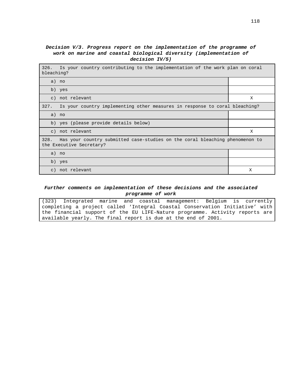## **Decision V/3. Progress report on the implementation of the programme of work on marine and coastal biological diversity (implementation of decision IV/5)**

| Is your country contributing to the implementation of the work plan on coral<br>326.<br>bleaching?               |   |
|------------------------------------------------------------------------------------------------------------------|---|
| a) no                                                                                                            |   |
| b) yes                                                                                                           |   |
| c) not relevant                                                                                                  | X |
| Is your country implementing other measures in response to coral bleaching?<br>327.                              |   |
| a) no                                                                                                            |   |
| b) yes (please provide details below)                                                                            |   |
| c) not relevant                                                                                                  | X |
| 328.<br>Has your country submitted case-studies on the coral bleaching phenomenon to<br>the Executive Secretary? |   |
| a) no                                                                                                            |   |
| b) yes                                                                                                           |   |
| c) not relevant                                                                                                  | Χ |

## **Further comments on implementation of these decisions and the associated programme of work**

(323) Integrated marine and coastal management: Belgium is currently completing a project called 'Integral Coastal Conservation Initiative' with the financial support of the EU LIFE-Nature programme. Activity reports are available yearly. The final report is due at the end of 2001.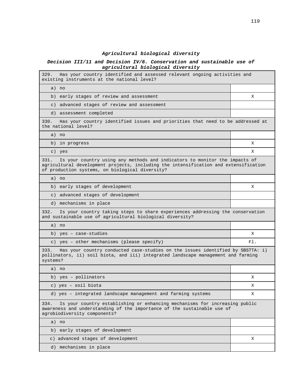# **Agricultural biological diversity**

## **Decision III/11 and Decision IV/6. Conservation and sustainable use of agricultural biological diversity**

| Has your country identified and assessed relevant ongoing activities and<br>329.<br>existing instruments at the national level?                                                                                               |     |
|-------------------------------------------------------------------------------------------------------------------------------------------------------------------------------------------------------------------------------|-----|
| a) no                                                                                                                                                                                                                         |     |
| early stages of review and assessment<br>b)                                                                                                                                                                                   | X   |
| c) advanced stages of review and assessment                                                                                                                                                                                   |     |
| d) assessment completed                                                                                                                                                                                                       |     |
| 330.<br>Has your country identified issues and priorities that need to be addressed at<br>the national level?                                                                                                                 |     |
| a) no                                                                                                                                                                                                                         |     |
| b) in progress                                                                                                                                                                                                                | X   |
| c) yes                                                                                                                                                                                                                        | X   |
| Is your country using any methods and indicators to monitor the impacts of<br>331.<br>agricultural development projects, including the intensification and extensification<br>of production systems, on biological diversity? |     |
| a) no                                                                                                                                                                                                                         |     |
| b) early stages of development                                                                                                                                                                                                | X   |
| c) advanced stages of development                                                                                                                                                                                             |     |
| d) mechanisms in place                                                                                                                                                                                                        |     |
| 332.<br>Is your country taking steps to share experiences addressing the conservation<br>and sustainable use of agricultural biological diversity?                                                                            |     |
| a) no                                                                                                                                                                                                                         |     |
| b) yes - case-studies                                                                                                                                                                                                         | X   |
| c) yes - other mechanisms (please specify)                                                                                                                                                                                    | F1. |
| Has your country conducted case-studies on the issues identified by SBSTTA: i)<br>333.<br>pollinators, ii) soil biota, and iii) integrated landscape management and farming<br>systems?                                       |     |
| a) no                                                                                                                                                                                                                         |     |
| b) yes - pollinators                                                                                                                                                                                                          | X   |
| c) yes - soil biota                                                                                                                                                                                                           | Χ   |
| d) yes - integrated landscape management and farming systems                                                                                                                                                                  | X.  |
| Is your country establishing or enhancing mechanisms for increasing public<br>334.<br>awareness and understanding of the importance of the sustainable use of<br>agrobiodiversity components?                                 |     |
| a) no                                                                                                                                                                                                                         |     |
| early stages of development<br>b)                                                                                                                                                                                             |     |
| c) advanced stages of development                                                                                                                                                                                             | X   |
| d) mechanisms in place                                                                                                                                                                                                        |     |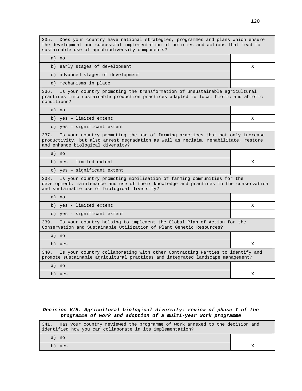| Does your country have national strategies, programmes and plans which ensure<br>335.<br>the development and successful implementation of policies and actions that lead to<br>sustainable use of agrobiodiversity components? |   |
|--------------------------------------------------------------------------------------------------------------------------------------------------------------------------------------------------------------------------------|---|
| a) no                                                                                                                                                                                                                          |   |
| b) early stages of development                                                                                                                                                                                                 | X |
| c) advanced stages of development                                                                                                                                                                                              |   |
| d) mechanisms in place                                                                                                                                                                                                         |   |
| Is your country promoting the transformation of unsustainable agricultural<br>336.<br>practices into sustainable production practices adapted to local biotic and abiotic<br>conditions?                                       |   |
| a) no                                                                                                                                                                                                                          |   |
| b) yes - limited extent                                                                                                                                                                                                        | X |
| c) yes - significant extent                                                                                                                                                                                                    |   |
| 337.<br>Is your country promoting the use of farming practices that not only increase<br>productivity, but also arrest degradation as well as reclaim, rehabilitate, restore<br>and enhance biological diversity?              |   |
| a) no                                                                                                                                                                                                                          |   |
| b) yes - limited extent                                                                                                                                                                                                        | X |
| c) yes - significant extent                                                                                                                                                                                                    |   |
| 338.<br>Is your country promoting mobilisation of farming communities for the<br>development, maintenance and use of their knowledge and practices in the conservation<br>and sustainable use of biological diversity?         |   |
| a) no                                                                                                                                                                                                                          |   |
| b) yes - limited extent                                                                                                                                                                                                        | X |
| c) yes - significant extent                                                                                                                                                                                                    |   |
| Is your country helping to implement the Global Plan of Action for the<br>339.<br>Conservation and Sustainable Utilization of Plant Genetic Resources?                                                                         |   |
| a) no                                                                                                                                                                                                                          |   |
| b) yes                                                                                                                                                                                                                         | Χ |
| Is your country collaborating with other Contracting Parties to identify and<br>340.<br>promote sustainable agricultural practices and integrated landscape management?                                                        |   |
| a) no                                                                                                                                                                                                                          |   |
| b) yes                                                                                                                                                                                                                         | X |

# **Decision V/5. Agricultural biological diversity: review of phase I of the programme of work and adoption of a multi-year work programme**

| Has your country reviewed the programme of work annexed to the decision and<br>341. |  |
|-------------------------------------------------------------------------------------|--|
| identified how you can collaborate in its implementation?                           |  |
| a) no                                                                               |  |
| b) yes                                                                              |  |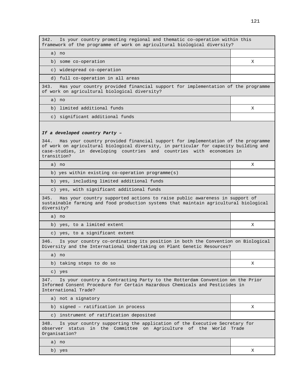342. Is your country promoting regional and thematic co-operation within this framework of the programme of work on agricultural biological diversity?

a) no

b) some co-operation X

c) widespread co-operation

d) full co-operation in all areas

343. Has your country provided financial support for implementation of the programme of work on agricultural biological diversity?

a) no

b) limited additional funds  $X$ 

c) significant additional funds

#### **If a developed country Party –**

344. Has your country provided financial support for implementation of the programme of work on agricultural biological diversity, in particular for capacity building and case-studies, in developing countries and countries with economies in transition?

| a) no                                                                                                                                                                                        | X |
|----------------------------------------------------------------------------------------------------------------------------------------------------------------------------------------------|---|
| b) yes within existing co-operation programme( $s$ )                                                                                                                                         |   |
| b) yes, including limited additional funds                                                                                                                                                   |   |
| c) yes, with significant additional funds                                                                                                                                                    |   |
| 345.<br>Has your country supported actions to raise public awareness in support of<br>sustainable farming and food production systems that maintain agricultural biological<br>diversity?    |   |
| a) no                                                                                                                                                                                        |   |
| b) yes, to a limited extent                                                                                                                                                                  | X |
| c) yes, to a significant extent                                                                                                                                                              |   |
| 346.<br>Is your country co-ordinating its position in both the Convention on Biological<br>Diversity and the International Undertaking on Plant Genetic Resources?                           |   |
| a) no                                                                                                                                                                                        |   |
| b) taking steps to do so                                                                                                                                                                     | X |
| c) yes                                                                                                                                                                                       |   |
| 347.<br>Is your country a Contracting Party to the Rotterdam Convention on the Prior<br>Informed Consent Procedure for Certain Hazardous Chemicals and Pesticides in<br>International Trade? |   |
| a) not a signatory                                                                                                                                                                           |   |
| b) signed - ratification in process                                                                                                                                                          | X |

c) instrument of ratification deposited

348. Is your country supporting the application of the Executive Secretary for observer status in the Committee on Agriculture of the World Trade Organisation?

a) no

b) yes X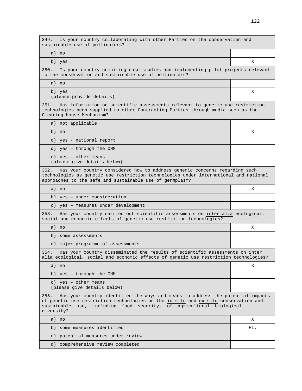349. Is your country collaborating with other Parties on the conservation and sustainable use of pollinators? a) no b) yes X 350. Is your country compiling case-studies and implementing pilot projects relevant to the conservation and sustainable use of pollinators? a) no b) yes (please provide details) X 351. Has information on scientific assessments relevant to genetic use restriction technologies been supplied to other Contracting Parties through media such as the Clearing-House Mechanism? a) not applicable b) no X c) yes - national report d) yes – through the CHM e) yes – other means (please give details below) 352. Has your country considered how to address generic concerns regarding such technologies as genetic use restriction technologies under international and national approaches to the safe and sustainable use of germplasm? a) no X b) yes – under consideration c) yes – measures under development 353. Has your country carried out scientific assessments on inter alia ecological, social and economic effects of genetic use restriction technologies? a) no X b) some assessments c) major programme of assessments 354. Has your country disseminated the results of scientific assessments on inter alia ecological, social and economic effects of genetic use restriction technologies? a) no X b) yes – through the CHM c) yes – other means (please give details below) 355. Has your country identified the ways and means to address the potential impacts of genetic use restriction technologies on the in situ and ex situ conservation and sustainable use, including food security, of agricultural biological diversity? a) no X b) some measures identified Fl. c) potential measures under review d) comprehensive review completed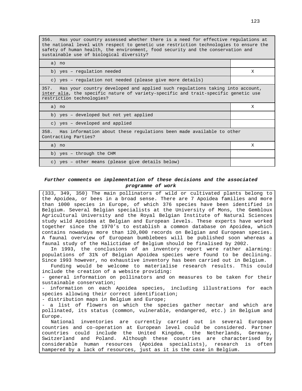356. Has your country assessed whether there is a need for effective regulations at the national level with respect to genetic use restriction technologies to ensure the safety of human health, the environment, food security and the conservation and sustainable use of biological diversity?

| a) no                                                                                                                                                                                                   |   |
|---------------------------------------------------------------------------------------------------------------------------------------------------------------------------------------------------------|---|
| b) yes - regulation needed                                                                                                                                                                              | X |
| c) yes - requlation not needed (please give more details)                                                                                                                                               |   |
| 357.<br>Has your country developed and applied such regulations taking into account,<br>inter alia, the specific nature of variety-specific and trait-specific genetic use<br>restriction technologies? |   |
| a) no                                                                                                                                                                                                   | X |
| b) yes - developed but not yet applied                                                                                                                                                                  |   |
| c) yes - developed and applied                                                                                                                                                                          |   |
| 358.<br>Has information about these regulations been made available to other<br>Contracting Parties?                                                                                                    |   |
| a) no                                                                                                                                                                                                   | X |
| b) yes - through the CHM                                                                                                                                                                                |   |
| c) yes - other means (please give details below)                                                                                                                                                        |   |

### **Further comments on implementation of these decisions and the associated programme of work**

(333, 349, 350) The main pollinators of wild or cultivated plants belong to the Apoidea, or bees in a broad sense. There are 7 Apoidea families and more than 1000 species in Europe, of which 376 species have been identified in Belgium. Several Belgian specialists at the University of Mons, the Gembloux Agricultural University and the Royal Belgian Institute of Natural Sciences study wild Apoidea at Belgian and European levels. These experts have worked together since the 1970's to establish a common database on Apoidea, which contains nowadays more than 120,000 records on Belgian and European species. A faunal overview of European bumblebees will be published soon whereas a faunal study of the Halictidae of Belgium should be finalised by 2002.

In 1993, the conclusions of an inventory report were rather alarming: populations of 31% of Belgian Apoidea species were found to be declining. Since 1993 however, no exhaustive inventory has been carried out in Belgium.

Funding would be welcome to materialise research results. This could include the creation of a website providing:

- general information on pollinators and on measures to be taken for their sustainable conservation;

- information on each Apoidea species, including illustrations for each species allowing their correct identification;

- distribution maps in Belgium and Europe;

- a list of flowers on which the species gather nectar and which are pollinated, its status (common, vulnerable, endangered, etc.) in Belgium and Europe.

National inventories are currently carried out in several European countries and co-operation at European level could be considered. Partner countries could include the United Kingdom, the Netherlands, Germany, Switzerland and Poland. Although these countries are characterised by considerable human resources (Apoidea specialists), research is often hampered by a lack of resources, just as it is the case in Belgium.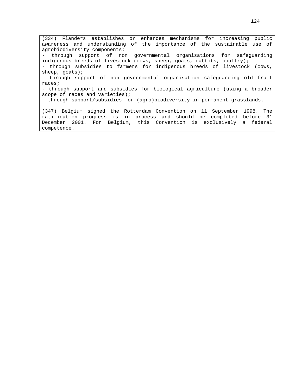(334) Flanders establishes or enhances mechanisms for increasing public awareness and understanding of the importance of the sustainable use of agrobiodiversity components: - through support of non governmental organisations for safeguarding indigenous breeds of livestock (cows, sheep, goats, rabbits, poultry); - through subsidies to farmers for indigenous breeds of livestock (cows, sheep, goats); - through support of non governmental organisation safeguarding old fruit races; - through support and subsidies for biological agriculture (using a broader scope of races and varieties); - through support/subsidies for (agro)biodiversity in permanent grasslands. (347) Belgium signed the Rotterdam Convention on 11 September 1998. The ratification progress is in process and should be completed before 31 December 2001. For Belgium, this Convention is exclusively a federal competence.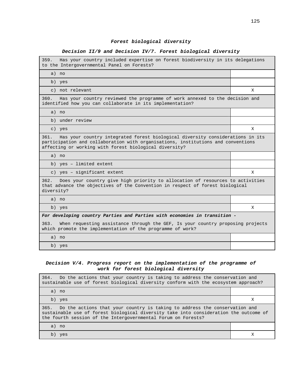# **Forest biological diversity**

## **Decision II/9 and Decision IV/7. Forest biological diversity**

| 359. Has your country included expertise on forest biodiversity in its delegations<br>to the Intergovernmental Panel on Forests?                                                                                                    |   |
|-------------------------------------------------------------------------------------------------------------------------------------------------------------------------------------------------------------------------------------|---|
| a) no                                                                                                                                                                                                                               |   |
| b) yes                                                                                                                                                                                                                              |   |
| c) not relevant                                                                                                                                                                                                                     | X |
| Has your country reviewed the programme of work annexed to the decision and<br>360.<br>identified how you can collaborate in its implementation?                                                                                    |   |
| a) no                                                                                                                                                                                                                               |   |
| b) under review                                                                                                                                                                                                                     |   |
| c) yes                                                                                                                                                                                                                              | X |
| Has your country integrated forest biological diversity considerations in its<br>361.<br>participation and collaboration with organisations, institutions and conventions<br>affecting or working with forest biological diversity? |   |
| a) no                                                                                                                                                                                                                               |   |
| b) yes - limited extent                                                                                                                                                                                                             |   |
| c) yes - significant extent                                                                                                                                                                                                         |   |
|                                                                                                                                                                                                                                     | X |
| 362.<br>Does your country give high priority to allocation of resources to activities<br>that advance the objectives of the Convention in respect of forest biological<br>diversity?                                                |   |
| a) no                                                                                                                                                                                                                               |   |
| b) yes                                                                                                                                                                                                                              | X |
| For developing country Parties and Parties with economies in transition -                                                                                                                                                           |   |
| 363.<br>When requesting assistance through the GEF, Is your country proposing projects<br>which promote the implementation of the programme of work?                                                                                |   |
| a) no                                                                                                                                                                                                                               |   |

## **Decision V/4. Progress report on the implementation of the programme of work for forest biological diversity**

| 364. Do the actions that your country is taking to address the conservation and<br>sustainable use of forest biological diversity conform with the ecosystem approach?                                                                    |  |
|-------------------------------------------------------------------------------------------------------------------------------------------------------------------------------------------------------------------------------------------|--|
| a) no                                                                                                                                                                                                                                     |  |
| b) yes                                                                                                                                                                                                                                    |  |
| 365. Do the actions that your country is taking to address the conservation and<br>sustainable use of forest biological diversity take into consideration the outcome of<br>the fourth session of the Intergovernmental Forum on Forests? |  |
| a) no                                                                                                                                                                                                                                     |  |
| h)<br>yes                                                                                                                                                                                                                                 |  |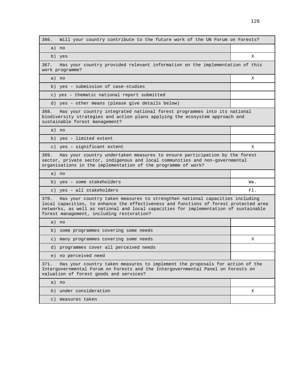366. Will your country contribute to the future work of the UN Forum on Forests? a) no b) yes X 367. Has your country provided relevant information on the implementation of this work programme? a) no X b) yes – submission of case-studies c) yes – thematic national report submitted d) yes – other means (please give details below) 368. Has your country integrated national forest programmes into its national biodiversity strategies and action plans applying the ecosystem approach and sustainable forest management? a) no b) yes – limited extent c) yes – significant extent  $X$ 369. Has your country undertaken measures to ensure participation by the forest sector, private sector, indigenous and local communities and non-governmental organisations in the implementation of the programme of work? a) no b) yes – some stakeholders Wa. c) yes – all stakeholders Fl. Solid State Holders Fl. Solid State Holders Fl. Solid State Holders Fl. Solid St 370. Has your country taken measures to strengthen national capacities including local capacities, to enhance the effectiveness and functions of forest protected area networks, as well as national and local capacities for implementation of sustainable forest management, including restoration? a) no b) some programmes covering some needs c) many programmes covering some needs  $X$ d) programmes cover all perceived needs e) no perceived need 371. Has your country taken measures to implement the proposals for action of the Intergovernmental Forum on Forests and the Intergovernmental Panel on Forests on valuation of forest goods and services? a) no b) under consideration  $X$ c) measures taken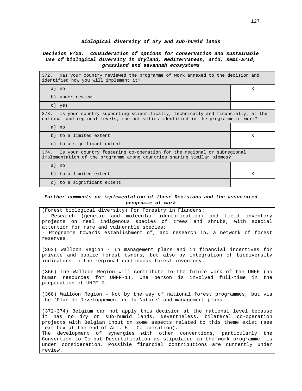#### **Biological diversity of dry and sub-humid lands**

## **Decision V/23. Consideration of options for conservation and sustainable use of biological diversity in dryland, Mediterranean, arid, semi-arid, grassland and savannah ecosystems**

| 372. Has your country reviewed the programme of work annexed to the decision and<br>identified how you will implement it?                                                   |              |
|-----------------------------------------------------------------------------------------------------------------------------------------------------------------------------|--------------|
| a) no                                                                                                                                                                       | X            |
| b) under review                                                                                                                                                             |              |
| c) yes                                                                                                                                                                      |              |
| Is your country supporting scientifically, technically and financially, at the<br>373.<br>national and regional levels, the activities identified in the programme of work? |              |
| a) no                                                                                                                                                                       |              |
| b) to a limited extent                                                                                                                                                      | X            |
| c) to a significant extent                                                                                                                                                  |              |
| Is your country fostering co-operation for the regional or subregional<br>374.<br>implementation of the programme among countries sharing similar biomes?                   |              |
| a) no                                                                                                                                                                       |              |
| b) to a limited extent                                                                                                                                                      | $\mathbf{x}$ |
| c) to a significant extent                                                                                                                                                  |              |
|                                                                                                                                                                             |              |

### **Further comments on implementation of these Decisions and the associated programme of work**

(Forest biological diversity) For Forestry in Flanders: - Research (genetic and molecular identification) and field inventory projects on real indigenous species of trees and shrubs, with special attention for rare and vulnerable species; - Programme towards establishment of, and research in, a network of forest reserves. (362) Walloon Region - In management plans and in financial incentives for private and public forest owners, but also by integration of biodiversity indicators in the regional continuous forest inventory. (366) The Walloon Region will contribute to the future work of the UNFF (no human resources for UNFF-1). One person is involved full-time in the preparation of UNFF-2. (368) Walloon Region - Not by the way of national forest programmes, but via the 'Plan de Développement de la Nature' and management plans. (372-374) Belgium can not apply this decision at the national level because it has no dry or sub-humid lands. Nevertheless, bilateral co-operation projects with Belgian input on some aspects related to this theme exist (see text box at the end of  $Art. 5 - Co-operation$ . The development of synergies with other conventions, particularly the Convention to Combat Desertification as stipulated in the work programme, is under consideration. Possible financial contributions are currently under review.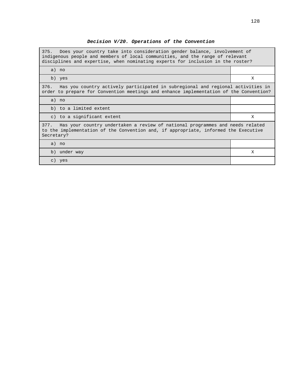| 375. Does your country take into consideration gender balance, involvement of<br>indigenous people and members of local communities, and the range of relevant<br>disciplines and expertise, when nominating experts for inclusion in the roster? |   |
|---------------------------------------------------------------------------------------------------------------------------------------------------------------------------------------------------------------------------------------------------|---|
| a) no                                                                                                                                                                                                                                             |   |
| b) yes                                                                                                                                                                                                                                            | X |
| Has you country actively participated in subregional and regional activities in<br>376.<br>order to prepare for Convention meetings and enhance implementation of the Convention?                                                                 |   |
| a) no                                                                                                                                                                                                                                             |   |
| b) to a limited extent                                                                                                                                                                                                                            |   |
| c) to a significant extent                                                                                                                                                                                                                        | Χ |
| Has your country undertaken a review of national programmes and needs related<br>377.<br>to the implementation of the Convention and, if appropriate, informed the Executive<br>Secretary?                                                        |   |
| a) no                                                                                                                                                                                                                                             |   |
| b) under way                                                                                                                                                                                                                                      | X |
| c) yes                                                                                                                                                                                                                                            |   |

**Decision V/20. Operations of the Convention**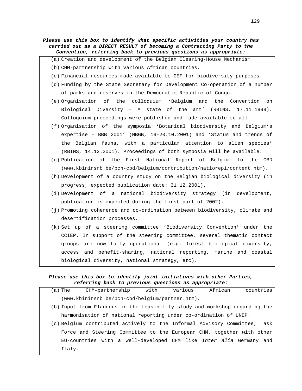| Please use this box to identify what specific activities your country has<br>carried out as a DIRECT RESULT of becoming a Contracting Party to the<br>Convention, referring back to previous questions as appropriate: |
|------------------------------------------------------------------------------------------------------------------------------------------------------------------------------------------------------------------------|
| (a) Creation and development of the Belgian Clearing-House Mechanism.                                                                                                                                                  |
| (b) CHM-partnership with various African countries.                                                                                                                                                                    |
| (c) Financial resources made available to GEF for biodiversity purposes.                                                                                                                                               |
| (d) Funding by the State Secretary for Development Co-operation of a number                                                                                                                                            |
| of parks and reserves in the Democratic Republic of Congo.                                                                                                                                                             |
| (e) Organisation of the colloquium 'Belgium and the Convention on                                                                                                                                                      |
| Biological Diversity - A state of the art' (RBINS, 17.11.1999).                                                                                                                                                        |
| Colloquium proceedings were published and made available to all.                                                                                                                                                       |
| (f) Organisation of the symposia 'Botanical biodiversity and Belgium's                                                                                                                                                 |
| expertise - BBB 2001' (NBGB, 19-20.10.2001) and 'Status and trends of                                                                                                                                                  |
| the Belgian fauna, with a particular attention to alien species'                                                                                                                                                       |
| (RBINS, 14.12.2001). Proceedings of both symposia will be available.                                                                                                                                                   |
| (g) Publication of the First National Report of Belgium to the CBD                                                                                                                                                     |
| (www.kbinirsnb.be/bch-cbd/belgium/contribution/natiorep1/content.htm).                                                                                                                                                 |
| (h) Development of a country study on the Belgian biological diversity (in                                                                                                                                             |
| progress, expected publication date: 31.12.2001).                                                                                                                                                                      |
| (i) Development of a national biodiversity strategy (in development,                                                                                                                                                   |
| publication is expected during the first part of 2002).                                                                                                                                                                |
| (j) Promoting coherence and co-ordination between biodiversity, climate and                                                                                                                                            |
| desertification processes.                                                                                                                                                                                             |
| (k) Set up of a steering committee 'Biodiversity Convention' under the                                                                                                                                                 |
| CCIEP. In support of the steering committee, several thematic contact                                                                                                                                                  |
| groups are now fully operational (e.g. forest biological diversity,                                                                                                                                                    |
| and benefit-sharing, national reporting, marine and coastal<br>access                                                                                                                                                  |

# **Please use this box to identify joint initiatives with other Parties, referring back to previous questions as appropriate:**

biological diversity, national strategy, etc).

| (a) The | CHM-partnership                                    | with | various | African                                                                     | countries                                                                 |
|---------|----------------------------------------------------|------|---------|-----------------------------------------------------------------------------|---------------------------------------------------------------------------|
|         | $(www.kbinirsnb.be/bch-cbd/belqium/partner.htm)$ . |      |         |                                                                             |                                                                           |
|         |                                                    |      |         | (b) Input from Flanders in the feasibility study and workshop regarding the |                                                                           |
|         |                                                    |      |         | harmonisation of national reporting under co-ordination of UNEP.            |                                                                           |
|         |                                                    |      |         |                                                                             | c) Belgium contributed actively to the Informal Advisory Committee, Task) |
|         |                                                    |      |         | Force and Steering Committee to the European CHM, together with other       |                                                                           |
|         |                                                    |      |         | EU-countries with a well-developed CHM like <i>inter alia</i> Germany and   |                                                                           |
| Italy.  |                                                    |      |         |                                                                             |                                                                           |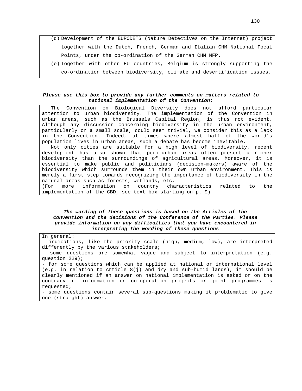- (d) Development of the EURODETS (Nature Detectives on the Internet) project together with the Dutch, French, German and Italian CHM National Focal Points, under the co-ordination of the German CHM NFP.
- (e) Together with other EU countries, Belgium is strongly supporting the co-ordination between biodiversity, climate and desertification issues.

### **Please use this box to provide any further comments on matters related to national implementation of the Convention:**

The Convention on Biological Diversity does not afford particular attention to urban biodiversity. The implementation of the Convention in urban areas, such as the Brussels Capital Region, is thus not evident. Although any discussion concerning biodiversity in the urban environment, particularly on a small scale, could seem trivial, we consider this as a lack in the Convention. Indeed, at times where almost half of the world's population lives in urban areas, such a debate has become inevitable.

Not only cities are suitable for a high level of biodiversity, recent development has also shown that peri-urban areas often present a richer biodiversity than the surroundings of agricultural areas. Moreover, it is essential to make public and politicians (decision-makers) aware of the biodiversity which surrounds them in their own urban environment. This is merely a first step towards recognizing the importance of biodiversity in the natural areas such as forests, wetlands, etc.

(For more information on country characteristics related to the implementation of the CBD, see text box starting on p. 9)

## **The wording of these questions is based on the Articles of the Convention and the decisions of the Conference of the Parties. Please provide information on any difficulties that you have encountered in interpreting the wording of these questions**

In general: - indications, like the priority scale (high, medium, low), are interpreted differently by the various stakeholders; - some questions are somewhat vague and subject to interpretation (e.g. question 229); - for some questions which can be applied at national or international level (e.g. in relation to Article 8(j) and dry and sub-humid lands), it should be clearly mentioned if an answer on national implementation is asked or on the contrary if information on co-operation projects or joint programmes is requested; - some questions contain several sub-questions making it problematic to give one (straight) answer.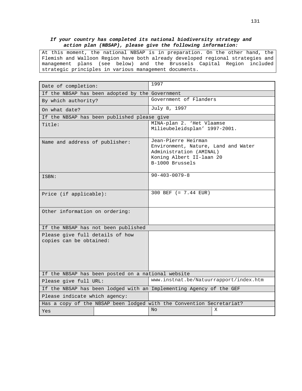## **If your country has completed its national biodiversity strategy and action plan (NBSAP), please give the following information:**

At this moment, the national NBSAP is in preparation. On the other hand, the Flemish and Walloon Region have both already developed regional strategies and management plans (see below) and the Brussels Capital Region included strategic principles in various management documents.

| Date of completion:                                                  |                                             | 1997                                                                                                                                 |   |  |
|----------------------------------------------------------------------|---------------------------------------------|--------------------------------------------------------------------------------------------------------------------------------------|---|--|
| If the NBSAP has been adopted by the Government                      |                                             |                                                                                                                                      |   |  |
| By which authority?                                                  |                                             | Government of Flanders                                                                                                               |   |  |
| On what date?                                                        |                                             | July 8, 1997                                                                                                                         |   |  |
|                                                                      | If the NBSAP has been published please give |                                                                                                                                      |   |  |
| Title:                                                               |                                             | MINA-plan 2. 'Het Vlaamse<br>Milieubeleidsplan' 1997-2001.                                                                           |   |  |
| Name and address of publisher:                                       |                                             | Jean-Pierre Heirman<br>Environment, Nature, Land and Water<br>Administration (AMINAL)<br>Koning Albert II-laan 20<br>B-1000 Brussels |   |  |
| ISBN:                                                                |                                             | $90 - 403 - 0079 - 8$                                                                                                                |   |  |
| Price (if applicable):                                               |                                             | 300 BEF (= 7.44 EUR)                                                                                                                 |   |  |
| Other information on ordering:                                       |                                             |                                                                                                                                      |   |  |
| If the NBSAP has not been published                                  |                                             |                                                                                                                                      |   |  |
| Please give full details of how<br>copies can be obtained:           |                                             |                                                                                                                                      |   |  |
| If the NBSAP has been posted on a national website                   |                                             |                                                                                                                                      |   |  |
| Please give full URL:                                                |                                             | www.instnat.be/Natuurrapport/index.htm                                                                                               |   |  |
|                                                                      |                                             | If the NBSAP has been lodged with an Implementing Agency of the GEF                                                                  |   |  |
| Please indicate which agency:                                        |                                             |                                                                                                                                      |   |  |
| Has a copy of the NBSAP been lodged with the Convention Secretariat? |                                             |                                                                                                                                      |   |  |
| Yes                                                                  |                                             | No                                                                                                                                   | X |  |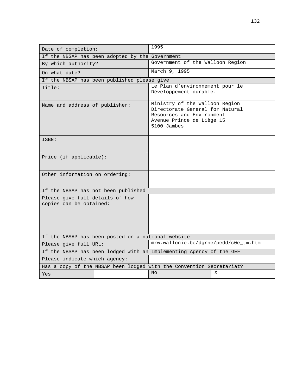| Date of completion:                                                  |                                                 | 1995                                                                                                                                       |   |  |
|----------------------------------------------------------------------|-------------------------------------------------|--------------------------------------------------------------------------------------------------------------------------------------------|---|--|
|                                                                      | If the NBSAP has been adopted by the Government |                                                                                                                                            |   |  |
| By which authority?                                                  |                                                 | Government of the Walloon Region                                                                                                           |   |  |
| On what date?                                                        |                                                 | March 9, 1995                                                                                                                              |   |  |
|                                                                      | If the NBSAP has been published please give     |                                                                                                                                            |   |  |
| Title:                                                               |                                                 | Le Plan d'environnement pour le<br>Développement durable.                                                                                  |   |  |
| Name and address of publisher:                                       |                                                 | Ministry of the Walloon Region<br>Directorate General for Natural<br>Resources and Environment<br>Avenue Prince de Liège 15<br>5100 Jambes |   |  |
| ISBN:                                                                |                                                 |                                                                                                                                            |   |  |
| Price (if applicable):                                               |                                                 |                                                                                                                                            |   |  |
| Other information on ordering:                                       |                                                 |                                                                                                                                            |   |  |
|                                                                      | If the NBSAP has not been published             |                                                                                                                                            |   |  |
| Please give full details of how<br>copies can be obtained:           |                                                 |                                                                                                                                            |   |  |
| If the NBSAP has been posted on a national website                   |                                                 |                                                                                                                                            |   |  |
| Please give full URL:                                                |                                                 | mrw.wallonie.be/dgrne/pedd/c0e_tm.htm                                                                                                      |   |  |
|                                                                      |                                                 | If the NBSAP has been lodged with an Implementing Agency of the GEF                                                                        |   |  |
| Please indicate which agency:                                        |                                                 |                                                                                                                                            |   |  |
| Has a copy of the NBSAP been lodged with the Convention Secretariat? |                                                 |                                                                                                                                            |   |  |
| Yes                                                                  |                                                 | No                                                                                                                                         | X |  |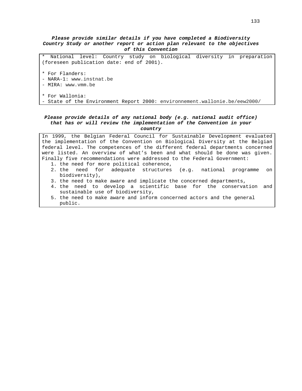### **Please provide similar details if you have completed a Biodiversity Country Study or another report or action plan relevant to the objectives of this Convention**

\* National level: Country study on biological diversity in preparation (foreseen publication date: end of 2001).

- \* For Flanders:
- NARA-1: www.instnat.be
- MIRA: www.vmm.be

```
* For Wallonia:
```
- State of the Environment Report 2000: environnement.wallonie.be/eew2000/

### **Please provide details of any national body (e.g. national audit office) that has or will review the implementation of the Convention in your country**

In 1999, the Belgian Federal Council for Sustainable Development evaluated the implementation of the Convention on Biological Diversity at the Belgian federal level. The competences of the different federal departments concerned were listed. An overview of what's been and what should be done was given. Finally five recommendations were addressed to the Federal Government: 1. the need for more political coherence,

- 2. the need for adequate structures (e.g. national programme on biodiversity),
- 3. the need to make aware and implicate the concerned departments,
- 4. the need to develop a scientific base for the conservation and sustainable use of biodiversity,
- 5. the need to make aware and inform concerned actors and the general public.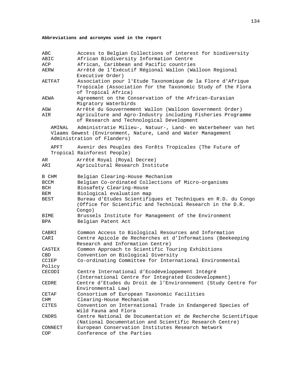# **Abbreviations and acronyms used in the report**

| ABC<br>ABIC |         | Access to Belgian Collections of interest for biodiversity<br>African Biodiversity Information Centre    |
|-------------|---------|----------------------------------------------------------------------------------------------------------|
| ACP         |         | African, Caribbean and Pacific countries                                                                 |
| AERW        |         | Arrêté de l'Exécutif Régional Wallon (Walloon Regional                                                   |
|             |         | Executive Order)                                                                                         |
| AETFAT      |         | Association pour l'Etude Taxonomique de la Flore d'Afrique                                               |
|             |         | Tropicale (Association for the Taxonomic Study of the Flora                                              |
|             |         |                                                                                                          |
|             |         | of Tropical Africa)                                                                                      |
| AEWA        |         | Agreement on the Conservation of the African-Eurasian                                                    |
|             |         | Migratory Waterbirds                                                                                     |
| AGW         |         | Arrêté du Gouvernement Wallon (Walloon Government Order)                                                 |
| AIR         |         | Agriculture and Agro-Industry including Fisheries Programme<br>of Research and Technological Development |
|             | AMINAL  | Administratie Milieu-, Natuur-, Land- en Waterbeheer van het                                             |
|             |         |                                                                                                          |
|             |         | Vlaams Gewest (Environment, Nature, Land and Water Management                                            |
|             |         | Administration of Flanders)                                                                              |
|             | APFT    | Avenir des Peuples des Forêts Tropicales (The Future of                                                  |
|             |         | Tropical Rainforest People)                                                                              |
|             |         |                                                                                                          |
| AR          |         | Arrêté Royal (Royal Decree)                                                                              |
| ARI         |         | Agricultural Research Institute                                                                          |
|             |         |                                                                                                          |
| B CHM       |         | Belgian Clearing-House Mechanism                                                                         |
| BCCM        |         | Belgian Co-ordinated Collections of Micro-organisms                                                      |
| BCH         |         | Biosafety Clearing-House                                                                                 |
| BEM         |         | Biological evaluation map                                                                                |
| BEST        |         | Bureau d'Etudes Scientifiques et Techniques en R.D. du Congo                                             |
|             |         | (Office for Scientific and Technical Research in the D.R.<br>Congo)                                      |
| BIME        |         | Brussels Institute for Management of the Environment                                                     |
| BPA         |         | Belgian Patent Act                                                                                       |
|             |         |                                                                                                          |
| CABRI       |         | Common Access to Biological Resources and Information                                                    |
| CARI        |         | Centre Apicole de Recherches et d'Informations (Beekeeping                                               |
|             |         | Research and Information Centre)                                                                         |
| CASTEX      |         | Common Approach to Scientific Touring Exhibitions                                                        |
| CBD         |         | Convention on Biological Diversity                                                                       |
|             |         | Co-ordinating Committee for International Environmental                                                  |
| CCIEP       |         |                                                                                                          |
| Policy      |         |                                                                                                          |
| CECODI      |         | Centre International d'Ecodéveloppement Intégré                                                          |
|             |         | (International Centre for Integrated Ecodevelopment)                                                     |
| CEDRE       |         | Centre d'Etudes du Droit de l'Environnement (Study Centre for                                            |
|             |         | Environmental Law)                                                                                       |
| CETAF       |         | Consortium of European Taxonomic Facilities                                                              |
| CHM         |         | Clearing-House Mechanism                                                                                 |
| CITES       |         | Convention on International Trade in Endangered Species of                                               |
|             |         | Wild Fauna and Flora                                                                                     |
| $\rm CNDRS$ |         | Centre National de Documentation et de Recherche Scientifique                                            |
|             |         | (National Documentation and Scientific Research Centre)                                                  |
|             | CONNECT | European Conservation Institutes Research Network                                                        |
| COP         |         | Conference of the Parties                                                                                |
|             |         |                                                                                                          |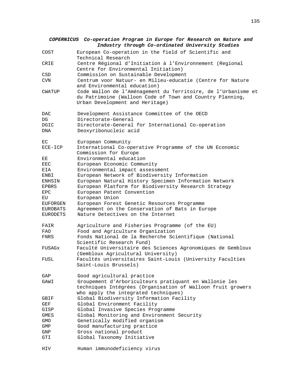|               | COPERNICUS Co-operation Program in Europe for Research on Nature and<br>Industry through Co-ordinated University Studies                                      |
|---------------|---------------------------------------------------------------------------------------------------------------------------------------------------------------|
| COST          | European Co-operation in the field of Scientific and<br>Technical Research                                                                                    |
| CRIE          | Centre Régional d'Initiation à l'Environnement (Regional<br>Centre for Environmental Initiation)                                                              |
| CSD           | Commission on Sustainable Development                                                                                                                         |
| CVN           | Centrum voor Natuur- en Milieu-educatie (Centre for Nature<br>and Environmental education)                                                                    |
| <b>CWATUP</b> | Code Wallon de l'Aménagement du Territoire, de l'Urbanisme et<br>du Patrimoine (Walloon Code of Town and Country Planning,<br>Urban Development and Heritage) |
| <b>DAC</b>    | Development Assistance Committee of the OECD                                                                                                                  |
| DG            | Directorate-General                                                                                                                                           |
| DGIC<br>DNA   | Directorate-General for International Co-operation<br>Deoxyribonucleic acid                                                                                   |
| EC            | European Community                                                                                                                                            |
| $ECE-ICP$     | International Co-operative Programme of the UN Economic<br>Commission for Europe                                                                              |
| EЕ            | Environmental education                                                                                                                                       |
| EEC           | European Economic Community                                                                                                                                   |
| EIA           | Environmental impact assessment                                                                                                                               |
| ENBI          | European Network of Biodiversity Information                                                                                                                  |
| ENHSIN        | European Natural History Specimen Information Network                                                                                                         |
| EPBRS         | European Platform for Biodiversity Research Strategy                                                                                                          |
| EPC           | European Patent Convention                                                                                                                                    |
| ЕU            | European Union                                                                                                                                                |
| EUFORGEN      | European Forest Genetic Resources Programme                                                                                                                   |
| EUROBATS      | Agreement on the Conservation of Bats in Europe                                                                                                               |
| EURODETS      | Nature Detectives on the Internet                                                                                                                             |
| FAIR          | Agriculture and Fisheries Programme (of the EU)                                                                                                               |
| FAO           | Food and Agriculture Organization                                                                                                                             |
| FNRS          | Fonds National de la Recherche Scientifique (National<br>Scientific Research Fund)                                                                            |
| FUSAGx        | Faculté Universitaire des Sciences Agronomiques de Gembloux<br>(Gembloux Agricultural University)                                                             |
| FUSL          | Facultés universitaires Saint-Louis (University Faculties<br>Saint-Louis Brussels)                                                                            |
| GAP           | Good agricultural practice                                                                                                                                    |
| GAWI          | Groupement d'Arboriculteurs pratiquant en Wallonie les<br>techniques Intégrées (Organisation of Walloon fruit growers<br>who apply the integrated techniques) |
| GBIF          | Global Biodiversity Information Facility                                                                                                                      |
| GEF           | Global Environment Facility                                                                                                                                   |
| GISP          | Global Invasive Species Programme                                                                                                                             |
| <b>GMES</b>   | Global Monitoring and Environment Security                                                                                                                    |
| GMO           | Genetically modified organism                                                                                                                                 |
| GMP           | Good manufacturing practice                                                                                                                                   |
| GNP           | Gross national product                                                                                                                                        |
| GTI           | Global Taxonomy Initiative                                                                                                                                    |
| HIV           | Human immunodeficiency virus                                                                                                                                  |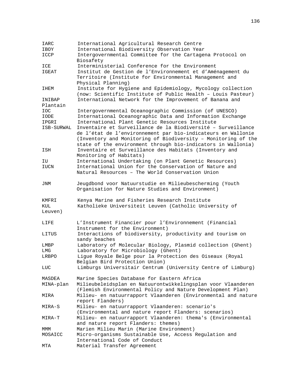| IARC               | International Agricultural Research Centre                                                                                                                                                                                                                    |
|--------------------|---------------------------------------------------------------------------------------------------------------------------------------------------------------------------------------------------------------------------------------------------------------|
| IBOY               | International Biodiversity Observation Year                                                                                                                                                                                                                   |
| ICCP               | Intergovernmental Committee for the Cartagena Protocol on<br>Biosafety                                                                                                                                                                                        |
| ICE                | Interministerial Conference for the Environment                                                                                                                                                                                                               |
| IGEAT              | Institut de Gestion de l'Environnement et d'Aménagement du<br>Territoire (Institute for Environmental Management and<br>Physical Planning)                                                                                                                    |
| IHEM               | Institute for Hygiene and Epidemiology, Mycology collection<br>(now: Scientific Institute of Public Health - Louis Pasteur)                                                                                                                                   |
| INIBAP<br>Plantain | International Network for the Improvement of Banana and                                                                                                                                                                                                       |
| <b>IOC</b>         | Intergovernmental Oceanographic Commission (of UNESCO)                                                                                                                                                                                                        |
| IODE               | International Oceanographic Data and Information Exchange                                                                                                                                                                                                     |
| IPGRI              | International Plant Genetic Resources Institute                                                                                                                                                                                                               |
| ISB-SURWAL         | Inventaire et Surveillance de la Biodiversité - Surveillance<br>de l'état de l'environnement par bio-indicateurs en Wallonie<br>(Inventory and Monitoring of Biodiversity - Monitoring of the<br>state of the environment through bio-indicators in Wallonia) |
| ISH                | Inventaire et Surveillance des Habitats (Inventory and<br>Monitoring of Habitats)                                                                                                                                                                             |
| ΙU                 | International Undertaking (on Plant Genetic Resources)                                                                                                                                                                                                        |
| IUCN               | International Union for the Conservation of Nature and                                                                                                                                                                                                        |
|                    | Natural Resources - The World Conservation Union                                                                                                                                                                                                              |
| JNM                | Jeugdbond voor Natuurstudie en Milieubescherming (Youth<br>Organisation for Nature Studies and Environment)                                                                                                                                                   |
| KMFRI              | Kenya Marine and Fisheries Research Institute                                                                                                                                                                                                                 |
| KUL                | Katholieke Universiteit Leuven (Catholic University of                                                                                                                                                                                                        |
| Leuven)            |                                                                                                                                                                                                                                                               |
| LIFE               | L'Instrument Financier pour l'Environnement (Financial<br>Instrument for the Environment)                                                                                                                                                                     |
| LITUS              | Interactions of biodiversity, productivity and tourism on<br>sandy beaches                                                                                                                                                                                    |
| LMBP               | Laboratory of Molecular Biology, Plasmid collection (Ghent)                                                                                                                                                                                                   |
| LMG                | Laboratory for Microbiology (Ghent)                                                                                                                                                                                                                           |
| LRBPO              | Ligue Royale Belge pour la Protection des Oiseaux (Royal<br>Belgian Bird Protection Union)                                                                                                                                                                    |
| LUC                | Limburgs Universitair Centrum (University Centre of Limburg)                                                                                                                                                                                                  |
| MASDEA             | Marine Species Database for Eastern Africa                                                                                                                                                                                                                    |
| MINA-plan          | Milieubeleidsplan en Natuurontwikkelingsplan voor Vlaanderen<br>(Flemish Environmental Policy and Nature Development Plan)                                                                                                                                    |
| MIRA               | Milieu- en natuurrapport Vlaanderen (Environmental and nature<br>report Flanders)                                                                                                                                                                             |
| MIRA-S             | Milieu- en natuurrapport Vlaanderen: scenario's                                                                                                                                                                                                               |
|                    |                                                                                                                                                                                                                                                               |
| MIRA-T             | (Environmental and nature report Flanders: scenarios)<br>Milieu- en natuurrapport Vlaanderen: thema's (Environmental                                                                                                                                          |
|                    | and nature report Flanders: themes)                                                                                                                                                                                                                           |
| MMM<br>MOSAICC     | Marien Milieu Marin (Marine Environment)<br>Micro-organisms Sustainable Use, Access Regulation and                                                                                                                                                            |
| MTA                | International Code of Conduct<br>Material Transfer Agreement                                                                                                                                                                                                  |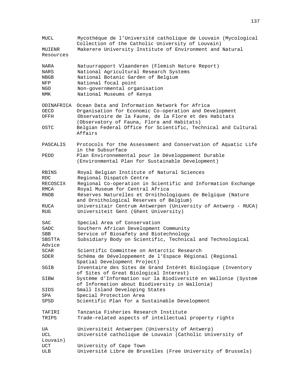| MUCL        | Mycothèque de l'Université catholique de Louvain (Mycological<br>Collection of the Catholic University of Louvain) |
|-------------|--------------------------------------------------------------------------------------------------------------------|
| MUIENR      | Makerere University Institute of Environment and Natural                                                           |
| Resources   |                                                                                                                    |
| NARA        | Natuurrapport Vlaanderen (Flemish Nature Report)                                                                   |
| <b>NARS</b> | National Agricultural Research Systems                                                                             |
| NBGB        | National Botanic Garden of Belgium                                                                                 |
| NFP         | National focal point                                                                                               |
| NGO         | Non-governmental organisation                                                                                      |
| NMK         | National Museums of Kenya                                                                                          |
|             |                                                                                                                    |
| ODINAFRICA  | Ocean Data and Information Network for Africa                                                                      |
| OECD        | Organisation for Economic Co-operation and Development                                                             |
| OFFH        | Observatoire de la Faune, de la Flore et des Habitats                                                              |
|             | (Observatory of Fauna, Flora and Habitats)                                                                         |
| OSTC        | Belgian Federal Office for Scientific, Technical and Cultural                                                      |
|             | Affairs                                                                                                            |
|             |                                                                                                                    |
| PASCALIS    | Protocols for the Assessment and Conservation of Aquatic Life<br>in the Subsurface                                 |
| PEDD        | Plan Environnemental pour le Développement Durable                                                                 |
|             | (Environmental Plan for Sustainable Development)                                                                   |
|             |                                                                                                                    |
| RBINS       | Royal Belgian Institute of Natural Sciences                                                                        |
| RDC.        | Regional Dispatch Centre                                                                                           |
| RECOSCIX    | Regional Co-operation in Scientific and Information Exchange                                                       |
| RMCA        | Royal Museum for Central Africa                                                                                    |
| RNOB        | Réserves Naturelles et Ornithologiques de Belgique (Nature                                                         |
|             | and Ornithological Reserves of Belgium)                                                                            |
| RUCA        | Universitair Centrum Antwerpen (University of Antwerp - RUCA)                                                      |
| <b>RUG</b>  | Universiteit Gent (Ghent University)                                                                               |
|             |                                                                                                                    |
| SAC         | Special Area of Conservation                                                                                       |
| SADC        | Southern African Development Community                                                                             |
| SBB         | Service of Biosafety and Biotechnology                                                                             |
| SBSTTA      | Subsidiary Body on Scientific, Technical and Technological                                                         |
| Advice      |                                                                                                                    |
| SCAR        | Scientific Committee on Antarctic Research                                                                         |
| SDER        | Schéma de Développement de l'Espace Régional (Regional                                                             |
|             | Spatial Development Project)                                                                                       |
| SGIB        | Inventaire des Sites de Grand Intérêt Biologique (Inventory                                                        |
|             | of Sites of Great Biological Interest)                                                                             |
| SIBW        | Système d'Information sur la Biodiversité en Wallonie (System                                                      |
|             | of Information about Biodiversity in Wallonia)                                                                     |
| SIDS        | Small Island Developing States                                                                                     |
| SPA         | Special Protection Area                                                                                            |
| SPSD        | Scientific Plan for a Sustainable Development                                                                      |
| TAFIRI      | Tanzania Fisheries Research Institute                                                                              |
|             | Trade-related aspects of intellectual property rights                                                              |
| TRIPS       |                                                                                                                    |
| UA          | Universiteit Antwerpen (University of Antwerp)                                                                     |
| UCL         | Université catholique de Louvain (Catholic University of                                                           |
| Louvain)    |                                                                                                                    |
| UCT         | University of Cape Town                                                                                            |
| ULB         | Université Libre de Bruxelles (Free University of Brussels)                                                        |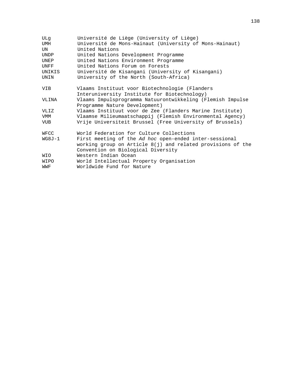| ULq        | Université de Liège (University of Liège)                                                   |
|------------|---------------------------------------------------------------------------------------------|
| UMH        | Université de Mons-Hainaut (University of Mons-Hainaut)                                     |
| UN         | United Nations                                                                              |
| UNDP       | United Nations Development Programme                                                        |
| UNEP       | United Nations Environment Programme                                                        |
| UNFF       | United Nations Forum on Forests                                                             |
| UNIKIS     | Université de Kisangani (University of Kisangani)                                           |
| UNIN       | University of the North (South-Africa)                                                      |
| VIB        | Vlaams Instituut voor Biotechnologie (Flanders                                              |
| VLINA      | Interuniversity Institute for Biotechnology)                                                |
|            | Vlaams Impulsprogramma Natuurontwikkeling (Flemish Impulse<br>Programme Nature Development) |
| VLIZ       | Vlaams Instituut voor de Zee (Flanders Marine Institute)                                    |
| VMM        | Vlaamse Milieumaatschappij (Flemish Environmental Agency)                                   |
| VUB        | Vrije Universiteit Brussel (Free University of Brussels)                                    |
|            |                                                                                             |
| WFCC       | World Federation for Culture Collections                                                    |
| $WG8J-1$   | First meeting of the Ad hoc open-ended inter-sessional                                      |
|            | working group on Article $8(j)$ and related provisions of the                               |
|            | Convention on Biological Diversity                                                          |
| <b>NIO</b> | Western Indian Ocean                                                                        |
| WIPO       | World Intellectual Property Organisation                                                    |
| WWF        | Worldwide Fund for Nature                                                                   |
|            |                                                                                             |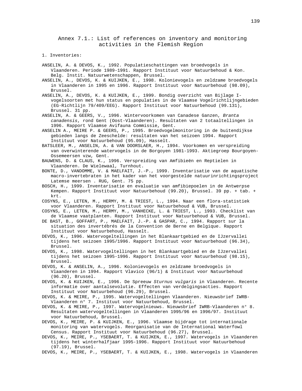Annex 7.1.: List of references on inventory and monitoring activities in the Flemish Region

1. Inventories:

ANSELIN, A. & DEVOS, K., 1992. Populatieschattingen van broedvogels in Vlaanderen. Periode 1989-1991. Rapport Instituut voor Natuurbehoud & Kon. Belg. Instit. Natuurwetenschappen, Brussel.

ANSELIN, A., DEVOS, K. & KUIJKEN, E., 1998. Kolonievogels en zeldzame broedvogels in Vlaanderen in 1995 en 1996. Rapport Instituut voor Natuurbehoud (98.09), Brussel.

ANSELIN, A., DEVOS, K. & KUIJKEN, E., 1999. Bondig overzicht van Bijlage Ivogelsoorten met hun status en populaties in de Vlaamse Vogelrichtlijngebieden (EG-Richtlijn 79/409/EEG). Rapport Instituut voor Natuurbehoud (99.131), Brussel. 31 pp.

ANSELIN, A. & GEERS, V., 1996. Wintervoorkomen van Canadese Ganzen, Branta canadensis, rond Gent (Oost-Vlaanderen). Resultaten van 2 totaaltellingen in 1996. Rapport Vlaamse Avifauna Commissie, Gent.

ANSELIN A., MEIRE P. & GEERS, P., 1995. Broedvogelmonitoring in de buitendijkse gebieden langs de Zeeschelde: resultaten van het seizoen 1994. Rapport Instituut voor Natuurbehoud (95.09), Hasselt.

BATSLEER, M., ANSELIN, A. & VAN DOORSLAER, H., 1994. Voorkomen en verspreiding van overwinterende watervogels in de Borgoyen 1981-1993. Aktiegroep Bourgoyen-Ossemeersen vzw, Gent.

BAUWENS, D. & CLAUS, K., 1996. Verspreiding van Amfibieën en Reptielen in Vlaanderen. De Wielewaal, Turnhout.

BONTE, D., VANDOMME, V. & MAELFAIT, J.-P., 1999. Inventarisatie van de aquatische macro-invertebraten in het kader van het voorgestelde natuurinrichtingsproject Latemse meersen . RUG, Gent. 75 pp.

BOSCH, H., 1999. Inventarisatie en evaluatie van amfibiepoelen in de Antwerpse Kempen. Rapport Instituut voor Natuurbehoud (99.20), Brussel. 39 pp. + tab. + krt.

COSYNS, E., LETEN, M., HERMY, M. & TRIEST, L., 1994. Naar een flora-statistiek voor Vlaanderen. Rapport Instituut voor Natuurbehoud & VUB, Brussel.

COSYNS, E., LETEN, M., HERMY, M., VANHECKE, L. & TRIEST, L., 1993. Checklist van de Vlaamse vaatplanten. Rapport Instituut voor Natuurbehoud & VUB, Brussel.

DE BAST, B., GOFFART, P., MAELFAIT, J.-P. & GASPAR, C., 1994. Rapport sur la situation des invertébrés de la Convention de Berne en Belgique. Rapport Instituut voor Natuurbehoud, Hasselt.

DEVOS, K., 1996. Watervogeltellingen in het Blankaartgebied en de IJzervallei tijdens het seizoen 1995/1996. Rapport Instituut voor Natuurbehoud (96.34), Brussel.

DEVOS, K., 1998. Watervogeltellingen in het Blankaartgebied en de IJzervallei tijdens het seizoen 1995-1996. Rapport Instituut voor Natuurbehoud (98.15), Brussel.

DEVOS, K. & ANSELIN, A., 1996. Kolonievogels en zeldzame broedvogels in Vlaanderen in 1994. Rapport Vlavico (96/1) & Instituut voor Natuurbehoud (96.20), Brussel.

DEVOS, K. & KUIJKEN, E., 1996. De Spreeuw Sturnus vulgaris in Vlaanderen. Recente informatie over aantalsevolutie. Effecten van verdelgingsacties. Rapport Instituut voor Natuurbehoud (96.29), Brussel.

DEVOS, K. & MEIRE, P., 1995. Watervogeltellingen Vlaanderen. Nieuwsbrief IWRB-Vlaanderen n° 7. Instituut voor Natuurbehoud, Brussel.

DEVOS, K. & MEIRE, P., 1997. Watervogelnieuws. Nieuwsbrief IWRB-Vlaanderen n° 8. Resultaten watervogeltellingen in Vlaanderen 1995/96 en 1996/97. Instituut voor Natuurbehoud, Brussel.

DEVOS, K., MEIRE, P. & KUIJKEN, E., 1996. Vlaamse bijdrage tot internationale monitoring van watervogels. Reorganisatie van de International Waterfowl Census. Rapport Instituut voor Natuurbehoud (96.27), Brussel.

DEVOS, K., MEIRE, P., YSEBAERT, T. & KUIJKEN, E., 1997. Watervogels in Vlaanderen tijdens het winterhalfjaar 1995-1996. Rapport Instituut voor Natuurbehoud (97.19), Brussel.

DEVOS, K., MEIRE, P., YSEBAERT, T. & KUIJKEN, E., 1998. Watervogels in Vlaanderen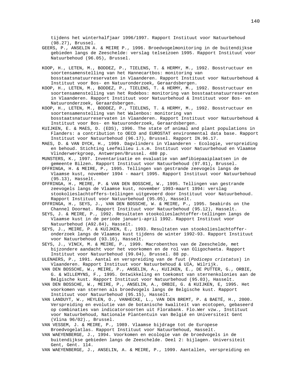tijdens het winterhalfjaar 1996/1997. Rapport Instituut voor Natuurbehoud (98.27), Brussel.

- GEERS, P., ANSELIN A. & MEIRE P., 1996. Broedvogelmonitoring in de buitendijkse gebieden langs de Zeeschelde: verslag telseizoen 1995. Rapport Instituut voor Natuurbehoud (96.05), Brussel.
- KOOP, H., LETEN, M., BODDEZ, P., TIELENS, T. & HERMY, M., 1992. Bosstructuur en soortensamenstelling van het Hannecartbos: monitoring van bosstaatsnatuurreservaten in Vlaanderen. Rapport Instituut voor Natuurbehoud & Instituut voor Bos- en Natuuronderzoek, Geraardsbergen.
- KOOP, H., LETEN, M., BODDEZ, P., TIELENS, T. & HERMY, M., 1992. Bosstructuur en soortensamenstelling van het Rodebos: monitoring van bosstaatsnatuurreservaten in Vlaanderen. Rapport Instituut voor Natuurbehoud & Instituut voor Bos- en Natuuronderzoek, Geraardsbergen.
- KOOP, H., LETEN, M., BODDEZ, P., TIELENS, T. & HERMY, M., 1992. Bosstructuur en soortensamenstelling van het Walenbos: monitoring van bosstaatsnatuurreservaten in Vlaanderen. Rapport Instituut voor Natuurbehoud & Instituut voor Bos- en Natuuronderzoek, Geraardsbergen.
- KUIJKEN, E. & MAES, D. (EDS), 1996. The state of animal and plant populations in Flanders: a contribution to OECD and EUROSTAT environmental data base. Rapport Instituut voor Natuurbehoud (96.17), Brussel. Rapport IN.96.17.
- MAES, D. & VAN DYCK, H., 1999. Dagvlinders in Vlaanderen Ecologie, verspreiding en behoud. Stichting Leefmilieu i.s.m. Instituut voor Natuurbehoud en Vlaamse Vlinderwerkgroep, Antwerpen/Brussel. 480 pp.

MUNSTERS, K., 1997. Inventarisatie en evaluatie van amfibiepaaiplaatsen in de gemeente Bilzen. Rapport Instituut voor Natuurbehoud (97.01), Brussel.

- OFFRINGA, H. & MEIRE, P., 1995. Tellingen van gestrande zeevogels langs de Vlaamse kust, november 1994 - maart 1995. Rapport Instituut voor Natuurbehoud (95.13), Hasselt.
- OFFRINGA, H., MEIRE, P. & VAN DEN BOSSCHE, W., 1995. Tellingen van gestrande zeevogels langs de Vlaamse kust, november 1993-maart 1994: verslag stookolieslachtoffers-tellingen uitgevoerd door Instituut voor Natuurbehoud. Rapport Instituut voor Natuurbehoud (95.05), Hasselt.
- OFFRINGA, H., SEYS, J., VAN DEN BOSSCHE, W. & MEIRE, P., 1995. Seabirds on the Channel Doormat. Rapport Instituut voor Natuurbehoud (95.12), Hasselt.
- SEYS, J. & MEIRE, P., 1992. Resultaten stookolieslachtoffer-tellingen langs de Vlaamse kust in de periode januari-april 1992. Rapport Instituut voor Natuurbehoud (A92.84), Hasselt.
- SEYS, J., MEIRE, P. & KUIJKEN, E., 1993. Resultaten van stookolieslachtofferonderzoek langs de Vlaamse kust tijdens de winter 1992-93. Rapport Instituut voor Natuurbehoud (93.16), Hasselt.
- SEYS, J., VINCX, M. & MEIRE, P., 1999. Macrobenthos van de Zeeschelde, met bijzondere aandacht voor het voorkomen en de rol van Oligochaeta. Rapport Instituut voor Natuurbehoud (99.04), Brussel. 88 pp.
- ULENAERS, P., 1991. Aantal en verspreiding van de fuut (Podiceps cristatus) in Vlaanderen. Rapport Instituut voor Natuurbehoud & UIA, Wilrijk.
- VAN DEN BOSSCHE, W., MEIRE, P., ANSELIN, A., KUIJKEN, E., DE PUTTER, G., ORBIE, G. & WILLEMYNS, F., 1995. Ontwikkeling en toekomst van sternenkolonies aan de Belgische kust. Rapport Instituut voor Natuurbehoud (95.03), Hasselt.
- VAN DEN BOSSCHE, W., MEIRE, P., ANSELIN, A., ORBIE, G. & KUIJKEN, E, 1995. Het voorkomen van sternen als broedvogels langs de Belgische kust. Rapport Instituut voor Natuurbehoud (95.15), Hasselt.
- VAN LANDUYT, W., HEYLEN, O., VANHECKE, L., VAN DEN BREMT, P. & BAETÉ, H., 2000. Verspreiding en evolutie van de botanische kwaliteit van ecotopen, gebaseerd op combinaties van indicatorsoorten uit Florabank. Flo.Wer vzw., Instituut voor Natuurbehoud, Nationale Plantentuin van België en Universiteit Gent (Vlina 96/02)., Brussel.
- VAN VESSEM, J. & MEIRE, P., 1989. Vlaamse bijdrage tot de Europese Broedvogelatlas. Rapport Instituut voor Natuurbehoud, Hasselt.
- VAN WAEYENBERGE, J., 1994. Voorkomen en ecologie van de broedvogels in de buitendijkse gebieden langs de Zeeschelde. Deel 2: bijlagen. Universiteit Gent, Gent. 114.
- VAN WAEYENBERGE, J., ANSELIN, A. & MEIRE, P., 1999. Aantallen, verspreiding en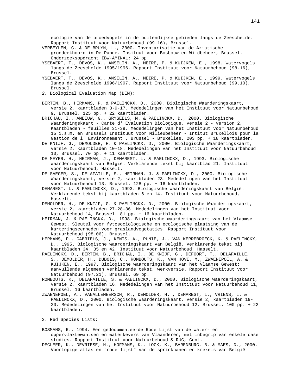ecologie van de broedvogels in de buitendijkse gebieden langs de Zeeschelde. Rapport Instituut voor Natuurbehoud (99.16), Brussel.

VERBEYLEN, G. & DE BRUYN, L., 2000. Inventarisatie van de Aziatische grondeekhoorn in De Panne. Insituut voor Bosbouw en Wildbeheer, Brussel. Onderzoeksopdracht IBW-AMINAL; 24 pp.

- YSEBAERT, T., DEVOS, K., ANSELIN, A., MEIRE, P. & KUIJKEN, E., 1998. Watervogels langs de Zeeschelde 1995/1996. Rapport Instituut voor Natuurbehoud (98.16), Brussel.
- YSEBAERT, T., DEVOS, K., ANSELIN, A., MEIRE, P. & KUIJKEN, E., 1999. Watervogels langs de Zeeschelde 1996/1997. Rapport Instituut voor Natuurbehoud (99.10), Brussel.
- 2. Biological Evaluation Map (BEM):
- BERTEN, B., HERMANS, P. & PAELINCKX, D., 2000. Biologische Waarderingskaart, versie 2, kaartbladen 3-9-17. Mededelingen van het Instituut voor Natuurbehoud 9, Brussel. 125 pp. + 22 kaartbladen.
- BRICHAU, I., AMEEUW, G., GRYSEELS, M. & PAELINCKX, D., 2000. Biologische Waarderingskaart - Carte d' Evaluation Biologique, versie 2 - version 2, Kaartbladen - feuilles 31-39. Mededelingen van het Instituut voor Natuurbehoud 15 i.s.m. en Brussels Instituut voor Milieubeheer - Intitut Bruxellois pour la Gestion de l' Environnement , Brussel - Bruxelles. 203 pp. + 18 kaartbladen.
- DE KNIJF, G., DEMOLDER, H. & PAELINCKX, D., 2000. Biologische Waarderingskaart, versie 2, kaartbladen 10-18. Mededelingen van het Instituut voor Natuurbehoud 10, Brussel. 70 pp. + 11 kaartbladen.
- DE MEYER, H., HEIRMAN, J., DEMAREST, L. & PAELINCKX, D., 1993. Biologische waarderingskaart van België. Verklarende tekst bij kaartblad 21. Instituut voor Natuurbehoud, Hasselt.
- DE SAEGER, S., DELAFAILLE, S., HEIRMAN, J. & PAELINCKX, D., 2000. Biologische Waarderingskaart, versie 2, kaartbladen 23. Mededelingen van het Instituut voor Natuurbehoud 13, Brussel. 128 pp. + 16 kaartbladen.
- DEMAREST, L. & PAELINCKX, D., 1993. Biologische waarderingskaart van België. Verklarende tekst bij kaartbladen 6 en 14. Instituut voor Natuurbehoud, Hasselt.
- DEMOLDER, H., DE KNIJF, G. & PAELINCKX, D., 2000. Biologische Waarderingskaart, versie 2, kaartbladen 27-28-36. Mededelingen van het Instituut voor Natuurbehoud 14, Brussel. 81 pp. + 16 kaartbladen.
- HEIRMAN, J. & PAELINCKX, D., 1998. Biologische waarderingskaart van het Vlaamse Gewest. Sleutel voor fytosociologische en ecologische plaatsing van de karteringseenheden voor graslandvegetaties. Rapport Instituut voor Natuurbehoud (98.06), Brussel.
- HERMANS, P., GABRIËLS, J., KENIS, A., PUNIE, J., VAN KERREBROECK, K. & PAELINCKX, D., 1995. Biologische waarderingskaart van België. Verklarende tekst bij kaartbladen 34, 35 en 42. Instituut voor Natuurbehoud, Hasselt.
- PAELINCKX, D., BERTEN, B., BRICHAU, I., DE KNIJF, G., DEFOORT, T., DELAFAILLE, S., DEMOLDER, H., DUBOIS, C., ROMBOUTS, K., VAN HOVE, M., ZWAENEPOEL, A. & KUIJKEN, E., 1997. Biologische waarderingskaart van het Vlaamse Gewest: aanvullende algemeen verklarende tekst, werkversie. Rapport Instituut voor Natuurbehoud (97.21), Brussel. 69 pp.

ROMBOUTS, K., DELAFAILLE, S. & PAELINCKX, D., 2000. Biologische Waarderingskaart, versie 2, kaartbladen 16. Mededelingen van het Instituut voor Natuurbehoud 11, Brussel. 16 kaartbladen.

ZWAENEPOEL, A., VANALLEMEERSCH, R., DEMOLDER, H. , DEMAREST, L., VRIENS, L. & PAELINCKX, D., 2000. Biologische Waarderingskaart, versie 2, kaartbladen 19- 20. Mededelingen van het Instituut voor Natuurbehoud 12, Brussel. 100 pp. + 22 kaartbladen.

3. Red Species Lists:

BOSMANS, R., 1994. Een gedocumenteerde Rode Lijst van de water- en oppervlaktewantsen en waterkevers van Vlaanderen, met inbegrip van enkele case studies. Rapport Instituut voor Natuurbehoud & RUG, Gent.

DECLEER, K., DEVRIESE, H., HOFMANS, K., LOCK, K., BARENBURG, B. & MAES, D., 2000. Voorlopige atlas en "rode lijst" van de sprinkhanen en krekels van België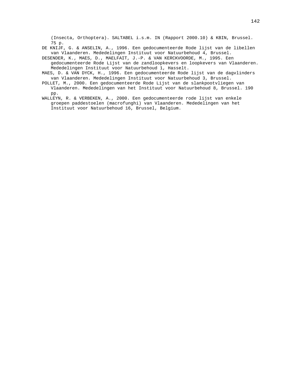(Insecta, Orthoptera). SALTABEL i.s.m. IN (Rapport 2000.10) & KBIN, Brussel. 75 p.

DE KNIJF, G. & ANSELIN, A., 1996. Een gedocumenteerde Rode lijst van de libellen van Vlaanderen. Mededelingen Instituut voor Natuurbehoud 4, Brussel.

DESENDER, K., MAES, D., MAELFAIT, J.-P. & VAN KERCKVOORDE, M., 1995. Een gedocumenteerde Rode Lijst van de zandloopkevers en loopkevers van Vlaanderen. Mededelingen Instituut voor Natuurbehoud 1, Hasselt.

- MAES, D. & VAN DYCK, H., 1996. Een gedocumenteerde Rode lijst van de dagvlinders van Vlaanderen. Mededelingen Instituut voor Natuurbehoud 3, Brussel.
- POLLET, M., 2000. Een gedocumenteerde Rode Lijst van de slankpootvliegen van Vlaanderen. Mededelingen van het Instituut voor Natuurbehoud 8, Brussel. 190 pp.
- WALLEYN, R. & VERBEKEN, A., 2000. Een gedocumenteerde rode lijst van enkele groepen paddestoelen (macrofunghi) van Vlaanderen. Mededelingen van het Instituut voor Natuurbehoud 16, Brussel, Belgium.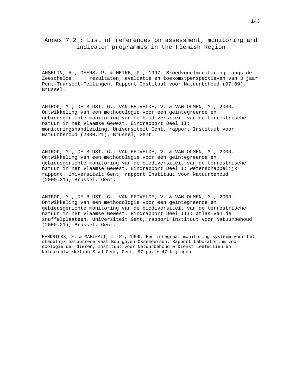Annex 7.2.: List of references on assessment, monitoring and indicator programmes in the Flemish Region

ANSELIN, A., GEERS, P. & MEIRE, P., 1997. Broedvogelmonitoring langs de Zeeschelde: resultaten, evaluatie en toekomstperspectieven van 3 jaar Punt-Transect-Tellingen. Rapport Instituut voor Natuurbehoud (97.09), Brussel.

ANTROP, M., DE BLUST, G., VAN EETVELDE, V. & VAN OLMEN, M., 2000. Ontwikkeling van een methodologie voor een geïntegreerde en gebiedsgerichte monitoring van de biodiversiteit van de terrestrische natuur in het Vlaamse Gewest. Eindrapport Deel II: monitoringshandleiding. Universiteit Gent, rapport Instituut voor Natuurbehoud (2000.21), Brussel, Gent.

ANTROP, M., DE BLUST, G., VAN EETVELDE, V. & VAN OLMEN, M., 2000. Ontwikkeling van een methodologie voor een geïntegreerde en gebiedsgerichte monitoring van de biodiversiteit van de terrestrische natuur in het Vlaamse Gewest. Eindrapport Deel I: wetenschappelijk rapport. Universiteit Gent, rapport Instituut voor Natuurbehoud (2000.21), Brussel, Gent.

ANTROP, M., DE BLUST, G., VAN EETVELDE, V. & VAN OLMEN, M., 2000. Ontwikkeling van een methodologie voor een geïntegreerde en gebiedsgerichte monitoring van de biodiversiteit van de terrestrische natuur in het Vlaamse Gewest. Eindrapport Deel III: atlas van de snuffelplaatsen. Universiteit Gent, rapport Instituut voor Natuurbehoud (2000.21), Brussel, Gent.

HENDRICKX, F. & MAELFAIT, J.-P., 1999. Een integraal monitoring systeem voor het stedelijk natuurreservaat Bourgoyen-Ossemeersen. Rapport Laboratorium voor ecologie der dieren, Instituut voor Natuurbehoud & Dienst Leefmilieu en Natuurontwikkeling Stad Gent, Gent. 97 pp. + 47 bijlagen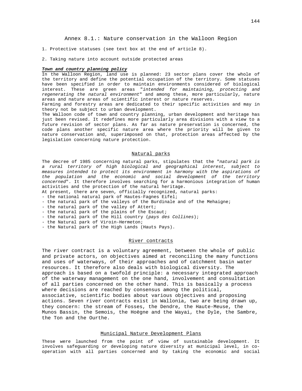- 1. Protective statuses (see text box at the end of article 8).
- 2. Taking nature into account outside protected areas

#### **Town and country planning policy**

In the Walloon Region, land use is planned: 23 sector plans cover the whole of the territory and define the potential occupation of the territory. Some statuses have been specified in order to maintain environments considered of biological interest. These are green areas "intended for maintaining, protecting and regenerating the natural environment" and among these, more particularly, nature areas and nature areas of scientific interest or nature reserves.

Farming and forestry areas are dedicated to their specific activities and may in theory not be subject to urban development.

The Walloon code of town and country planning, urban development and heritage has just been revised. It redefines more particularly area divisions with a view to a future revision of sector plans. As far as nature preservation is concerned, the code plans another specific nature area where the priority will be given to nature conservation and, superimposed on that, protection areas affected by the legislation concerning nature protection.

#### Natural parks

The decree of 1985 concerning natural parks, stipulates that the "natural park is a rural territory of high biological and geographical interest, subject to measures intended to protect its environment in harmony with the aspirations of the population and the economic and social development of the territory concerned". It therefore involves searching for a harmonious integration of human activities and the protection of the natural heritage.

- At present, there are seven, officially recognized, natural parks:
- the national natural park of Hautes-Fagnes Eifel;
- the natural park of the valleys of the Burdinale and of the Mehaigne;
- the natural park of the valley of Attert;
- the natural park of the plains of the Escaut;
- the natural park of the Hill country (pays des Collines);
- the Natural park of Viroin-Hermeton;
- the Natural park of the High Lands (Hauts Pays).

#### River contracts

The river contract is a voluntary agreement, between the whole of public and private actors, on objectives aimed at reconciling the many functions and uses of waterways, of their approaches and of catchment basin water resources. It therefore also deals with biological diversity. The approach is based on a twofold principle: a necessary integrated approach of the waterway management on the one hand, involvement and consultation of all parties concerned on the other hand. This is basically a process where decisions are reached by consensus among the political, associative, scientific bodies about various objectives and proposing actions. Seven river contracts exist in Wallonia, two are being drawn up, they concern: the stream of Fosses, the Dendre, the Haute-Meuse, the Munos Bassin, the Semois, the Hoëgne and the Wayai, the Dyle, the Sambre, the Ton and the Ourthe.

#### Municipal Nature Development Plans

These were launched from the point of view of sustainable development. It involves safeguarding or developing nature diversity at municipal level, in cooperation with all parties concerned and by taking the economic and social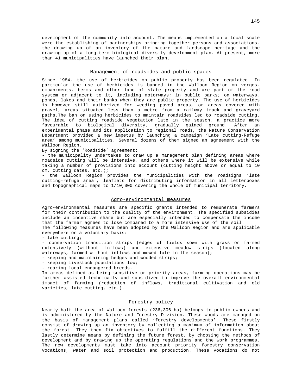development of the community into account. The means implemented on a local scale were the establishing of partnerships bringing together persons and associations, the drawing up of an inventory of the nature and landscape heritage and the drawing up of a long-term biological diversity development plan. At present, more than 41 municipalities have launched their plan.

### Management of roadsides and public spaces

Since 1984, the use of herbicides on public property has been regulated. In particular the use of herbicides is banned in the Walloon Region on verges, embankments, berms and other land of state property and are part of the road system or adjacent to it, including motorways; in public parks; on waterways, ponds, lakes and their banks when they are public property. The use of herbicides is however still authorized for weeding paved areas, or areas covered with gravel, areas situated less than a metre from a railway track and graveyard paths.The ban on using herbicides to maintain roadsides led to roadside cutting. The idea of cutting roadside vegetation late in the season, a practice more favourable to biological diversity, gradually gained ground. After an experimental phase and its application to regional roads, the Nature Conservation Department provided a new impetus by launching a campaign 'Late cutting-Refuge area' among municipalities. Several dozens of them signed an agreement with the Walloon Region.

By signing the 'Roadside' agreement:

- the municipality undertakes to draw up a management plan defining areas where roadside cutting will be intensive, and others where it will be extensive while taking a number of provisions into account (cutting height above or equal to 10 cm, cutting dates, etc.);

- the Walloon Region provides the municipalities with the roadsigns 'late cutting-refuge area', leaflets for distributing information in all letterboxes and topographical maps to 1/10,000 covering the whole of municipal territory.

#### Agro-environmental measures

Agro-environmental measures are specific grants intended to remunerate farmers for their contribution to the quality of the environment. The specified subsidies include an incentive share but are especially intended to compensate the income that the farmer agrees to lose compared to a more intensive use of the soil.

The following measures have been adopted by the Walloon Region and are applicable everywhere on a voluntary basis:

- late cutting;

- conservation transition strips (edges of fields sown with grass or farmed extensively (without inflows) and extensive meadow strips (located along waterways, farmed without inflows and mowed late in the season);

- keeping and maintaining hedges and wooded strips;

- keeping livestock populations low;

- rearing local endangered breeds.

In areas defined as being sensitive or priority areas, farming operations may be further assisted technically and subsidized to improve the overall environmental impact of farming (reduction of inflows, traditional cultivation and old varieties, late cutting, etc.).

#### Forestry policy

Nearly half the area of Walloon forests (236,306 ha) belongs to public owners and is administered by the Nature and Forestry Division. These woods are managed on the basis of management plans called 'forestry developments'. These firstly consist of drawing up an inventory by collecting a maximum of information about the forest. They then fix objectives to fulfill the different functions. They lastly determine means by defining the future forest, by choosing the methods of development and by drawing up the operating regulations and the work programmes. The new developments must take into account priority forestry conservation vocations, water and soil protection and production. These vocations do not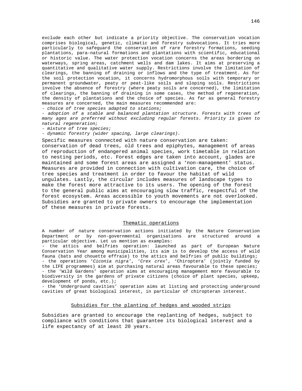exclude each other but indicate a priority objective. The conservation vocation comprises biological, genetic, climatic and forestry subvocations. It tries more particularly to safeguard the conservation of rare forestry formations, seeding plantations, para-natural formations and plantations with scientific, educational or historic value. The water protection vocation concerns the areas bordering on waterways, spring areas, catchment wells and dam lakes. It aims at preserving a quantitative and qualitative water supply. Restrictions involve the limitation of clearings, the banning of draining or inflows and the type of treatment. As for the soil protection vocation, it concerns hydromorphous soils with temporary or permanent groundwater, peaty or peat-like soils and sloping soils. Restrictions involve the absence of forestry (where peaty soils are concerned), the limitation of clearings, the banning of draining in some cases, the method of regeneration, the density of plantations and the choice of species. As far as general forestry measures are concerned, the main measures recommended are:

- choice of tree species adapted to stations;

- adoption of a stable and balanced plantation structure. Forests with trees of many ages are preferred without excluding regular forests. Priority is given to natural regeneration;

- mixture of tree species;

- dynamic forestry (wider spacing, large clearings).

Specific measures connected with nature conservation are taken: conservation of dead trees, old trees and epiphytes, management of areas of reproduction of endangered animal species, work timetable in relation to nesting periods, etc. Forest edges are taken into account, glades are maintained and some forest areas are assigned a 'non-management' status. Measures are provided in connection with cultivation care, the choice of tree species and treatment in order to favour the habitat of wild ungulates. Lastly, the circular includes measures of landscape types to make the forest more attractive to its users. The opening of the forest to the general public aims at encouraging slow traffic, respectful of the forest ecosystem. Areas accessible to youth movements are not overlooked. Subsidies are granted to private owners to encourage the implementation of these measures in private forests.

## Thematic operations

A number of nature conservation actions initiated by the Nature Conservation Department or by non-governmental organisations are structured around a particular objective. Let us mention as examples:

- the attics and belfries operation: launched as part of European Nature Conservation Year among municipalities, its aim is to develop the access of wild fauna (bats and chouette effraie) to the attics and belfries of public buildings; - the operations 'Ciconia nigra', 'Crex crex', 'Chiroptera' (jointly funded by the LIFE programmes) aim at purchasing natural areas favourable to these species; - the 'Wild Gardens' operation aims at encouraging management more favourable to biodiversity in the gardens of private citizens (choice of plant species, upkeep, development of ponds, etc.);

- the 'Underground cavities' operation aims at listing and protecting underground cavities of great biological interest, in particular of chiropteran interest.

### Subsidies for the planting of hedges and wooded strips

Subsidies are granted to encourage the replanting of hedges, subject to compliance with conditions that guarantee its biological interest and a life expectancy of at least 20 years.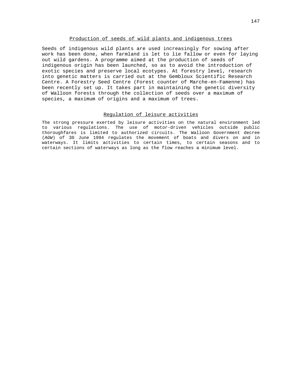# Production of seeds of wild plants and indigenous trees

Seeds of indigenous wild plants are used increasingly for sowing after work has been done, when farmland is let to lie fallow or even for laying out wild gardens. A programme aimed at the production of seeds of indigenous origin has been launched, so as to avoid the introduction of exotic species and preserve local ecotypes. At forestry level, research into genetic matters is carried out at the Gembloux Scientific Research Centre. A Forestry Seed Centre (Forest counter of Marche-en-Famenne) has been recently set up. It takes part in maintaining the genetic diversity of Walloon forests through the collection of seeds over a maximum of species, a maximum of origins and a maximum of trees.

# Regulation of leisure activities

The strong pressure exerted by leisure activities on the natural environment led to various regulations. The use of motor-driven vehicles outside public thoroughfares is limited to authorized circuits. The Walloon Government decree (AGW) of 30 June 1994 regulates the movement of boats and divers on and in waterways. It limits activities to certain times, to certain seasons and to certain sections of waterways as long as the flow reaches a minimum level.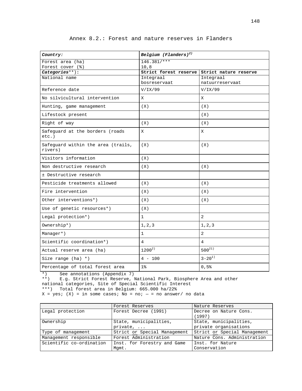| Country:                                      | Belgium (Flanders) <sup>2)</sup>                    |                 |  |
|-----------------------------------------------|-----------------------------------------------------|-----------------|--|
| Forest area (ha)                              | $146.381$ /***                                      |                 |  |
| Forest cover (%)                              | 10,8<br>Strict forest reserve Strict nature reserve |                 |  |
| Categories**):<br>National name               | Integraal                                           | Integraal       |  |
|                                               | bosreservaat                                        | natuurreservaat |  |
| Reference date                                | V/IX/99                                             | V/IX/99         |  |
| No silvicultural intervention                 | X                                                   | X               |  |
| Hunting, game management                      | (X)                                                 | (X)             |  |
| Lifestock present                             |                                                     | (X)             |  |
| Right of way                                  | (X)                                                 | (X)             |  |
| Safequard at the borders (roads<br>$etc.$ )   | X                                                   | X               |  |
| Safeguard within the area (trails,<br>rivers) | (X)                                                 | (X)             |  |
| Visitors information                          | (X)                                                 |                 |  |
| Non destructive research                      | (X)                                                 | (X)             |  |
| ± Destructive research                        |                                                     |                 |  |
| Pesticide treatments allowed                  | (X)                                                 | (X)             |  |
| Fire intervention                             | (X)                                                 | (X)             |  |
| Other interventions*)                         | (X)                                                 | (X)             |  |
| Use of genetic resources*)                    | (X)                                                 |                 |  |
| Legal protection*)                            | $\mathbf{1}$                                        | 2               |  |
| Ownership*)                                   | 1, 2, 3                                             | 1, 2, 3         |  |
| Manager*)                                     | $\mathbf{1}$                                        | $\overline{a}$  |  |
| Scientific coordination*)                     | $\overline{4}$                                      | 4               |  |
| Actual reserve area (ha)                      | $1200^{2}$                                          | $500^{21}$      |  |
| Size range $(ha) *$ )                         | $4 - 100$                                           | $3 - 20^{1}$    |  |
| Percentage of total forest area               | $1\%$                                               | 0,5%            |  |

Annex 8.2.: Forest and nature reserves in Flanders

\*) See annotations (Appendix 7)

\*\*) E.g. Strict Forest Reserve, National Park, Biosphere Area and other

national categories, Site of Special Scientific Interest

\*\*\*) Total forest area in Belgium: 665.000 ha/22%

 $X = yes$ ; (X) = in some cases; No = no; - = no answer/ no data

|                          | Forest Reserves              | Nature Reserves                  |  |
|--------------------------|------------------------------|----------------------------------|--|
| Legal protection         | Forest Decree (1991)         | Decree on Nature Cons.<br>(1997) |  |
|                          |                              |                                  |  |
| Ownership                | State, municipalities,       | State, municipalities,           |  |
|                          | private,                     | private organisations            |  |
| Type of management       | Strict or Special Management | Strict or Special Management     |  |
| Management responsible   | Forest Administration        | Nature Cons. Administration      |  |
| Scientific co-ordination | Inst. for Forestry and Game  | Inst. for Nature                 |  |
|                          | Mqmt.                        | Conservation                     |  |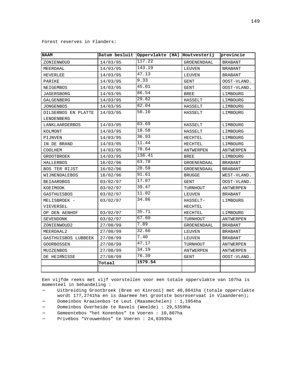### Forest reserves in Flanders:

| <b>NAAM</b>          |          | Datum besluit Oppervlakte (HA) Houtvesterij |               | provincie      |
|----------------------|----------|---------------------------------------------|---------------|----------------|
| ZONIENWOUD           | 14/03/95 | 117.22                                      | GROENENDAAL   | <b>BRABANT</b> |
| MEERDAAL             | 14/03/95 | 143.19                                      | LEUVEN        | BRABANT        |
| HEVERLEE             | 14/03/95 | 47.13                                       | LEUVEN        | <b>BRABANT</b> |
| PARIKE               | 14/03/95 | 9.33                                        | GENT          | OOST-VLAND.    |
| NEIGEMBOS            | 14/03/95 | 45.01                                       | GENT          | OOST-VLAND.    |
| JAGERSBORG           | 14/03/95 | 86.54                                       | <b>BREE</b>   | LIMBOURG       |
| GALGENBERG           | 14/03/95 | 29.82                                       | HASSELT       | LIMBOURG       |
| JONGENBOS            | 14/03/95 | 82.04                                       | HASSELT       | LIMBOURG       |
| DILSERBOS EN PLATTE  | 14/03/95 | 58.16                                       | HASSELT       | LIMBOURG       |
| LENDENBERG           |          |                                             |               |                |
| LANKLAARDERBOS       | 14/03/95 | 83.69                                       | HASSELT       | LIMBOURG       |
| KOLMONT              | 14/03/95 | 18.58                                       | HASSELT       | LIMBOURG       |
| PIJNVEN              | 14/03/95 | 36.93                                       | HECHTEL       | LIMBOURG       |
| IN DE BRAND          | 14/03/95 | 11.44                                       | HECHTEL       | LIMBOURG       |
| COOLHEM              | 14/03/95 | 78.64                                       | ANTWERPEN     | ANTWERPEN      |
| GROOTBROEK           | 14/03/95 | 136.41                                      | <b>BREE</b>   | LIMBOURG       |
| HALLERBOS            | 16/02/96 | 63.78                                       | GROENENDAAL   | BRABANT        |
| <b>BOS TER RIJST</b> | 16/02/96 | 28.59                                       | GROENENDAAL   | <b>BRABANT</b> |
| WIJNENDALEBOS        | 16/02/96 | 91.61                                       | <b>BRUGGE</b> | WEST-VLAND.    |
| <b>BEIAARDBOS</b>    | 03/02/97 | 17.07                                       | <b>GENT</b>   | OOST-VLAND.    |
| KOEIMOOK             | 03/02/97 | 39.47                                       | TURNHOUT      | ANTWERPEN      |
| GASTHUISBOS          | 03/02/97 | 11.02                                       | LEUVEN        | <b>BRABANT</b> |
| MELISBROEK -         | 03/02/97 | 34.86                                       | HASSELT-      | LIMBOURG       |
| VIEVERSEL            |          |                                             | HECHTEL       |                |
| OP DEN AENHOF        | 03/02/97 | 35.71                                       | HECHTEL       | LIMBOURG       |
| SEVENDONK            | 03/02/97 | 67.60                                       | TURNHOUT      | ANTWERPEN      |
| ZONIENWOUD2          | 27/08/99 | 7.89                                        | GROENENDAAL   | <b>BRABANT</b> |
| MEERDAAL2            | 27/08/99 | 32.66                                       | LEUVEN        | <b>BRABANT</b> |
| GASTHUISBOS LUBBEEK  | 27/08/99 | 7.40                                        | LEUVEN        | <b>BRABANT</b> |
| GOORBOSSEN           | 27/08/99 | 47.17                                       | TURNHOUT      | ANTWERPEN      |
| MUIZENBOS            | 27/08/99 | 34.19                                       | ANTWERPEN     | ANTWERPEN      |
| DE HEIRNISSE         | 27/08/99 | 76.39                                       | GENT          | OOST-VLAND.    |
|                      | Totaal   | 1579.54                                     |               |                |
|                      |          |                                             |               |                |

Een vijfde reeks met vijf voorstellen voor een totale oppervlakte van 107ha is momenteel in behandeling :

- − Uitbreiding Grootbroek (Bree en Kinrooi) met 40,8641ha (totale oppervlakte wordt 177,2741ha en is daarmee het grootste bosreservaat in Vlaanderen);
- − Domeinbos Kraaienbos te Leut (Maasmechelen) : 1,1954ha
- − Domeinbos Overheide te Ravels (Weelde) : 29,5359ha
- − Gemeentebos "het Konenbos" te Voeren : 10,807ha
- − Privébos "Vrouwenbos" te Voeren : 24,8393ha